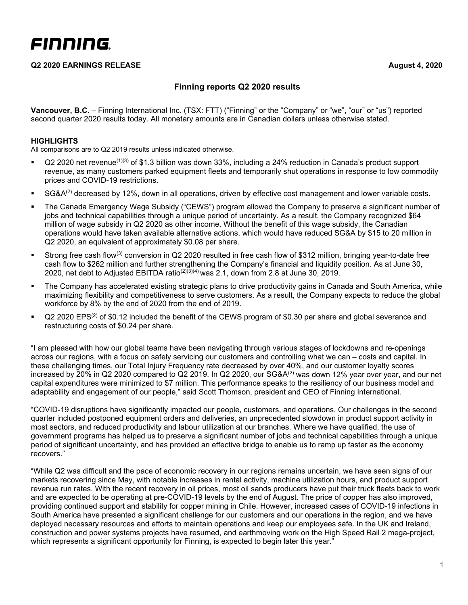### **Q2 2020 EARNINGS RELEASE August 4, 2020**

# **Finning reports Q2 2020 results**

**Vancouver, B.C.** – Finning International Inc. (TSX: FTT) ("Finning" or the "Company" or "we", "our" or "us") reported second quarter 2020 results today. All monetary amounts are in Canadian dollars unless otherwise stated.

### **HIGHLIGHTS**

All comparisons are to Q2 2019 results unless indicated otherwise.

- $\sim$  Q2 2020 net revenue<sup>(1)(3)</sup> of \$1.3 billion was down 33%, including a 24% reduction in Canada's product support revenue, as many customers parked equipment fleets and temporarily shut operations in response to low commodity prices and COVID-19 restrictions.
- SG&A $^{(2)}$  decreased by 12%, down in all operations, driven by effective cost management and lower variable costs.
- The Canada Emergency Wage Subsidy ("CEWS") program allowed the Company to preserve a significant number of jobs and technical capabilities through a unique period of uncertainty. As a result, the Company recognized \$64 million of wage subsidy in Q2 2020 as other income. Without the benefit of this wage subsidy, the Canadian operations would have taken available alternative actions, which would have reduced SG&A by \$15 to 20 million in Q2 2020, an equivalent of approximately \$0.08 per share.
- Strong free cash flow<sup>(3)</sup> conversion in Q2 2020 resulted in free cash flow of \$312 million, bringing year-to-date free cash flow to \$262 million and further strengthening the Company's financial and liquidity position. As at June 30, 2020, net debt to Adjusted EBITDA ratio<sup>( $2)(3)(4)$ </sup> was 2.1, down from 2.8 at June 30, 2019.
- The Company has accelerated existing strategic plans to drive productivity gains in Canada and South America, while maximizing flexibility and competitiveness to serve customers. As a result, the Company expects to reduce the global workforce by 8% by the end of 2020 from the end of 2019.
- $Q2$  2020 EPS<sup>(2)</sup> of \$0.12 included the benefit of the CEWS program of \$0.30 per share and global severance and restructuring costs of \$0.24 per share.

"I am pleased with how our global teams have been navigating through various stages of lockdowns and re-openings across our regions, with a focus on safely servicing our customers and controlling what we can – costs and capital. In these challenging times, our Total Injury Frequency rate decreased by over 40%, and our customer loyalty scores increased by 20% in Q2 2020 compared to Q2 2019. In Q2 2020, our SG&A<sup>(2)</sup> was down 12% year over year, and our net capital expenditures were minimized to \$7 million. This performance speaks to the resiliency of our business model and adaptability and engagement of our people," said Scott Thomson, president and CEO of Finning International.

"COVID-19 disruptions have significantly impacted our people, customers, and operations. Our challenges in the second quarter included postponed equipment orders and deliveries, an unprecedented slowdown in product support activity in most sectors, and reduced productivity and labour utilization at our branches. Where we have qualified, the use of government programs has helped us to preserve a significant number of jobs and technical capabilities through a unique period of significant uncertainty, and has provided an effective bridge to enable us to ramp up faster as the economy recovers."

"While Q2 was difficult and the pace of economic recovery in our regions remains uncertain, we have seen signs of our markets recovering since May, with notable increases in rental activity, machine utilization hours, and product support revenue run rates. With the recent recovery in oil prices, most oil sands producers have put their truck fleets back to work and are expected to be operating at pre-COVID-19 levels by the end of August. The price of copper has also improved, providing continued support and stability for copper mining in Chile. However, increased cases of COVID-19 infections in South America have presented a significant challenge for our customers and our operations in the region, and we have deployed necessary resources and efforts to maintain operations and keep our employees safe. In the UK and Ireland, construction and power systems projects have resumed, and earthmoving work on the High Speed Rail 2 mega-project, which represents a significant opportunity for Finning, is expected to begin later this year."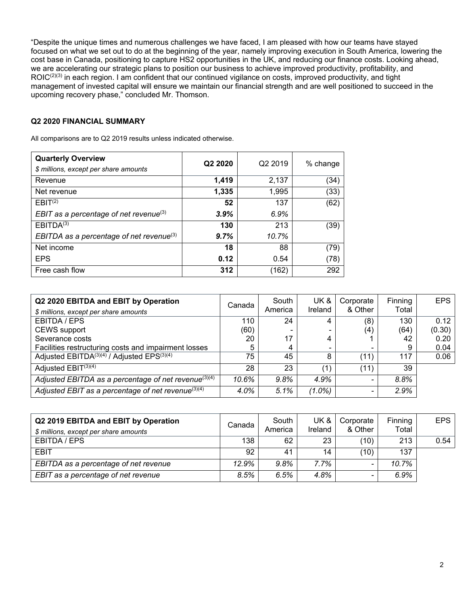"Despite the unique times and numerous challenges we have faced, I am pleased with how our teams have stayed focused on what we set out to do at the beginning of the year, namely improving execution in South America, lowering the cost base in Canada, positioning to capture HS2 opportunities in the UK, and reducing our finance costs. Looking ahead, we are accelerating our strategic plans to position our business to achieve improved productivity, profitability, and ROIC<sup>(2)(3)</sup> in each region. I am confident that our continued vigilance on costs, improved productivity, and tight management of invested capital will ensure we maintain our financial strength and are well positioned to succeed in the upcoming recovery phase," concluded Mr. Thomson.

### **Q2 2020 FINANCIAL SUMMARY**

All comparisons are to Q2 2019 results unless indicated otherwise.

| <b>Quarterly Overview</b><br>\$ millions, except per share amounts | Q <sub>2</sub> 20 <sub>20</sub> | Q2 2019 | % change |
|--------------------------------------------------------------------|---------------------------------|---------|----------|
| Revenue                                                            | 1,419                           | 2,137   | (34)     |
| Net revenue                                                        | 1,335                           | 1,995   | (33)     |
| EBIT <sup>(2)</sup>                                                | 52                              | 137     | (62)     |
| EBIT as a percentage of net revenue $(3)$                          | 3.9%                            | 6.9%    |          |
| EBITDA <sup>(3)</sup>                                              | 130                             | 213     | (39)     |
| EBITDA as a percentage of net revenue <sup>(3)</sup>               | 9.7%                            | 10.7%   |          |
| Net income                                                         | 18                              | 88      | (79)     |
| <b>EPS</b>                                                         | 0.12                            | 0.54    | (78)     |
| Free cash flow                                                     | 312                             | (162)   | 292      |

| Q2 2020 EBITDA and EBIT by Operation<br>\$ millions, except per share amounts | Canada | South<br>America | UK &<br>Ireland | Corporate<br>& Other     | Finning<br>Total | <b>EPS</b> |
|-------------------------------------------------------------------------------|--------|------------------|-----------------|--------------------------|------------------|------------|
| EBITDA / EPS                                                                  | 110    | 24               | 4               | (8)                      | 130              | 0.12       |
| <b>CEWS</b> support                                                           | (60)   |                  |                 | (4)                      | (64)             | (0.30)     |
| Severance costs                                                               | 20     | 17               | 4               |                          | 42               | 0.20       |
| Facilities restructuring costs and impairment losses                          | 5      | 4                |                 | $\overline{\phantom{0}}$ | 9                | 0.04       |
| Adjusted EBITDA <sup>(3)(4)</sup> / Adjusted EPS <sup>(3)(4)</sup>            | 75     | 45               | 8               | (11)                     | 117              | 0.06       |
| Adjusted $EBIT^{(3)(4)}$                                                      | 28     | 23               | 〔1〕             | (11)                     | 39               |            |
| Adjusted EBITDA as a percentage of net revenue <sup>(3)(4)</sup>              | 10.6%  | 9.8%             | 4.9%            |                          | 8.8%             |            |
| Adjusted EBIT as a percentage of net revenue $(3)(4)$                         | 4.0%   | 5.1%             | $(1.0\%)$       | $\overline{\phantom{0}}$ | 2.9%             |            |

| Q2 2019 EBITDA and EBIT by Operation<br>\$ millions, except per share amounts | Canada | South<br>America | UK &<br>Ireland | Corporate<br>& Other     | Finning<br>Total | <b>EPS</b> |
|-------------------------------------------------------------------------------|--------|------------------|-----------------|--------------------------|------------------|------------|
| EBITDA / EPS                                                                  | 138    | 62               | 23              | (10)                     | 213              | 0.54       |
| <b>EBIT</b>                                                                   | 92     | 41               | 14              | (10)                     | 137              |            |
| EBITDA as a percentage of net revenue                                         | 12.9%  | $9.8\%$          | 7.7%            | $\overline{\phantom{0}}$ | 10.7%            |            |
| EBIT as a percentage of net revenue                                           | 8.5%   | 6.5%             | 4.8%            | $\overline{\phantom{0}}$ | 6.9%             |            |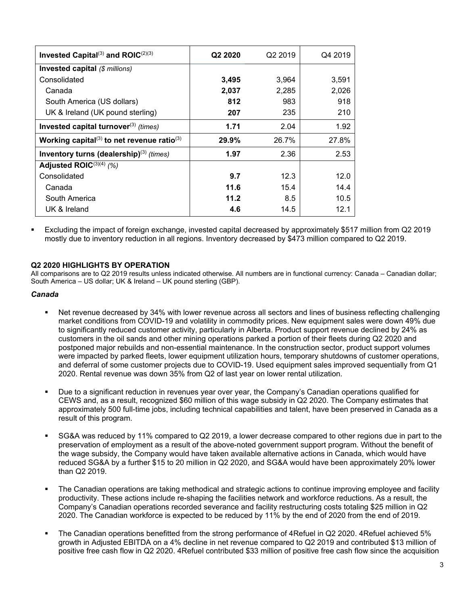| Invested Capital <sup>(3)</sup> and ROIC $(2)(3)$                  | Q <sub>2</sub> 2020 | Q <sub>2</sub> 2019 | Q4 2019 |
|--------------------------------------------------------------------|---------------------|---------------------|---------|
| <b>Invested capital (\$ millions)</b>                              |                     |                     |         |
| Consolidated                                                       | 3,495               | 3,964               | 3,591   |
| Canada                                                             | 2,037               | 2,285               | 2,026   |
| South America (US dollars)                                         | 812                 | 983                 | 918     |
| UK & Ireland (UK pound sterling)                                   | 207                 | 235                 | 210     |
| Invested capital turnover <sup>(3)</sup> (times)                   | 1.71                | 2.04                | 1.92    |
| Working capital <sup>(3)</sup> to net revenue ratio <sup>(3)</sup> | 29.9%               | 26.7%               | 27.8%   |
| Inventory turns (dealership) $(3)$ (times)                         | 1.97                | 2.36                | 2.53    |
| Adjusted ROIC $^{(3)(4)}$ (%)                                      |                     |                     |         |
| Consolidated                                                       | 9.7                 | 12.3                | 12.0    |
| Canada                                                             | 11.6                | 15.4                | 14.4    |
| South America                                                      | 11.2                | 8.5                 | 10.5    |
| UK & Ireland                                                       | 4.6                 | 14.5                | 12.1    |

 Excluding the impact of foreign exchange, invested capital decreased by approximately \$517 million from Q2 2019 mostly due to inventory reduction in all regions. Inventory decreased by \$473 million compared to Q2 2019.

#### **Q2 2020 HIGHLIGHTS BY OPERATION**

All comparisons are to Q2 2019 results unless indicated otherwise. All numbers are in functional currency: Canada – Canadian dollar; South America – US dollar; UK & Ireland – UK pound sterling (GBP).

#### *Canada*

- Net revenue decreased by 34% with lower revenue across all sectors and lines of business reflecting challenging market conditions from COVID-19 and volatility in commodity prices. New equipment sales were down 49% due to significantly reduced customer activity, particularly in Alberta. Product support revenue declined by 24% as customers in the oil sands and other mining operations parked a portion of their fleets during Q2 2020 and postponed major rebuilds and non-essential maintenance. In the construction sector, product support volumes were impacted by parked fleets, lower equipment utilization hours, temporary shutdowns of customer operations, and deferral of some customer projects due to COVID-19. Used equipment sales improved sequentially from Q1 2020. Rental revenue was down 35% from Q2 of last year on lower rental utilization.
- Due to a significant reduction in revenues year over year, the Company's Canadian operations qualified for CEWS and, as a result, recognized \$60 million of this wage subsidy in Q2 2020. The Company estimates that approximately 500 full-time jobs, including technical capabilities and talent, have been preserved in Canada as a result of this program.
- SG&A was reduced by 11% compared to Q2 2019, a lower decrease compared to other regions due in part to the preservation of employment as a result of the above-noted government support program. Without the benefit of the wage subsidy, the Company would have taken available alternative actions in Canada, which would have reduced SG&A by a further \$15 to 20 million in Q2 2020, and SG&A would have been approximately 20% lower than Q2 2019.
- The Canadian operations are taking methodical and strategic actions to continue improving employee and facility productivity. These actions include re-shaping the facilities network and workforce reductions. As a result, the Company's Canadian operations recorded severance and facility restructuring costs totaling \$25 million in Q2 2020. The Canadian workforce is expected to be reduced by 11% by the end of 2020 from the end of 2019.
- The Canadian operations benefitted from the strong performance of 4Refuel in Q2 2020. 4Refuel achieved 5% growth in Adjusted EBITDA on a 4% decline in net revenue compared to Q2 2019 and contributed \$13 million of positive free cash flow in Q2 2020. 4Refuel contributed \$33 million of positive free cash flow since the acquisition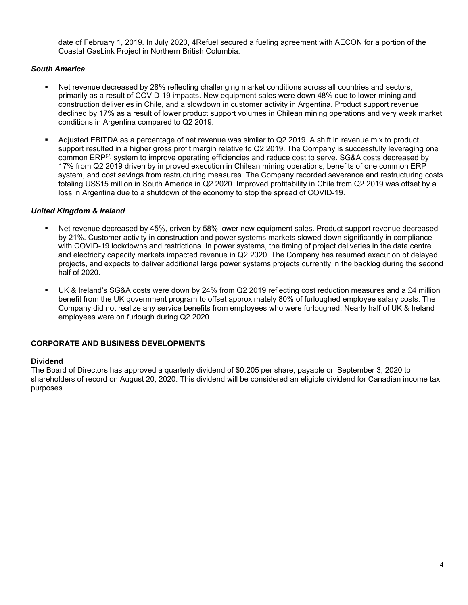date of February 1, 2019. In July 2020, 4Refuel secured a fueling agreement with AECON for a portion of the Coastal GasLink Project in Northern British Columbia.

### *South America*

- Net revenue decreased by 28% reflecting challenging market conditions across all countries and sectors, primarily as a result of COVID-19 impacts. New equipment sales were down 48% due to lower mining and construction deliveries in Chile, and a slowdown in customer activity in Argentina. Product support revenue declined by 17% as a result of lower product support volumes in Chilean mining operations and very weak market conditions in Argentina compared to Q2 2019.
- Adjusted EBITDA as a percentage of net revenue was similar to Q2 2019. A shift in revenue mix to product support resulted in a higher gross profit margin relative to Q2 2019. The Company is successfully leveraging one common ERP(2) system to improve operating efficiencies and reduce cost to serve. SG&A costs decreased by 17% from Q2 2019 driven by improved execution in Chilean mining operations, benefits of one common ERP system, and cost savings from restructuring measures. The Company recorded severance and restructuring costs totaling US\$15 million in South America in Q2 2020. Improved profitability in Chile from Q2 2019 was offset by a loss in Argentina due to a shutdown of the economy to stop the spread of COVID-19.

### *United Kingdom & Ireland*

- Net revenue decreased by 45%, driven by 58% lower new equipment sales. Product support revenue decreased by 21%. Customer activity in construction and power systems markets slowed down significantly in compliance with COVID-19 lockdowns and restrictions. In power systems, the timing of project deliveries in the data centre and electricity capacity markets impacted revenue in Q2 2020. The Company has resumed execution of delayed projects, and expects to deliver additional large power systems projects currently in the backlog during the second half of 2020.
- UK & Ireland's SG&A costs were down by 24% from Q2 2019 reflecting cost reduction measures and a £4 million benefit from the UK government program to offset approximately 80% of furloughed employee salary costs. The Company did not realize any service benefits from employees who were furloughed. Nearly half of UK & Ireland employees were on furlough during Q2 2020.

### **CORPORATE AND BUSINESS DEVELOPMENTS**

#### **Dividend**

The Board of Directors has approved a quarterly dividend of \$0.205 per share, payable on September 3, 2020 to shareholders of record on August 20, 2020. This dividend will be considered an eligible dividend for Canadian income tax purposes.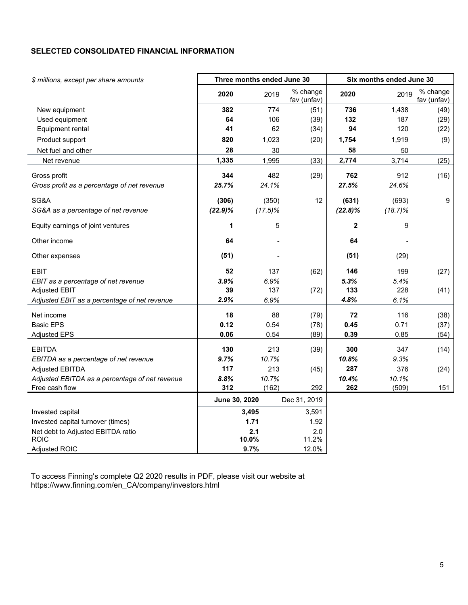# **SELECTED CONSOLIDATED FINANCIAL INFORMATION**

| \$ millions, except per share amounts          |               | Three months ended June 30 |                         |             | Six months ended June 30 |                         |
|------------------------------------------------|---------------|----------------------------|-------------------------|-------------|--------------------------|-------------------------|
|                                                | 2020          | 2019                       | % change<br>fav (unfav) | 2020        | 2019                     | % change<br>fav (unfav) |
| New equipment                                  | 382           | 774                        | (51)                    | 736         | 1,438                    | (49)                    |
| Used equipment                                 | 64            | 106                        | (39)                    | 132         | 187                      | (29)                    |
| Equipment rental                               | 41            | 62                         | (34)                    | 94          | 120                      | (22)                    |
| Product support                                | 820           | 1,023                      | (20)                    | 1,754       | 1,919                    | (9)                     |
| Net fuel and other                             | 28            | 30                         |                         | 58          | 50                       |                         |
| Net revenue                                    | 1,335         | 1,995                      | (33)                    | 2,774       | 3,714                    | (25)                    |
| Gross profit                                   | 344           | 482                        | (29)                    | 762         | 912                      | (16)                    |
| Gross profit as a percentage of net revenue    | 25.7%         | 24.1%                      |                         | 27.5%       | 24.6%                    |                         |
| SG&A                                           | (306)         | (350)                      | 12                      | (631)       | (693)                    | 9                       |
| SG&A as a percentage of net revenue            | $(22.9)\%$    | $(17.5)\%$                 |                         | $(22.8)\%$  | $(18.7)\%$               |                         |
| Equity earnings of joint ventures              | 1             | 5                          |                         | $\mathbf 2$ | 9                        |                         |
| Other income                                   | 64            |                            |                         | 64          |                          |                         |
| Other expenses                                 | (51)          |                            |                         | (51)        | (29)                     |                         |
| <b>EBIT</b>                                    | 52            | 137                        | (62)                    | 146         | 199                      | (27)                    |
| EBIT as a percentage of net revenue            | 3.9%          | 6.9%                       |                         | 5.3%        | 5.4%                     |                         |
| <b>Adjusted EBIT</b>                           | 39            | 137                        | (72)                    | 133         | 228                      | (41)                    |
| Adjusted EBIT as a percentage of net revenue   | 2.9%          | 6.9%                       |                         | 4.8%        | 6.1%                     |                         |
| Net income                                     | 18            | 88                         | (79)                    | 72          | 116                      | (38)                    |
| <b>Basic EPS</b>                               | 0.12          | 0.54                       | (78)                    | 0.45        | 0.71                     | (37)                    |
| <b>Adjusted EPS</b>                            | 0.06          | 0.54                       | (89)                    | 0.39        | 0.85                     | (54)                    |
| <b>EBITDA</b>                                  | 130           | 213                        | (39)                    | 300         | 347                      | (14)                    |
| EBITDA as a percentage of net revenue          | 9.7%          | 10.7%                      |                         | 10.8%       | 9.3%                     |                         |
| <b>Adjusted EBITDA</b>                         | 117           | 213                        | (45)                    | 287         | 376                      | (24)                    |
| Adjusted EBITDA as a percentage of net revenue | 8.8%          | 10.7%                      |                         | 10.4%       | 10.1%                    |                         |
| Free cash flow                                 | 312           | (162)                      | 292                     | 262         | (509)                    | 151                     |
|                                                | June 30, 2020 |                            | Dec 31, 2019            |             |                          |                         |
| Invested capital                               |               | 3,495                      | 3,591                   |             |                          |                         |
| Invested capital turnover (times)              |               | 1.71                       | 1.92                    |             |                          |                         |
| Net debt to Adjusted EBITDA ratio              |               | 2.1                        | 2.0                     |             |                          |                         |
| <b>ROIC</b>                                    |               | 10.0%                      | 11.2%                   |             |                          |                         |
| Adjusted ROIC                                  |               | 9.7%                       | 12.0%                   |             |                          |                         |

To access Finning's complete Q2 2020 results in PDF, please visit our website at https://www.finning.com/en\_CA/company/investors.html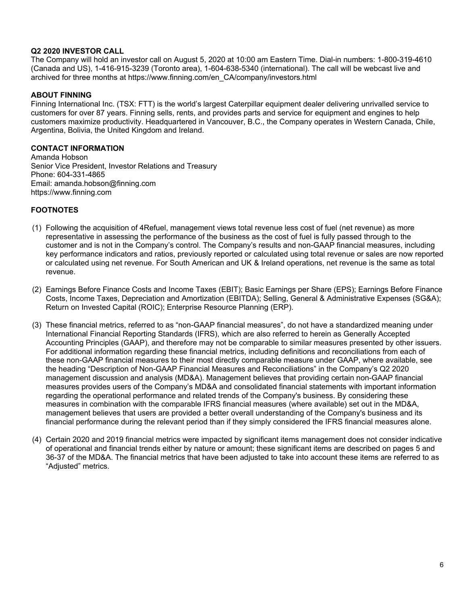#### **Q2 2020 INVESTOR CALL**

The Company will hold an investor call on August 5, 2020 at 10:00 am Eastern Time. Dial-in numbers: 1-800-319-4610 (Canada and US), 1-416-915-3239 (Toronto area), 1-604-638-5340 (international). The call will be webcast live and archived for three months at https://www.finning.com/en\_CA/company/investors.html

#### **ABOUT FINNING**

Finning International Inc. (TSX: FTT) is the world's largest Caterpillar equipment dealer delivering unrivalled service to customers for over 87 years. Finning sells, rents, and provides parts and service for equipment and engines to help customers maximize productivity. Headquartered in Vancouver, B.C., the Company operates in Western Canada, Chile, Argentina, Bolivia, the United Kingdom and Ireland.

### **CONTACT INFORMATION**

Amanda Hobson Senior Vice President, Investor Relations and Treasury Phone: 604-331-4865 Email: amanda.hobson@finning.com https://www.finning.com

### **FOOTNOTES**

- (1) Following the acquisition of 4Refuel, management views total revenue less cost of fuel (net revenue) as more representative in assessing the performance of the business as the cost of fuel is fully passed through to the customer and is not in the Company's control. The Company's results and non-GAAP financial measures, including key performance indicators and ratios, previously reported or calculated using total revenue or sales are now reported or calculated using net revenue. For South American and UK & Ireland operations, net revenue is the same as total revenue.
- (2) Earnings Before Finance Costs and Income Taxes (EBIT); Basic Earnings per Share (EPS); Earnings Before Finance Costs, Income Taxes, Depreciation and Amortization (EBITDA); Selling, General & Administrative Expenses (SG&A); Return on Invested Capital (ROIC); Enterprise Resource Planning (ERP).
- (3) These financial metrics, referred to as "non-GAAP financial measures", do not have a standardized meaning under International Financial Reporting Standards (IFRS), which are also referred to herein as Generally Accepted Accounting Principles (GAAP), and therefore may not be comparable to similar measures presented by other issuers. For additional information regarding these financial metrics, including definitions and reconciliations from each of these non-GAAP financial measures to their most directly comparable measure under GAAP, where available, see the heading "Description of Non-GAAP Financial Measures and Reconciliations" in the Company's Q2 2020 management discussion and analysis (MD&A). Management believes that providing certain non-GAAP financial measures provides users of the Company's MD&A and consolidated financial statements with important information regarding the operational performance and related trends of the Company's business. By considering these measures in combination with the comparable IFRS financial measures (where available) set out in the MD&A, management believes that users are provided a better overall understanding of the Company's business and its financial performance during the relevant period than if they simply considered the IFRS financial measures alone.
- (4) Certain 2020 and 2019 financial metrics were impacted by significant items management does not consider indicative of operational and financial trends either by nature or amount; these significant items are described on pages 5 and 36-37 of the MD&A. The financial metrics that have been adjusted to take into account these items are referred to as "Adjusted" metrics.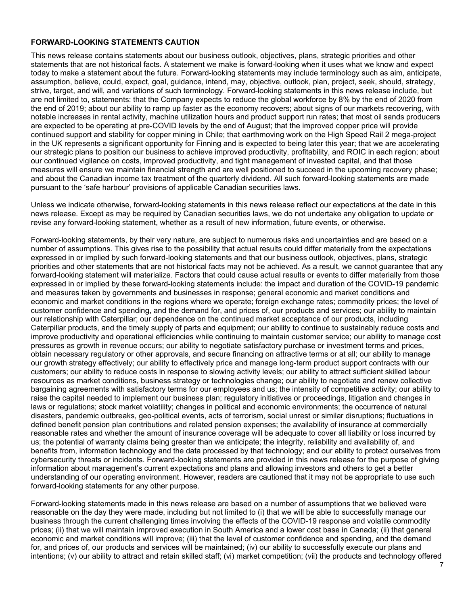### **FORWARD-LOOKING STATEMENTS CAUTION**

This news release contains statements about our business outlook, objectives, plans, strategic priorities and other statements that are not historical facts. A statement we make is forward-looking when it uses what we know and expect today to make a statement about the future. Forward-looking statements may include terminology such as aim, anticipate, assumption, believe, could, expect, goal, guidance, intend, may, objective, outlook, plan, project, seek, should, strategy, strive, target, and will, and variations of such terminology. Forward-looking statements in this news release include, but are not limited to, statements: that the Company expects to reduce the global workforce by 8% by the end of 2020 from the end of 2019; about our ability to ramp up faster as the economy recovers; about signs of our markets recovering, with notable increases in rental activity, machine utilization hours and product support run rates; that most oil sands producers are expected to be operating at pre-COVID levels by the end of August; that the improved copper price will provide continued support and stability for copper mining in Chile; that earthmoving work on the High Speed Rail 2 mega-project in the UK represents a significant opportunity for Finning and is expected to being later this year; that we are accelerating our strategic plans to position our business to achieve improved productivity, profitability, and ROIC in each region; about our continued vigilance on costs, improved productivity, and tight management of invested capital, and that those measures will ensure we maintain financial strength and are well positioned to succeed in the upcoming recovery phase; and about the Canadian income tax treatment of the quarterly dividend. All such forward-looking statements are made pursuant to the 'safe harbour' provisions of applicable Canadian securities laws.

Unless we indicate otherwise, forward-looking statements in this news release reflect our expectations at the date in this news release. Except as may be required by Canadian securities laws, we do not undertake any obligation to update or revise any forward-looking statement, whether as a result of new information, future events, or otherwise.

Forward-looking statements, by their very nature, are subject to numerous risks and uncertainties and are based on a number of assumptions. This gives rise to the possibility that actual results could differ materially from the expectations expressed in or implied by such forward-looking statements and that our business outlook, objectives, plans, strategic priorities and other statements that are not historical facts may not be achieved. As a result, we cannot guarantee that any forward-looking statement will materialize. Factors that could cause actual results or events to differ materially from those expressed in or implied by these forward-looking statements include: the impact and duration of the COVID-19 pandemic and measures taken by governments and businesses in response; general economic and market conditions and economic and market conditions in the regions where we operate; foreign exchange rates; commodity prices; the level of customer confidence and spending, and the demand for, and prices of, our products and services; our ability to maintain our relationship with Caterpillar; our dependence on the continued market acceptance of our products, including Caterpillar products, and the timely supply of parts and equipment; our ability to continue to sustainably reduce costs and improve productivity and operational efficiencies while continuing to maintain customer service; our ability to manage cost pressures as growth in revenue occurs; our ability to negotiate satisfactory purchase or investment terms and prices, obtain necessary regulatory or other approvals, and secure financing on attractive terms or at all; our ability to manage our growth strategy effectively; our ability to effectively price and manage long-term product support contracts with our customers; our ability to reduce costs in response to slowing activity levels; our ability to attract sufficient skilled labour resources as market conditions, business strategy or technologies change; our ability to negotiate and renew collective bargaining agreements with satisfactory terms for our employees and us; the intensity of competitive activity; our ability to raise the capital needed to implement our business plan; regulatory initiatives or proceedings, litigation and changes in laws or regulations; stock market volatility; changes in political and economic environments; the occurrence of natural disasters, pandemic outbreaks, geo-political events, acts of terrorism, social unrest or similar disruptions; fluctuations in defined benefit pension plan contributions and related pension expenses; the availability of insurance at commercially reasonable rates and whether the amount of insurance coverage will be adequate to cover all liability or loss incurred by us; the potential of warranty claims being greater than we anticipate; the integrity, reliability and availability of, and benefits from, information technology and the data processed by that technology; and our ability to protect ourselves from cybersecurity threats or incidents. Forward-looking statements are provided in this news release for the purpose of giving information about management's current expectations and plans and allowing investors and others to get a better understanding of our operating environment. However, readers are cautioned that it may not be appropriate to use such forward-looking statements for any other purpose.

Forward-looking statements made in this news release are based on a number of assumptions that we believed were reasonable on the day they were made, including but not limited to (i) that we will be able to successfully manage our business through the current challenging times involving the effects of the COVID-19 response and volatile commodity prices; (ii) that we will maintain improved execution in South America and a lower cost base in Canada; (ii) that general economic and market conditions will improve; (iii) that the level of customer confidence and spending, and the demand for, and prices of, our products and services will be maintained; (iv) our ability to successfully execute our plans and intentions; (v) our ability to attract and retain skilled staff; (vi) market competition; (vii) the products and technology offered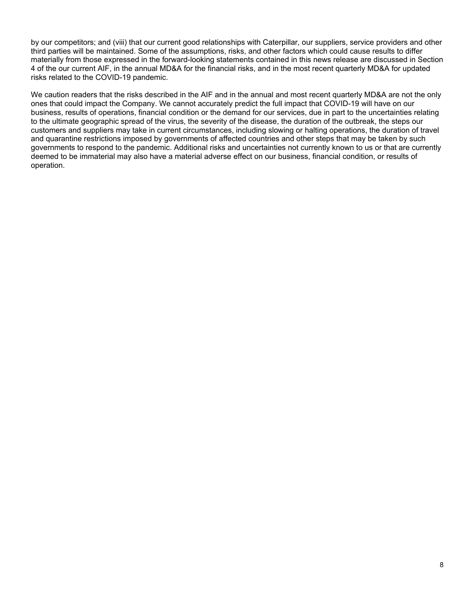by our competitors; and (viii) that our current good relationships with Caterpillar, our suppliers, service providers and other third parties will be maintained. Some of the assumptions, risks, and other factors which could cause results to differ materially from those expressed in the forward-looking statements contained in this news release are discussed in Section 4 of the our current AIF, in the annual MD&A for the financial risks, and in the most recent quarterly MD&A for updated risks related to the COVID-19 pandemic.

We caution readers that the risks described in the AIF and in the annual and most recent quarterly MD&A are not the only ones that could impact the Company. We cannot accurately predict the full impact that COVID-19 will have on our business, results of operations, financial condition or the demand for our services, due in part to the uncertainties relating to the ultimate geographic spread of the virus, the severity of the disease, the duration of the outbreak, the steps our customers and suppliers may take in current circumstances, including slowing or halting operations, the duration of travel and quarantine restrictions imposed by governments of affected countries and other steps that may be taken by such governments to respond to the pandemic. Additional risks and uncertainties not currently known to us or that are currently deemed to be immaterial may also have a material adverse effect on our business, financial condition, or results of operation.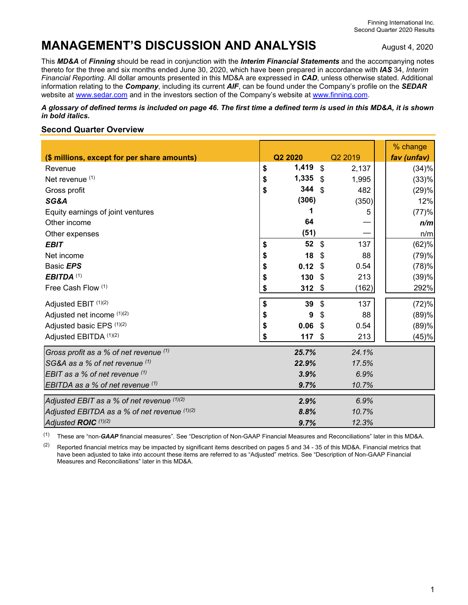# **MANAGEMENT'S DISCUSSION AND ANALYSIS** August 4, 2020

This *MD&A* of *Finning* should be read in conjunction with the *Interim Financial Statements* and the accompanying notes thereto for the three and six months ended June 30, 2020, which have been prepared in accordance with *IAS* 34, *Interim Financial Reporting*. All dollar amounts presented in this MD&A are expressed in *CAD*, unless otherwise stated. Additional information relating to the *Company*, including its current *AIF*, can be found under the Company's profile on the *SEDAR* website at www.sedar.com and in the investors section of the Company's website at www.finning.com.

*A glossary of defined terms is included on page 46. The first time a defined term is used in this MD&A, it is shown in bold italics.* 

### **Second Quarter Overview**

|                                                |             |                           |         | % change    |
|------------------------------------------------|-------------|---------------------------|---------|-------------|
| (\$ millions, except for per share amounts)    | Q2 2020     |                           | Q2 2019 | fav (unfav) |
| Revenue                                        | \$<br>1,419 | \$                        | 2,137   | (34)%       |
| Net revenue (1)                                | \$<br>1,335 | $\mathcal{S}$             | 1,995   | (33)%       |
| Gross profit                                   | \$<br>344   | -\$                       | 482     | (29)%       |
| SG&A                                           | (306)       |                           | (350)   | 12%         |
| Equity earnings of joint ventures              | 1           |                           | 5       | (77)%       |
| Other income                                   | 64          |                           |         | n/m         |
| Other expenses                                 | (51)        |                           |         | n/m         |
| <b>EBIT</b>                                    | \$<br>52    | $\mathbb{S}$              | 137     | (62)%       |
| Net income                                     | \$<br>18    | \$                        | 88      | (79)%       |
| Basic EPS                                      | \$<br>0.12  | -\$                       | 0.54    | (78)%       |
| EBITDA <sup>(1)</sup>                          | \$<br>130   | $\boldsymbol{\mathsf{S}}$ | 213     | (39)%       |
| Free Cash Flow (1)                             | \$<br>312   | $\boldsymbol{\mathsf{S}}$ | (162)   | 292%        |
| Adjusted EBIT (1)(2)                           | \$<br>39    | \$                        | 137     | (72)%       |
| Adjusted net income (1)(2)                     | \$<br>9     | \$                        | 88      | (89)%       |
| Adjusted basic EPS (1)(2)                      | \$<br>0.06  | \$                        | 0.54    | (89)%       |
| Adjusted EBITDA (1)(2)                         | \$<br>117   | \$                        | 213     | (45)%       |
| Gross profit as a % of net revenue (1)         | 25.7%       |                           | 24.1%   |             |
| SG&A as a % of net revenue (1)                 | 22.9%       |                           | 17.5%   |             |
| EBIT as a % of net revenue $(1)$               | 3.9%        |                           | 6.9%    |             |
| EBITDA as a % of net revenue $(1)$             | 9.7%        |                           | 10.7%   |             |
| Adjusted EBIT as a % of net revenue (1)(2)     | 2.9%        |                           | 6.9%    |             |
| Adjusted EBITDA as a % of net revenue $(1)(2)$ | 8.8%        |                           | 10.7%   |             |
| Adjusted ROIC (1)(2)                           | 9.7%        |                           | 12.3%   |             |

(1) These are "non-*GAAP* financial measures". See "Description of Non-GAAP Financial Measures and Reconciliations" later in this MD&A.

<sup>(2)</sup> Reported financial metrics may be impacted by significant items described on pages 5 and 34 - 35 of this MD&A. Financial metrics that have been adjusted to take into account these items are referred to as "Adjusted" metrics. See "Description of Non-GAAP Financial Measures and Reconciliations" later in this MD&A.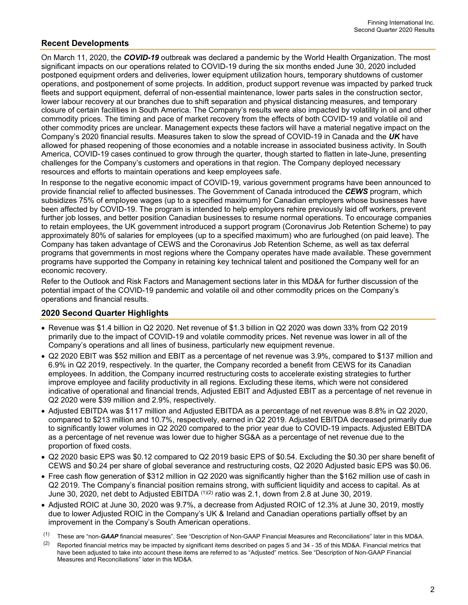## **Recent Developments**

On March 11, 2020, the *COVID-19* outbreak was declared a pandemic by the World Health Organization. The most significant impacts on our operations related to COVID-19 during the six months ended June 30, 2020 included postponed equipment orders and deliveries, lower equipment utilization hours, temporary shutdowns of customer operations, and postponement of some projects. In addition, product support revenue was impacted by parked truck fleets and support equipment, deferral of non-essential maintenance, lower parts sales in the construction sector, lower labour recovery at our branches due to shift separation and physical distancing measures, and temporary closure of certain facilities in South America. The Company's results were also impacted by volatility in oil and other commodity prices. The timing and pace of market recovery from the effects of both COVID-19 and volatile oil and other commodity prices are unclear. Management expects these factors will have a material negative impact on the Company's 2020 financial results. Measures taken to slow the spread of COVID-19 in Canada and the *UK* have allowed for phased reopening of those economies and a notable increase in associated business activity. In South America, COVID-19 cases continued to grow through the quarter, though started to flatten in late-June, presenting challenges for the Company's customers and operations in that region. The Company deployed necessary resources and efforts to maintain operations and keep employees safe.

In response to the negative economic impact of COVID-19, various government programs have been announced to provide financial relief to affected businesses. The Government of Canada introduced the *CEWS* program, which subsidizes 75% of employee wages (up to a specified maximum) for Canadian employers whose businesses have been affected by COVID-19. The program is intended to help employers rehire previously laid off workers, prevent further job losses, and better position Canadian businesses to resume normal operations. To encourage companies to retain employees, the UK government introduced a support program (Coronavirus Job Retention Scheme) to pay approximately 80% of salaries for employees (up to a specified maximum) who are furloughed (on paid leave). The Company has taken advantage of CEWS and the Coronavirus Job Retention Scheme, as well as tax deferral programs that governments in most regions where the Company operates have made available. These government programs have supported the Company in retaining key technical talent and positioned the Company well for an economic recovery.

Refer to the Outlook and Risk Factors and Management sections later in this MD&A for further discussion of the potential impact of the COVID-19 pandemic and volatile oil and other commodity prices on the Company's operations and financial results.

### **2020 Second Quarter Highlights**

- Revenue was \$1.4 billion in Q2 2020. Net revenue of \$1.3 billion in Q2 2020 was down 33% from Q2 2019 primarily due to the impact of COVID-19 and volatile commodity prices. Net revenue was lower in all of the Company's operations and all lines of business, particularly new equipment revenue.
- Q2 2020 EBIT was \$52 million and EBIT as a percentage of net revenue was 3.9%, compared to \$137 million and 6.9% in Q2 2019, respectively. In the quarter, the Company recorded a benefit from CEWS for its Canadian employees. In addition, the Company incurred restructuring costs to accelerate existing strategies to further improve employee and facility productivity in all regions. Excluding these items, which were not considered indicative of operational and financial trends, Adjusted EBIT and Adjusted EBIT as a percentage of net revenue in Q2 2020 were \$39 million and 2.9%, respectively.
- Adjusted EBITDA was \$117 million and Adjusted EBITDA as a percentage of net revenue was 8.8% in Q2 2020, compared to \$213 million and 10.7%, respectively, earned in Q2 2019. Adjusted EBITDA decreased primarily due to significantly lower volumes in Q2 2020 compared to the prior year due to COVID-19 impacts. Adjusted EBITDA as a percentage of net revenue was lower due to higher SG&A as a percentage of net revenue due to the proportion of fixed costs.
- Q2 2020 basic EPS was \$0.12 compared to Q2 2019 basic EPS of \$0.54. Excluding the \$0.30 per share benefit of CEWS and \$0.24 per share of global severance and restructuring costs, Q2 2020 Adjusted basic EPS was \$0.06.
- Free cash flow generation of \$312 million in Q2 2020 was significantly higher than the \$162 million use of cash in Q2 2019. The Company's financial position remains strong, with sufficient liquidity and access to capital. As at June 30, 2020, net debt to Adjusted EBITDA (1)(2) ratio was 2.1, down from 2.8 at June 30, 2019.
- Adjusted ROIC at June 30, 2020 was 9.7%, a decrease from Adjusted ROIC of 12.3% at June 30, 2019, mostly due to lower Adjusted ROIC in the Company's UK & Ireland and Canadian operations partially offset by an improvement in the Company's South American operations.

<sup>(1)</sup> These are "non-*GAAP* financial measures". See "Description of Non-GAAP Financial Measures and Reconciliations" later in this MD&A.

<sup>&</sup>lt;sup>(2)</sup> Reported financial metrics may be impacted by significant items described on pages 5 and 34 - 35 of this MD&A. Financial metrics that have been adjusted to take into account these items are referred to as "Adjusted" metrics. See "Description of Non-GAAP Financial Measures and Reconciliations" later in this MD&A.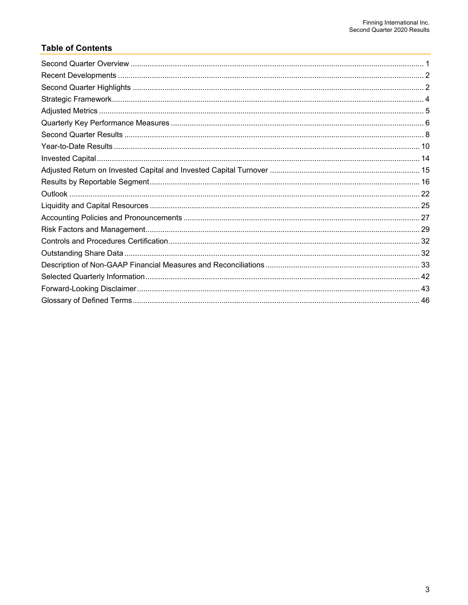# **Table of Contents**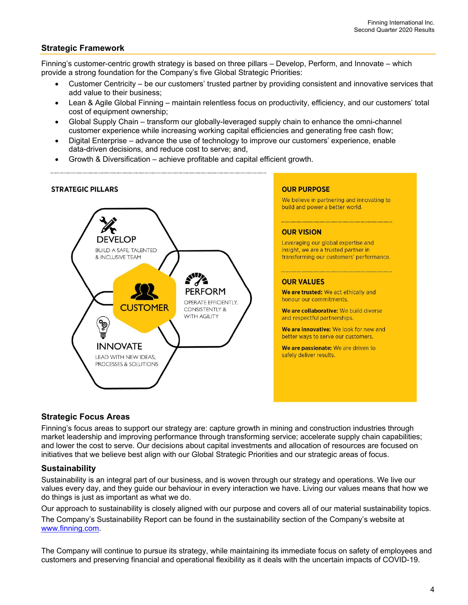### **Strategic Framework**

Finning's customer-centric growth strategy is based on three pillars – Develop, Perform, and Innovate – which provide a strong foundation for the Company's five Global Strategic Priorities:

- Customer Centricity be our customers' trusted partner by providing consistent and innovative services that add value to their business;
- Lean & Agile Global Finning maintain relentless focus on productivity, efficiency, and our customers' total cost of equipment ownership;
- Global Supply Chain transform our globally-leveraged supply chain to enhance the omni-channel customer experience while increasing working capital efficiencies and generating free cash flow;
- Digital Enterprise advance the use of technology to improve our customers' experience, enable data-driven decisions, and reduce cost to serve; and,
- Growth & Diversification achieve profitable and capital efficient growth.



#### **OUR PURPOSE**

We believe in partnering and innovating to build and power a better world.

#### **OUR VISION**

Leveraging our global expertise and insight, we are a trusted partner in transforming our customers' performance.

#### **OUR VALUES**

We are trusted: We act ethically and honour our commitments.

We are collaborative: We build diverse and respectful partnerships.

We are innovative: We look for new and better ways to serve our customers.

We are passionate: We are driven to safely deliver results.

### **Strategic Focus Areas**

Finning's focus areas to support our strategy are: capture growth in mining and construction industries through market leadership and improving performance through transforming service; accelerate supply chain capabilities; and lower the cost to serve. Our decisions about capital investments and allocation of resources are focused on initiatives that we believe best align with our Global Strategic Priorities and our strategic areas of focus.

### **Sustainability**

Sustainability is an integral part of our business, and is woven through our strategy and operations. We live our values every day, and they guide our behaviour in every interaction we have. Living our values means that how we do things is just as important as what we do.

Our approach to sustainability is closely aligned with our purpose and covers all of our material sustainability topics. The Company's Sustainability Report can be found in the sustainability section of the Company's website at www.finning.com.

The Company will continue to pursue its strategy, while maintaining its immediate focus on safety of employees and customers and preserving financial and operational flexibility as it deals with the uncertain impacts of COVID-19.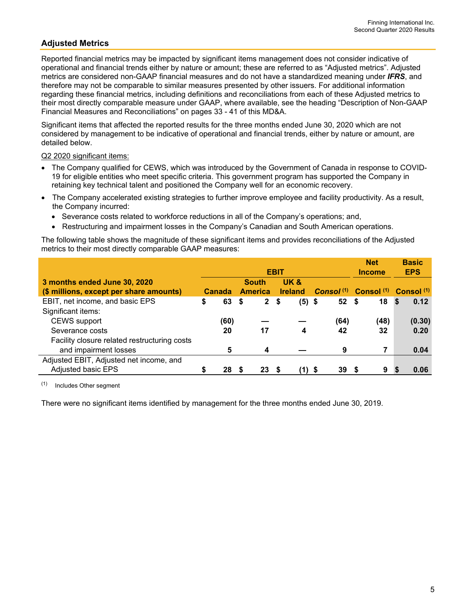# **Adjusted Metrics**

Reported financial metrics may be impacted by significant items management does not consider indicative of operational and financial trends either by nature or amount; these are referred to as "Adjusted metrics". Adjusted metrics are considered non-GAAP financial measures and do not have a standardized meaning under *IFRS*, and therefore may not be comparable to similar measures presented by other issuers. For additional information regarding these financial metrics, including definitions and reconciliations from each of these Adjusted metrics to their most directly comparable measure under GAAP, where available, see the heading "Description of Non-GAAP Financial Measures and Reconciliations" on pages 33 - 41 of this MD&A.

Significant items that affected the reported results for the three months ended June 30, 2020 which are not considered by management to be indicative of operational and financial trends, either by nature or amount, are detailed below.

Q2 2020 significant items:

- The Company qualified for CEWS, which was introduced by the Government of Canada in response to COVID-19 for eligible entities who meet specific criteria. This government program has supported the Company in retaining key technical talent and positioned the Company well for an economic recovery.
- The Company accelerated existing strategies to further improve employee and facility productivity. As a result, the Company incurred:
	- Severance costs related to workforce reductions in all of the Company's operations; and,
	- Restructuring and impairment losses in the Company's Canadian and South American operations.

The following table shows the magnitude of these significant items and provides reconciliations of the Adjusted metrics to their most directly comparable GAAP measures:

|                                              |   |        |                |              |               |                |                 | <b>Net</b>                                                        | <b>Basic</b> |
|----------------------------------------------|---|--------|----------------|--------------|---------------|----------------|-----------------|-------------------------------------------------------------------|--------------|
|                                              |   |        |                |              | <b>Income</b> | <b>EPS</b>     |                 |                                                                   |              |
| 3 months ended June 30, 2020                 |   |        | <b>South</b>   |              |               | UK &           |                 |                                                                   |              |
| (\$ millions, except per share amounts)      |   | Canada | <b>America</b> |              |               | <b>Ireland</b> |                 | Consol <sup>(1)</sup> Consol <sup>(1)</sup> Consol <sup>(1)</sup> |              |
| EBIT, net income, and basic EPS              | S | 63     | \$             | $\mathbf{2}$ | - \$          | $(5)$ \$       | 52 <sup>5</sup> | 18                                                                | 0.12<br>-S   |
| Significant items:                           |   |        |                |              |               |                |                 |                                                                   |              |
| <b>CEWS</b> support                          |   | (60)   |                |              |               |                | (64)            | (48)                                                              | (0.30)       |
| Severance costs                              |   | 20     |                | 17           |               | 4              | 42              | 32                                                                | 0.20         |
| Facility closure related restructuring costs |   |        |                |              |               |                |                 |                                                                   |              |
| and impairment losses                        |   | 5      |                | 4            |               |                | 9               | 7                                                                 | 0.04         |
| Adjusted EBIT, Adjusted net income, and      |   |        |                |              |               |                |                 |                                                                   |              |
| <b>Adjusted basic EPS</b>                    |   | 28     |                | 23           |               | (1)            | 39<br>- \$      | 9                                                                 | 0.06         |

(1) Includes Other segment

There were no significant items identified by management for the three months ended June 30, 2019.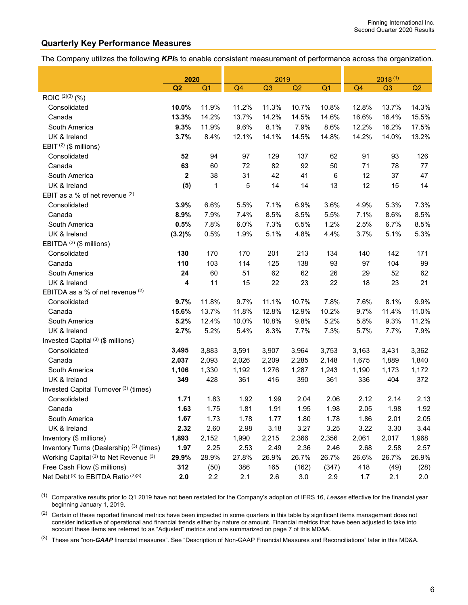### **Quarterly Key Performance Measures**

The Company utilizes the following *KPI*s to enable consistent measurement of performance across the organization.

|                                                              | 2020         |                |                | 2019  |       |                | $2018^{(1)}$   |                |       |  |
|--------------------------------------------------------------|--------------|----------------|----------------|-------|-------|----------------|----------------|----------------|-------|--|
|                                                              | Q2           | Q <sub>1</sub> | Q <sub>4</sub> | Q3    | Q2    | Q <sub>1</sub> | Q <sub>4</sub> | Q <sub>3</sub> | Q2    |  |
| ROIC (2)(3) (%)                                              |              |                |                |       |       |                |                |                |       |  |
| Consolidated                                                 | 10.0%        | 11.9%          | 11.2%          | 11.3% | 10.7% | 10.8%          | 12.8%          | 13.7%          | 14.3% |  |
| Canada                                                       | 13.3%        | 14.2%          | 13.7%          | 14.2% | 14.5% | 14.6%          | 16.6%          | 16.4%          | 15.5% |  |
| South America                                                | 9.3%         | 11.9%          | 9.6%           | 8.1%  | 7.9%  | 8.6%           | 12.2%          | 16.2%          | 17.5% |  |
| UK & Ireland                                                 | 3.7%         | 8.4%           | 12.1%          | 14.1% | 14.5% | 14.8%          | 14.2%          | 14.0%          | 13.2% |  |
| EBIT <sup>(2)</sup> (\$ millions)                            |              |                |                |       |       |                |                |                |       |  |
| Consolidated                                                 | 52           | 94             | 97             | 129   | 137   | 62             | 91             | 93             | 126   |  |
| Canada                                                       | 63           | 60             | 72             | 82    | 92    | 50             | 71             | 78             | 77    |  |
| South America                                                | $\mathbf{2}$ | 38             | 31             | 42    | 41    | $\,6$          | 12             | 37             | 47    |  |
| UK & Ireland                                                 | (5)          | 1              | 5              | 14    | 14    | 13             | 12             | 15             | 14    |  |
| EBIT as a % of net revenue (2)                               |              |                |                |       |       |                |                |                |       |  |
| Consolidated                                                 | 3.9%         | 6.6%           | 5.5%           | 7.1%  | 6.9%  | 3.6%           | 4.9%           | 5.3%           | 7.3%  |  |
| Canada                                                       | 8.9%         | 7.9%           | 7.4%           | 8.5%  | 8.5%  | 5.5%           | 7.1%           | 8.6%           | 8.5%  |  |
| South America                                                | 0.5%         | 7.8%           | 6.0%           | 7.3%  | 6.5%  | 1.2%           | 2.5%           | 6.7%           | 8.5%  |  |
| UK & Ireland                                                 | $(3.2)\%$    | 0.5%           | 1.9%           | 5.1%  | 4.8%  | 4.4%           | 3.7%           | 5.1%           | 5.3%  |  |
| EBITDA <sup>(2)</sup> (\$ millions)                          |              |                |                |       |       |                |                |                |       |  |
| Consolidated                                                 | 130          | 170            | 170            | 201   | 213   | 134            | 140            | 142            | 171   |  |
| Canada                                                       | 110          | 103            | 114            | 125   | 138   | 93             | 97             | 104            | 99    |  |
| South America                                                | 24           | 60             | 51             | 62    | 62    | 26             | 29             | 52             | 62    |  |
| UK & Ireland                                                 | 4            | 11             | 15             | 22    | 23    | 22             | 18             | 23             | 21    |  |
| EBITDA as a % of net revenue (2)                             |              |                |                |       |       |                |                |                |       |  |
| Consolidated                                                 | 9.7%         | 11.8%          | 9.7%           | 11.1% | 10.7% | 7.8%           | 7.6%           | 8.1%           | 9.9%  |  |
| Canada                                                       | 15.6%        | 13.7%          | 11.8%          | 12.8% | 12.9% | 10.2%          | 9.7%           | 11.4%          | 11.0% |  |
| South America                                                | 5.2%         | 12.4%          | 10.0%          | 10.8% | 9.8%  | 5.2%           | 5.8%           | 9.3%           | 11.2% |  |
| UK & Ireland                                                 | 2.7%         | 5.2%           | 5.4%           | 8.3%  | 7.7%  | 7.3%           | 5.7%           | 7.7%           | 7.9%  |  |
| Invested Capital <sup>(3)</sup> (\$ millions)                |              |                |                |       |       |                |                |                |       |  |
| Consolidated                                                 | 3,495        | 3,883          | 3,591          | 3,907 | 3,964 | 3,753          | 3,163          | 3,431          | 3,362 |  |
| Canada                                                       | 2,037        | 2,093          | 2,026          | 2,209 | 2,285 | 2,148          | 1,675          | 1,889          | 1,840 |  |
| South America                                                | 1,106        | 1,330          | 1,192          | 1,276 | 1,287 | 1,243          | 1,190          | 1,173          | 1,172 |  |
| UK & Ireland                                                 | 349          | 428            | 361            | 416   | 390   | 361            | 336            | 404            | 372   |  |
| Invested Capital Turnover <sup>(3)</sup> (times)             |              |                |                |       |       |                |                |                |       |  |
| Consolidated                                                 | 1.71         | 1.83           | 1.92           | 1.99  | 2.04  | 2.06           | 2.12           | 2.14           | 2.13  |  |
| Canada                                                       | 1.63         | 1.75           | 1.81           | 1.91  | 1.95  | 1.98           | 2.05           | 1.98           | 1.92  |  |
| South America                                                | 1.67         | 1.73           | 1.78           | 1.77  | 1.80  | 1.78           | 1.86           | 2.01           | 2.05  |  |
| UK & Ireland                                                 | 2.32         | 2.60           | 2.98           | 3.18  | 3.27  | 3.25           | 3.22           | 3.30           | 3.44  |  |
| Inventory (\$ millions)                                      | 1,893        | 2,152          | 1,990          | 2,215 | 2,366 | 2,356          | 2,061          | 2,017          | 1,968 |  |
| Inventory Turns (Dealership) <sup>(3)</sup> (times)          | 1.97         | 2.25           | 2.53           | 2.49  | 2.36  | 2.46           | 2.68           | 2.58           | 2.57  |  |
| Working Capital <sup>(3)</sup> to Net Revenue <sup>(3)</sup> | 29.9%        | 28.9%          | 27.8%          | 26.9% | 26.7% | 26.7%          | 26.6%          | 26.7%          | 26.9% |  |
| Free Cash Flow (\$ millions)                                 | 312          | (50)           | 386            | 165   | (162) | (347)          | 418            | (49)           | (28)  |  |
| Net Debt <sup>(3)</sup> to EBITDA Ratio <sup>(2)(3)</sup>    | 2.0          | 2.2            | 2.1            | 2.6   | 3.0   | 2.9            | 1.7            | 2.1            | 2.0   |  |

(1) Comparative results prior to Q1 2019 have not been restated for the Company's adoption of IFRS 16, *Leases* effective for the financial year beginning January 1, 2019.

(2) Certain of these reported financial metrics have been impacted in some quarters in this table by significant items management does not consider indicative of operational and financial trends either by nature or amount. Financial metrics that have been adjusted to take into account these items are referred to as "Adjusted" metrics and are summarized on page 7 of this MD&A.

(3) These are "non-*GAAP* financial measures". See "Description of Non-GAAP Financial Measures and Reconciliations" later in this MD&A.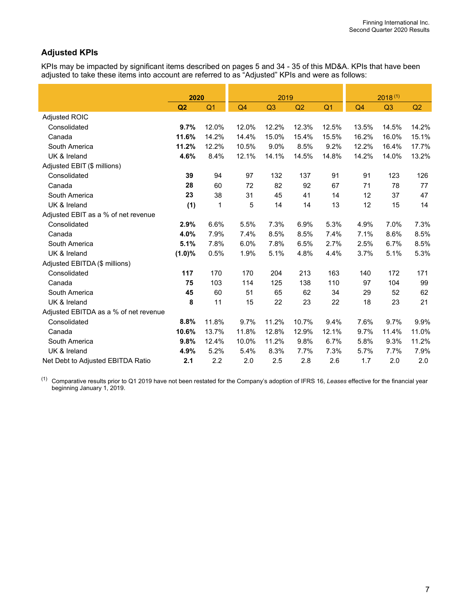# **Adjusted KPIs**

KPIs may be impacted by significant items described on pages 5 and 34 - 35 of this MD&A. KPIs that have been adjusted to take these items into account are referred to as "Adjusted" KPIs and were as follows:

|                                       | 2020      |                |                | 2019           |       |                |                | $2018^{(1)}$ |       |  |
|---------------------------------------|-----------|----------------|----------------|----------------|-------|----------------|----------------|--------------|-------|--|
|                                       | Q2        | Q <sub>1</sub> | Q <sub>4</sub> | Q <sub>3</sub> | Q2    | Q <sub>1</sub> | Q <sub>4</sub> | Q3           | Q2    |  |
| Adjusted ROIC                         |           |                |                |                |       |                |                |              |       |  |
| Consolidated                          | 9.7%      | 12.0%          | 12.0%          | 12.2%          | 12.3% | 12.5%          | 13.5%          | 14.5%        | 14.2% |  |
| Canada                                | 11.6%     | 14.2%          | 14.4%          | 15.0%          | 15.4% | 15.5%          | 16.2%          | 16.0%        | 15.1% |  |
| South America                         | 11.2%     | 12.2%          | 10.5%          | 9.0%           | 8.5%  | 9.2%           | 12.2%          | 16.4%        | 17.7% |  |
| UK & Ireland                          | 4.6%      | 8.4%           | 12.1%          | 14.1%          | 14.5% | 14.8%          | 14.2%          | 14.0%        | 13.2% |  |
| Adjusted EBIT (\$ millions)           |           |                |                |                |       |                |                |              |       |  |
| Consolidated                          | 39        | 94             | 97             | 132            | 137   | 91             | 91             | 123          | 126   |  |
| Canada                                | 28        | 60             | 72             | 82             | 92    | 67             | 71             | 78           | 77    |  |
| South America                         | 23        | 38             | 31             | 45             | 41    | 14             | 12             | 37           | 47    |  |
| UK & Ireland                          | (1)       | 1              | 5              | 14             | 14    | 13             | 12             | 15           | 14    |  |
| Adjusted EBIT as a % of net revenue   |           |                |                |                |       |                |                |              |       |  |
| Consolidated                          | 2.9%      | 6.6%           | 5.5%           | 7.3%           | 6.9%  | 5.3%           | 4.9%           | 7.0%         | 7.3%  |  |
| Canada                                | 4.0%      | 7.9%           | 7.4%           | 8.5%           | 8.5%  | 7.4%           | 7.1%           | 8.6%         | 8.5%  |  |
| South America                         | 5.1%      | 7.8%           | 6.0%           | 7.8%           | 6.5%  | 2.7%           | 2.5%           | 6.7%         | 8.5%  |  |
| UK & Ireland                          | $(1.0)\%$ | 0.5%           | 1.9%           | 5.1%           | 4.8%  | 4.4%           | 3.7%           | 5.1%         | 5.3%  |  |
| Adjusted EBITDA (\$ millions)         |           |                |                |                |       |                |                |              |       |  |
| Consolidated                          | 117       | 170            | 170            | 204            | 213   | 163            | 140            | 172          | 171   |  |
| Canada                                | 75        | 103            | 114            | 125            | 138   | 110            | 97             | 104          | 99    |  |
| South America                         | 45        | 60             | 51             | 65             | 62    | 34             | 29             | 52           | 62    |  |
| UK & Ireland                          | 8         | 11             | 15             | 22             | 23    | 22             | 18             | 23           | 21    |  |
| Adjusted EBITDA as a % of net revenue |           |                |                |                |       |                |                |              |       |  |
| Consolidated                          | 8.8%      | 11.8%          | 9.7%           | 11.2%          | 10.7% | 9.4%           | 7.6%           | 9.7%         | 9.9%  |  |
| Canada                                | 10.6%     | 13.7%          | 11.8%          | 12.8%          | 12.9% | 12.1%          | 9.7%           | 11.4%        | 11.0% |  |
| South America                         | 9.8%      | 12.4%          | 10.0%          | 11.2%          | 9.8%  | 6.7%           | 5.8%           | 9.3%         | 11.2% |  |
| UK & Ireland                          | 4.9%      | 5.2%           | 5.4%           | 8.3%           | 7.7%  | 7.3%           | 5.7%           | 7.7%         | 7.9%  |  |
| Net Debt to Adjusted EBITDA Ratio     | 2.1       | 2.2            | 2.0            | 2.5            | 2.8   | 2.6            | 1.7            | 2.0          | 2.0   |  |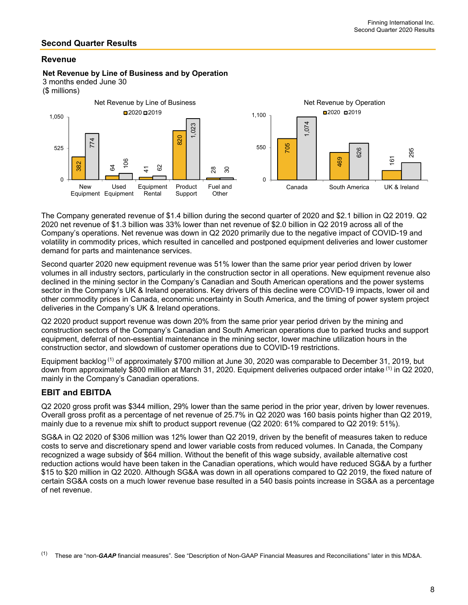### **Second Quarter Results**

### **Revenue**

#### **Net Revenue by Line of Business and by Operation**

3 months ended June 30

(\$ millions)



The Company generated revenue of \$1.4 billion during the second quarter of 2020 and \$2.1 billion in Q2 2019. Q2 2020 net revenue of \$1.3 billion was 33% lower than net revenue of \$2.0 billion in Q2 2019 across all of the Company's operations. Net revenue was down in Q2 2020 primarily due to the negative impact of COVID-19 and volatility in commodity prices, which resulted in cancelled and postponed equipment deliveries and lower customer demand for parts and maintenance services.

Second quarter 2020 new equipment revenue was 51% lower than the same prior year period driven by lower volumes in all industry sectors, particularly in the construction sector in all operations. New equipment revenue also declined in the mining sector in the Company's Canadian and South American operations and the power systems sector in the Company's UK & Ireland operations. Key drivers of this decline were COVID-19 impacts, lower oil and other commodity prices in Canada, economic uncertainty in South America, and the timing of power system project deliveries in the Company's UK & Ireland operations.

Q2 2020 product support revenue was down 20% from the same prior year period driven by the mining and construction sectors of the Company's Canadian and South American operations due to parked trucks and support equipment, deferral of non-essential maintenance in the mining sector, lower machine utilization hours in the construction sector, and slowdown of customer operations due to COVID-19 restrictions.

Equipment backlog (1) of approximately \$700 million at June 30, 2020 was comparable to December 31, 2019, but down from approximately \$800 million at March 31, 2020. Equipment deliveries outpaced order intake <sup>(1)</sup> in Q2 2020, mainly in the Company's Canadian operations.

## **EBITand EBITDA**

Q2 2020 gross profit was \$344 million, 29% lower than the same period in the prior year, driven by lower revenues. Overall gross profit as a percentage of net revenue of 25.7% in Q2 2020 was 160 basis points higher than Q2 2019, mainly due to a revenue mix shift to product support revenue (Q2 2020: 61% compared to Q2 2019: 51%).

SG&A in Q2 2020 of \$306 million was 12% lower than Q2 2019, driven by the benefit of measures taken to reduce costs to serve and discretionary spend and lower variable costs from reduced volumes. In Canada, the Company recognized a wage subsidy of \$64 million. Without the benefit of this wage subsidy, available alternative cost reduction actions would have been taken in the Canadian operations, which would have reduced SG&A by a further \$15 to \$20 million in Q2 2020. Although SG&A was down in all operations compared to Q2 2019, the fixed nature of certain SG&A costs on a much lower revenue base resulted in a 540 basis points increase in SG&A as a percentage of net revenue.

(1) These are "non-*GAAP* financial measures". See "Description of Non-GAAP Financial Measures and Reconciliations" later in this MD&A.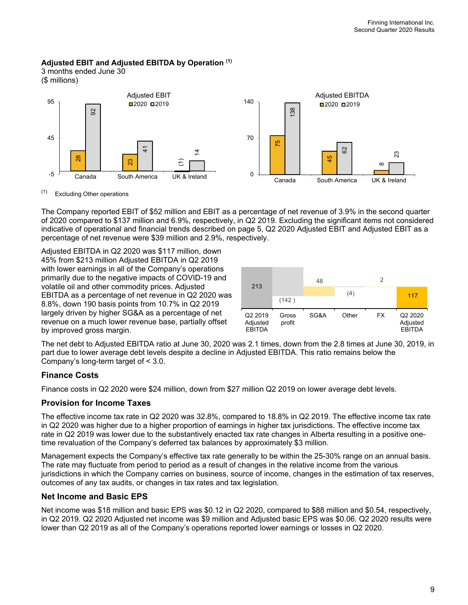### **Adjusted EBIT and Adjusted EBITDA by Operation (1)**

3 months ended June 30 (\$ millions)



The Company reported EBIT of \$52 million and EBIT as a percentage of net revenue of 3.9% in the second quarter of 2020 compared to \$137 million and 6.9%, respectively, in Q2 2019. Excluding the significant items not considered indicative of operational and financial trends described on page 5, Q2 2020 Adjusted EBIT and Adjusted EBIT as a percentage of net revenue were \$39 million and 2.9%, respectively.

Adjusted EBITDA in Q2 2020 was \$117 million, down 45% from \$213 million Adjusted EBITDA in Q2 2019 with lower earnings in all of the Company's operations primarily due to the negative impacts of COVID-19 and volatile oil and other commodity prices. Adjusted EBITDA as a percentage of net revenue in Q2 2020 was 8.8%, down 190 basis points from 10.7% in Q2 2019 largely driven by higher SG&A as a percentage of net revenue on a much lower revenue base, partially offset by improved gross margin.



The net debt to Adjusted EBITDA ratio at June 30, 2020 was 2.1 times, down from the 2.8 times at June 30, 2019, in part due to lower average debt levels despite a decline in Adjusted EBITDA. This ratio remains below the Company's long-term target of < 3.0.

# **Finance Costs**

Finance costs in Q2 2020 were \$24 million, down from \$27 million Q2 2019 on lower average debt levels.

### **Provision for Income Taxes**

The effective income tax rate in Q2 2020 was 32.8%, compared to 18.8% in Q2 2019. The effective income tax rate in Q2 2020 was higher due to a higher proportion of earnings in higher tax jurisdictions. The effective income tax rate in Q2 2019 was lower due to the substantively enacted tax rate changes in Alberta resulting in a positive onetime revaluation of the Company's deferred tax balances by approximately \$3 million.

Management expects the Company's effective tax rate generally to be within the 25-30% range on an annual basis. The rate may fluctuate from period to period as a result of changes in the relative income from the various jurisdictions in which the Company carries on business, source of income, changes in the estimation of tax reserves, outcomes of any tax audits, or changes in tax rates and tax legislation.

## **Net Income and Basic EPS**

Net income was \$18 million and basic EPS was \$0.12 in Q2 2020, compared to \$88 million and \$0.54, respectively, in Q2 2019. Q2 2020 Adjusted net income was \$9 million and Adjusted basic EPS was \$0.06. Q2 2020 results were lower than Q2 2019 as all of the Company's operations reported lower earnings or losses in Q2 2020.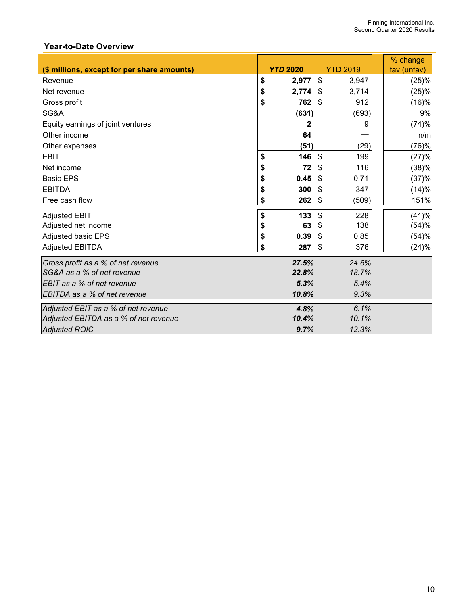# **Year-to-Date Overview**

|                                             |                  |                           |                 | % change    |
|---------------------------------------------|------------------|---------------------------|-----------------|-------------|
| (\$ millions, except for per share amounts) | <b>YTD 2020</b>  |                           | <b>YTD 2019</b> | fav (unfav) |
| Revenue                                     | \$<br>2,977      | $\boldsymbol{\mathsf{S}}$ | 3,947           | (25)%       |
| Net revenue                                 | \$<br>$2,774$ \$ |                           | 3,714           | (25)%       |
| Gross profit                                | \$<br>762        | \$                        | 912             | (16)%       |
| SG&A                                        | (631)            |                           | (693)           | 9%          |
| Equity earnings of joint ventures           | 2                |                           | 9               | (74)%       |
| Other income                                | 64               |                           |                 | n/m         |
| Other expenses                              | (51)             |                           | (29)            | (76)%       |
| <b>EBIT</b>                                 | \$<br>146        | \$                        | 199             | (27)%       |
| Net income                                  | \$<br>72         | \$                        | 116             | (38)%       |
| <b>Basic EPS</b>                            | \$<br>0.45       | \$                        | 0.71            | (37)%       |
| <b>EBITDA</b>                               | \$<br>300        | \$                        | 347             | (14)%       |
| Free cash flow                              | \$<br>262        | \$                        | (509)           | 151%        |
| <b>Adjusted EBIT</b>                        | \$<br>133        | \$                        | 228             | (41)%       |
| Adjusted net income                         | \$<br>63         | -\$                       | 138             | (54)%       |
| Adjusted basic EPS                          | \$<br>0.39       | \$                        | 0.85            | (54)%       |
| <b>Adjusted EBITDA</b>                      | \$<br>287        | \$                        | 376             | (24)%       |
| Gross profit as a % of net revenue          | 27.5%            |                           | 24.6%           |             |
| SG&A as a % of net revenue                  | 22.8%            |                           | 18.7%           |             |
| EBIT as a % of net revenue                  | 5.3%             |                           | 5.4%            |             |
| EBITDA as a % of net revenue                | 10.8%            |                           | 9.3%            |             |
| Adjusted EBIT as a % of net revenue         | 4.8%             |                           | 6.1%            |             |
| Adjusted EBITDA as a % of net revenue       | 10.4%            |                           | 10.1%           |             |
| <b>Adjusted ROIC</b>                        | 9.7%             |                           | 12.3%           |             |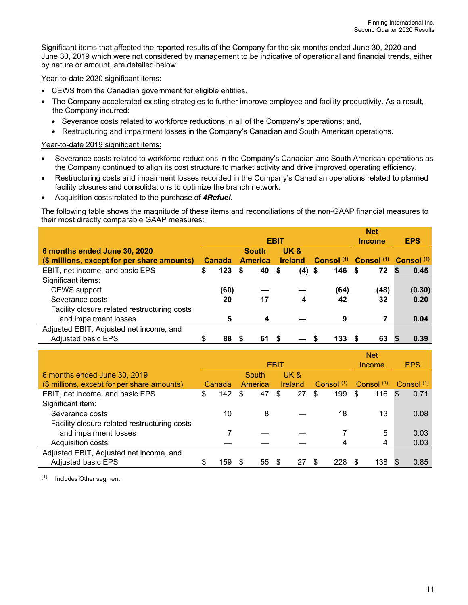Significant items that affected the reported results of the Company for the six months ended June 30, 2020 and June 30, 2019 which were not considered by management to be indicative of operational and financial trends, either by nature or amount, are detailed below.

Year-to-date 2020 significant items:

- CEWS from the Canadian government for eligible entities.
- The Company accelerated existing strategies to further improve employee and facility productivity. As a result, the Company incurred:
	- Severance costs related to workforce reductions in all of the Company's operations; and,
	- Restructuring and impairment losses in the Company's Canadian and South American operations.

#### Year-to-date 2019 significant items:

- Severance costs related to workforce reductions in the Company's Canadian and South American operations as the Company continued to align its cost structure to market activity and drive improved operating efficiency.
- Restructuring costs and impairment losses recorded in the Company's Canadian operations related to planned facility closures and consolidations to optimize the branch network.
- Acquisition costs related to the purchase of *4Refuel*.

The following table shows the magnitude of these items and reconciliations of the non-GAAP financial measures to their most directly comparable GAAP measures:

|                                              |    |                  |                |              |      |                |            |          | <b>Net</b>                                                        |            |
|----------------------------------------------|----|------------------|----------------|--------------|------|----------------|------------|----------|-------------------------------------------------------------------|------------|
|                                              |    |                  |                | <b>EBIT</b>  |      | <b>Income</b>  | <b>EPS</b> |          |                                                                   |            |
| 6 months ended June 30, 2020                 |    |                  |                | <b>South</b> |      | UK &           |            |          |                                                                   |            |
| (\$ millions, except for per share amounts)  |    | <b>Canada</b>    | <b>America</b> |              |      | <b>Ireland</b> |            |          | Consol <sup>(1)</sup> Consol <sup>(1)</sup> Consol <sup>(1)</sup> |            |
| EBIT, net income, and basic EPS              | \$ | 123 <sup>5</sup> |                | 40           | - \$ | $(4)$ \$       |            | $146$ \$ | 72                                                                | 0.45<br>-S |
| Significant items:                           |    |                  |                |              |      |                |            |          |                                                                   |            |
| <b>CEWS</b> support                          |    | (60)             |                |              |      |                |            | (64)     | (48)                                                              | (0.30)     |
| Severance costs                              |    | 20               |                | 17           |      | 4              |            | 42       | 32                                                                | 0.20       |
| Facility closure related restructuring costs |    |                  |                |              |      |                |            |          |                                                                   |            |
| and impairment losses                        |    | 5                |                | 4            |      |                |            | 9        |                                                                   | 0.04       |
| Adjusted EBIT, Adjusted net income, and      |    |                  |                |              |      |                |            |          |                                                                   |            |
| <b>Adjusted basic EPS</b>                    |    | 88               |                | 61           |      |                | 133        |          | 63                                                                | 0.39       |

|                                              |    |        |    |         |             |                |              | <b>Net</b>   |     |              |
|----------------------------------------------|----|--------|----|---------|-------------|----------------|--------------|--------------|-----|--------------|
|                                              |    |        |    |         | <b>EBIT</b> |                |              | Income       |     | <b>EPS</b>   |
| 6 months ended June 30, 2019                 |    |        |    | South   |             | UK &           |              |              |     |              |
| (\$ millions, except for per share amounts)  |    | Canada |    | America |             | <b>Ireland</b> | Consol $(1)$ | Consol $(1)$ |     | Consol $(1)$ |
| EBIT, net income, and basic EPS              | \$ | 142    | -S | 47      | \$          | 27             | \$<br>199    | \$           | 116 | \$<br>0.71   |
| Significant item:                            |    |        |    |         |             |                |              |              |     |              |
| Severance costs                              |    | 10     |    | 8       |             |                | 18           |              | 13  | 0.08         |
| Facility closure related restructuring costs |    |        |    |         |             |                |              |              |     |              |
| and impairment losses                        |    |        |    |         |             |                |              |              | 5   | 0.03         |
| Acquisition costs                            |    |        |    |         |             |                |              |              | 4   | 0.03         |
| Adjusted EBIT, Adjusted net income, and      |    |        |    |         |             |                |              |              |     |              |
| <b>Adjusted basic EPS</b>                    | S  | 159    |    | 55      |             | 27             | 228          |              | 138 | 0.85         |

(1) Includes Other segment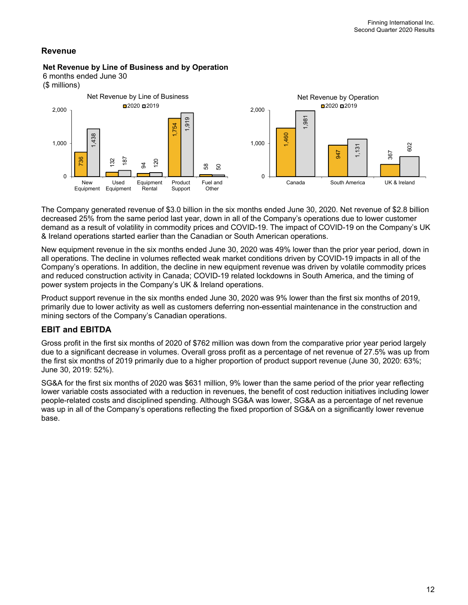# **Revenue**

#### **Net Revenue by Line of Business and by Operation**

6 months ended June 30





The Company generated revenue of \$3.0 billion in the six months ended June 30, 2020. Net revenue of \$2.8 billion decreased 25% from the same period last year, down in all of the Company's operations due to lower customer demand as a result of volatility in commodity prices and COVID-19. The impact of COVID-19 on the Company's UK & Ireland operations started earlier than the Canadian or South American operations.

New equipment revenue in the six months ended June 30, 2020 was 49% lower than the prior year period, down in all operations. The decline in volumes reflected weak market conditions driven by COVID-19 impacts in all of the Company's operations. In addition, the decline in new equipment revenue was driven by volatile commodity prices and reduced construction activity in Canada; COVID-19 related lockdowns in South America, and the timing of power system projects in the Company's UK & Ireland operations.

Product support revenue in the six months ended June 30, 2020 was 9% lower than the first six months of 2019, primarily due to lower activity as well as customers deferring non-essential maintenance in the construction and mining sectors of the Company's Canadian operations.

# **EBITand EBITDA**

Gross profit in the first six months of 2020 of \$762 million was down from the comparative prior year period largely due to a significant decrease in volumes. Overall gross profit as a percentage of net revenue of 27.5% was up from the first six months of 2019 primarily due to a higher proportion of product support revenue (June 30, 2020: 63%; June 30, 2019: 52%).

SG&A for the first six months of 2020 was \$631 million, 9% lower than the same period of the prior year reflecting lower variable costs associated with a reduction in revenues, the benefit of cost reduction initiatives including lower people-related costs and disciplined spending. Although SG&A was lower, SG&A as a percentage of net revenue was up in all of the Company's operations reflecting the fixed proportion of SG&A on a significantly lower revenue base.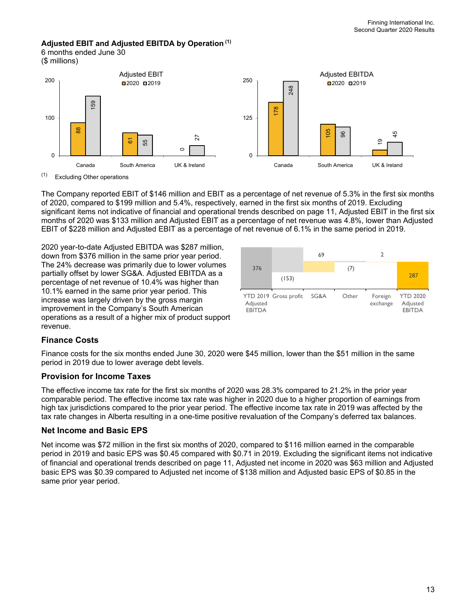# **Adjusted EBIT and Adjusted EBITDA by Operation (1)**

6 months ended June 30





(1) Excluding Other operations

The Company reported EBIT of \$146 million and EBIT as a percentage of net revenue of 5.3% in the first six months of 2020, compared to \$199 million and 5.4%, respectively, earned in the first six months of 2019. Excluding significant items not indicative of financial and operational trends described on page 11, Adjusted EBIT in the first six months of 2020 was \$133 million and Adjusted EBIT as a percentage of net revenue was 4.8%, lower than Adjusted EBIT of \$228 million and Adjusted EBIT as a percentage of net revenue of 6.1% in the same period in 2019.

2020 year-to-date Adjusted EBITDA was \$287 million, down from \$376 million in the same prior year period. The 24% decrease was primarily due to lower volumes partially offset by lower SG&A. Adjusted EBITDA as a percentage of net revenue of 10.4% was higher than 10.1% earned in the same prior year period. This increase was largely driven by the gross margin improvement in the Company's South American operations as a result of a higher mix of product support revenue.



# **Finance Costs**

Finance costs for the six months ended June 30, 2020 were \$45 million, lower than the \$51 million in the same period in 2019 due to lower average debt levels.

## **Provision for Income Taxes**

The effective income tax rate for the first six months of 2020 was 28.3% compared to 21.2% in the prior year comparable period. The effective income tax rate was higher in 2020 due to a higher proportion of earnings from high tax jurisdictions compared to the prior year period. The effective income tax rate in 2019 was affected by the tax rate changes in Alberta resulting in a one-time positive revaluation of the Company's deferred tax balances.

## **Net Income and Basic EPS**

Net income was \$72 million in the first six months of 2020, compared to \$116 million earned in the comparable period in 2019 and basic EPS was \$0.45 compared with \$0.71 in 2019. Excluding the significant items not indicative of financial and operational trends described on page 11, Adjusted net income in 2020 was \$63 million and Adjusted basic EPS was \$0.39 compared to Adjusted net income of \$138 million and Adjusted basic EPS of \$0.85 in the same prior year period.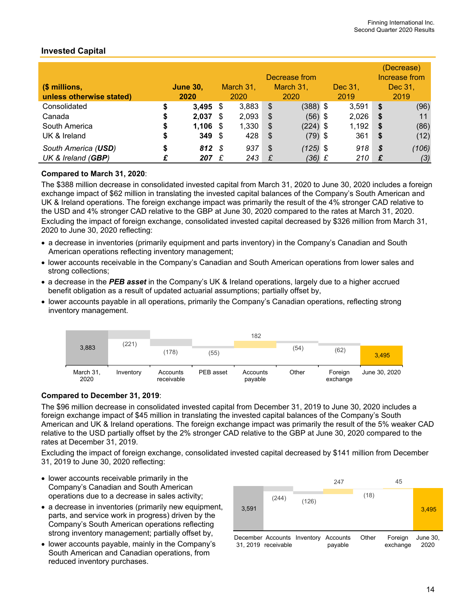|                          |                 |      |           | (Decrease)    |            |         |       |          |         |
|--------------------------|-----------------|------|-----------|---------------|------------|---------|-------|----------|---------|
|                          |                 |      |           | Increase from |            |         |       |          |         |
| (\$ millions,            | <b>June 30,</b> |      | March 31, |               | March 31,  | Dec 31, |       |          | Dec 31, |
| unless otherwise stated) | 2020            |      | 2020      |               | 2020       |         | 2019  | 2019     |         |
| Consolidated             | \$<br>3,495     | - \$ | 3,883     | - \$          | $(388)$ \$ |         | 3,591 | Ŝ.       | (96)    |
| Canada                   | \$<br>2.037     | - 5  | 2,093     | \$            | $(56)$ \$  |         | 2,026 | <b>S</b> | 11      |
| South America            | \$<br>1,106     | - \$ | 1,330     | \$            | $(224)$ \$ |         | 1,192 | <b>S</b> | (86)    |
| UK & Ireland             | \$<br>$349$ \$  |      | 428       | \$            | $(79)$ \$  |         | 361   | <b>S</b> | (12)    |
| South America (USD)      | \$<br>812S      |      | 937       | \$            | $(125)$ \$ |         | 918   | - \$     | (106)   |
| UK & Ireland (GBP)       | 207             | £    | 243       | £             | (36) £     |         | 210   |          | (3)     |

# **Invested Capital**

### **Compared to March 31, 2020**:

The \$388 million decrease in consolidated invested capital from March 31, 2020 to June 30, 2020 includes a foreign exchange impact of \$62 million in translating the invested capital balances of the Company's South American and UK & Ireland operations. The foreign exchange impact was primarily the result of the 4% stronger CAD relative to the USD and 4% stronger CAD relative to the GBP at June 30, 2020 compared to the rates at March 31, 2020. Excluding the impact of foreign exchange, consolidated invested capital decreased by \$326 million from March 31, 2020 to June 30, 2020 reflecting:

- a decrease in inventories (primarily equipment and parts inventory) in the Company's Canadian and South American operations reflecting inventory management;
- lower accounts receivable in the Company's Canadian and South American operations from lower sales and strong collections;
- a decrease in the *PEB asset* in the Company's UK & Ireland operations, largely due to a higher accrued benefit obligation as a result of updated actuarial assumptions; partially offset by,
- lower accounts payable in all operations, primarily the Company's Canadian operations, reflecting strong inventory management.



### **Compared to December 31, 2019**:

The \$96 million decrease in consolidated invested capital from December 31, 2019 to June 30, 2020 includes a foreign exchange impact of \$45 million in translating the invested capital balances of the Company's South American and UK & Ireland operations. The foreign exchange impact was primarily the result of the 5% weaker CAD relative to the USD partially offset by the 2% stronger CAD relative to the GBP at June 30, 2020 compared to the rates at December 31, 2019.

Excluding the impact of foreign exchange, consolidated invested capital decreased by \$141 million from December 31, 2019 to June 30, 2020 reflecting:

- lower accounts receivable primarily in the Company's Canadian and South American operations due to a decrease in sales activity;
- a decrease in inventories (primarily new equipment, parts, and service work in progress) driven by the Company's South American operations reflecting strong inventory management; partially offset by,
- lower accounts payable, mainly in the Company's South American and Canadian operations, from reduced inventory purchases.

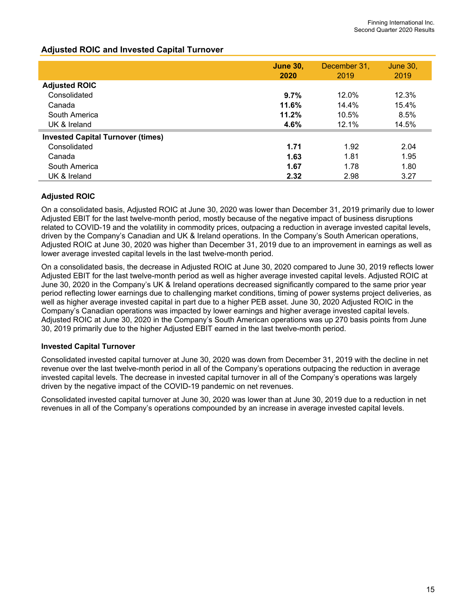### **Adjusted ROIC and Invested Capital Turnover**

|                                          | <b>June 30,</b><br>2020 | December 31,<br>2019 | <b>June 30,</b><br>2019 |
|------------------------------------------|-------------------------|----------------------|-------------------------|
| <b>Adjusted ROIC</b>                     |                         |                      |                         |
| Consolidated                             | 9.7%                    | 12.0%                | 12.3%                   |
| Canada                                   | 11.6%                   | 14.4%                | 15.4%                   |
| South America                            | 11.2%                   | 10.5%                | 8.5%                    |
| UK & Ireland                             | 4.6%                    | 12.1%                | 14.5%                   |
| <b>Invested Capital Turnover (times)</b> |                         |                      |                         |
| Consolidated                             | 1.71                    | 1.92                 | 2.04                    |
| Canada                                   | 1.63                    | 1.81                 | 1.95                    |
| South America                            | 1.67                    | 1.78                 | 1.80                    |
| UK & Ireland                             | 2.32                    | 2.98                 | 3.27                    |

### **Adjusted ROIC**

On a consolidated basis, Adjusted ROIC at June 30, 2020 was lower than December 31, 2019 primarily due to lower Adjusted EBIT for the last twelve-month period, mostly because of the negative impact of business disruptions related to COVID-19 and the volatility in commodity prices, outpacing a reduction in average invested capital levels, driven by the Company's Canadian and UK & Ireland operations. In the Company's South American operations, Adjusted ROIC at June 30, 2020 was higher than December 31, 2019 due to an improvement in earnings as well as lower average invested capital levels in the last twelve-month period.

On a consolidated basis, the decrease in Adjusted ROIC at June 30, 2020 compared to June 30, 2019 reflects lower Adjusted EBIT for the last twelve-month period as well as higher average invested capital levels. Adjusted ROIC at June 30, 2020 in the Company's UK & Ireland operations decreased significantly compared to the same prior year period reflecting lower earnings due to challenging market conditions, timing of power systems project deliveries, as well as higher average invested capital in part due to a higher PEB asset. June 30, 2020 Adjusted ROIC in the Company's Canadian operations was impacted by lower earnings and higher average invested capital levels. Adjusted ROIC at June 30, 2020 in the Company's South American operations was up 270 basis points from June 30, 2019 primarily due to the higher Adjusted EBIT earned in the last twelve-month period.

### **Invested Capital Turnover**

Consolidated invested capital turnover at June 30, 2020 was down from December 31, 2019 with the decline in net revenue over the last twelve-month period in all of the Company's operations outpacing the reduction in average invested capital levels. The decrease in invested capital turnover in all of the Company's operations was largely driven by the negative impact of the COVID-19 pandemic on net revenues.

Consolidated invested capital turnover at June 30, 2020 was lower than at June 30, 2019 due to a reduction in net revenues in all of the Company's operations compounded by an increase in average invested capital levels.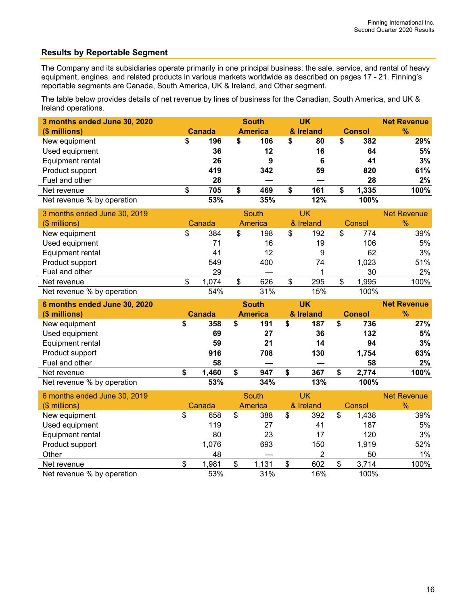# **Results by Reportable Segment**

The Company and its subsidiaries operate primarily in one principal business: the sale, service, and rental of heavy equipment, engines, and related products in various markets worldwide as described on pages 17 - 21. Finning's reportable segments are Canada, South America, UK & Ireland, and Other segment.

The table below provides details of net revenue by lines of business for the Canadian, South America, and UK & Ireland operations.

| 3 months ended June 30, 2020 |    |               | <b>South</b> |                | <b>UK</b>      |           |               |               | <b>Net Revenue</b> |
|------------------------------|----|---------------|--------------|----------------|----------------|-----------|---------------|---------------|--------------------|
| (\$ millions)                |    | Canada        |              | <b>America</b> |                | & Ireland | <b>Consol</b> |               | $\frac{9}{6}$      |
| New equipment                | \$ | 196           | \$           | 106            | \$             | 80        | \$            | 382           | 29%                |
| Used equipment               |    | 36            |              | 12             |                | 16        |               | 64            | 5%                 |
| Equipment rental             |    | 26            |              | 9              |                | 6         |               | 41            | 3%                 |
| Product support              |    | 419           |              | 342            |                | 59        |               | 820           | 61%                |
| Fuel and other               |    | 28            |              |                |                |           |               | 28            | 2%                 |
| Net revenue                  | \$ | 705           | \$           | 469            | \$             | 161       | \$            | 1,335         | 100%               |
| Net revenue % by operation   |    | 53%           |              | 35%            |                | 12%       |               | 100%          |                    |
| 3 months ended June 30, 2019 |    |               | South        |                | <b>UK</b>      |           |               |               | <b>Net Revenue</b> |
| (\$ millions)                |    | Canada        |              | America        | & Ireland      |           | Consol        |               | %                  |
| New equipment                | \$ | 384           | \$           | 198            | \$             | 192       | \$            | 774           | 39%                |
| Used equipment               |    | 71            |              | 16             |                | 19        |               | 106           | 5%                 |
| Equipment rental             |    | 41            |              | 12             |                | 9         |               | 62            | 3%                 |
| Product support              |    | 549           |              | 400            |                | 74        |               | 1,023         | 51%                |
| Fuel and other               |    | 29            |              |                |                |           |               | 30            | 2%                 |
| Net revenue                  | \$ | 1,074         | \$           | 626            | $\mathfrak{S}$ | 295       | \$            | 1,995         | 100%               |
| Net revenue % by operation   |    | 54%           |              | 31%            |                | 15%       |               | 100%          |                    |
| 6 months ended June 30, 2020 |    |               |              | <b>South</b>   |                | <b>UK</b> |               |               | <b>Net Revenue</b> |
| (\$ millions)                |    | <b>Canada</b> |              | <b>America</b> |                | & Ireland |               | <b>Consol</b> | $\frac{9}{6}$      |
| New equipment                | \$ | 358           | \$           | 191            | \$             | 187       | \$            | 736           | 27%                |
| Used equipment               |    | 69            |              | 27             |                | 36        |               | 132           | 5%                 |
| Equipment rental             |    | 59            |              | 21             |                | 14        |               | 94            | 3%                 |
| Product support              |    | 916           |              | 708            |                | 130       |               | 1,754         | 63%                |
| Fuel and other               |    | 58            |              |                |                |           |               | 58            | 2%                 |

| Net revenue % by operation   |    | 53%    |    | 34%     | 13%       |    | 100%   |                    |
|------------------------------|----|--------|----|---------|-----------|----|--------|--------------------|
| 6 months ended June 30, 2019 |    |        |    | South   | UK        |    |        | <b>Net Revenue</b> |
| $$$ millions)                |    | Canada |    | America | & Ireland |    | Consol | $\%$               |
| New equipment                | \$ | 658    | \$ | 388     | \$<br>392 | \$ | 1.438  | 39%                |
| Used equipment               |    | 119    |    | 27      | 41        |    | 187    | 5%                 |
| Equipment rental             |    | 80     |    | 23      | 17        |    | 120    | 3%                 |
| Product support              |    | 1,076  |    | 693     | 150       |    | 1,919  | 52%                |
| Other                        |    | 48     |    |         | 2         |    | 50     | 1%                 |
| Net revenue                  | æ  | 1,981  | S  | 1,131   | \$<br>602 | S  | 3,714  | 100%               |
| Net revenue % by operation   |    | 53%    |    | 31%     | 16%       |    | 100%   |                    |

Net revenue **\$ 1,460 \$ 947 \$ 367 \$ 2,774 100%**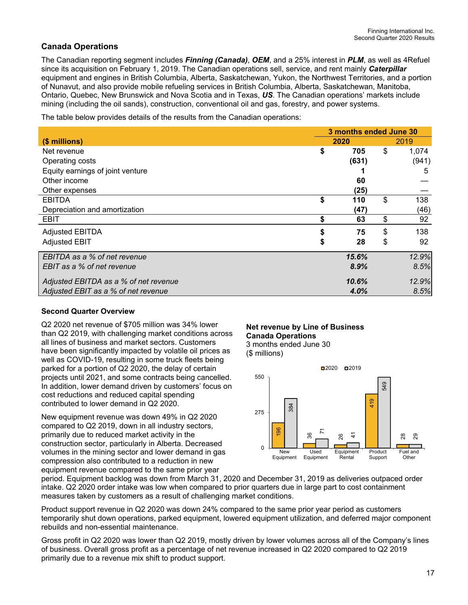# **Canada Operations**

The Canadian reporting segment includes *Finning (Canada)*, *OEM*, and a 25% interest in *PLM*, as well as 4Refuel since its acquisition on February 1, 2019. The Canadian operations sell, service, and rent mainly *Caterpillar* equipment and engines in British Columbia, Alberta, Saskatchewan, Yukon, the Northwest Territories, and a portion of Nunavut, and also provide mobile refueling services in British Columbia, Alberta, Saskatchewan, Manitoba, Ontario, Quebec, New Brunswick and Nova Scotia and in Texas, *US*. The Canadian operations' markets include mining (including the oil sands), construction, conventional oil and gas, forestry, and power systems.

The table below provides details of the results from the Canadian operations:

|                                       | 3 months ended June 30 |       |    |       |  |  |  |
|---------------------------------------|------------------------|-------|----|-------|--|--|--|
| (\$ millions)                         |                        | 2020  |    | 2019  |  |  |  |
| Net revenue                           | \$                     | 705   | \$ | 1,074 |  |  |  |
| Operating costs                       |                        | (631) |    | (941) |  |  |  |
| Equity earnings of joint venture      |                        |       |    | 5     |  |  |  |
| Other income                          |                        | 60    |    |       |  |  |  |
| Other expenses                        |                        | (25)  |    |       |  |  |  |
| <b>EBITDA</b>                         | \$                     | 110   | \$ | 138   |  |  |  |
| Depreciation and amortization         |                        | (47)  |    | (46)  |  |  |  |
| <b>EBIT</b>                           | \$                     | 63    | \$ | 92    |  |  |  |
| <b>Adjusted EBITDA</b>                | \$                     | 75    | \$ | 138   |  |  |  |
| <b>Adjusted EBIT</b>                  | \$                     | 28    | \$ | 92    |  |  |  |
| EBITDA as a % of net revenue          |                        | 15.6% |    | 12.9% |  |  |  |
| EBIT as a % of net revenue            |                        | 8.9%  |    | 8.5%  |  |  |  |
| Adjusted EBITDA as a % of net revenue |                        | 10.6% |    | 12.9% |  |  |  |
| Adjusted EBIT as a % of net revenue   |                        | 4.0%  |    | 8.5%  |  |  |  |

### **Second Quarter Overview**

Q2 2020 net revenue of \$705 million was 34% lower than Q2 2019, with challenging market conditions across all lines of business and market sectors. Customers have been significantly impacted by volatile oil prices as well as COVID-19, resulting in some truck fleets being parked for a portion of Q2 2020, the delay of certain projects until 2021, and some contracts being cancelled. In addition, lower demand driven by customers' focus on cost reductions and reduced capital spending contributed to lower demand in Q2 2020.

New equipment revenue was down 49% in Q2 2020 compared to Q2 2019, down in all industry sectors, primarily due to reduced market activity in the construction sector, particularly in Alberta. Decreased volumes in the mining sector and lower demand in gas compression also contributed to a reduction in new equipment revenue compared to the same prior year

#### **Net revenue by Line of Business Canada Operations**  3 months ended June 30

(\$ millions)



period. Equipment backlog was down from March 31, 2020 and December 31, 2019 as deliveries outpaced order intake. Q2 2020 order intake was low when compared to prior quarters due in large part to cost containment measures taken by customers as a result of challenging market conditions.

Product support revenue in Q2 2020 was down 24% compared to the same prior year period as customers temporarily shut down operations, parked equipment, lowered equipment utilization, and deferred major component rebuilds and non-essential maintenance.

Gross profit in Q2 2020 was lower than Q2 2019, mostly driven by lower volumes across all of the Company's lines of business. Overall gross profit as a percentage of net revenue increased in Q2 2020 compared to Q2 2019 primarily due to a revenue mix shift to product support.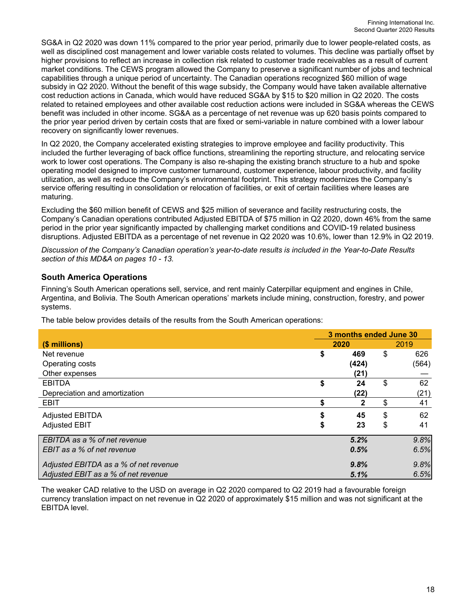SG&A in Q2 2020 was down 11% compared to the prior year period, primarily due to lower people-related costs, as well as disciplined cost management and lower variable costs related to volumes. This decline was partially offset by higher provisions to reflect an increase in collection risk related to customer trade receivables as a result of current market conditions. The CEWS program allowed the Company to preserve a significant number of jobs and technical capabilities through a unique period of uncertainty. The Canadian operations recognized \$60 million of wage subsidy in Q2 2020. Without the benefit of this wage subsidy, the Company would have taken available alternative cost reduction actions in Canada, which would have reduced SG&A by \$15 to \$20 million in Q2 2020. The costs related to retained employees and other available cost reduction actions were included in SG&A whereas the CEWS benefit was included in other income. SG&A as a percentage of net revenue was up 620 basis points compared to the prior year period driven by certain costs that are fixed or semi-variable in nature combined with a lower labour recovery on significantly lower revenues.

In Q2 2020, the Company accelerated existing strategies to improve employee and facility productivity. This included the further leveraging of back office functions, streamlining the reporting structure, and relocating service work to lower cost operations. The Company is also re-shaping the existing branch structure to a hub and spoke operating model designed to improve customer turnaround, customer experience, labour productivity, and facility utilization, as well as reduce the Company's environmental footprint. This strategy modernizes the Company's service offering resulting in consolidation or relocation of facilities, or exit of certain facilities where leases are maturing.

Excluding the \$60 million benefit of CEWS and \$25 million of severance and facility restructuring costs, the Company's Canadian operations contributed Adjusted EBITDA of \$75 million in Q2 2020, down 46% from the same period in the prior year significantly impacted by challenging market conditions and COVID-19 related business disruptions. Adjusted EBITDA as a percentage of net revenue in Q2 2020 was 10.6%, lower than 12.9% in Q2 2019.

*Discussion of the Company's Canadian operation's year-to-date results is included in the Year-to-Date Results section of this MD&A on pages 10 - 13.* 

### **South America Operations**

Finning's South American operations sell, service, and rent mainly Caterpillar equipment and engines in Chile, Argentina, and Bolivia. The South American operations' markets include mining, construction, forestry, and power systems.

The table below provides details of the results from the South American operations:

|                                       | 3 months ended June 30 |       |    |       |  |  |  |  |  |
|---------------------------------------|------------------------|-------|----|-------|--|--|--|--|--|
| (\$ millions)                         | 2020                   | 2019  |    |       |  |  |  |  |  |
| Net revenue                           | \$                     | 469   | \$ | 626   |  |  |  |  |  |
| Operating costs                       |                        | (424) |    | (564) |  |  |  |  |  |
| Other expenses                        |                        | (21)  |    |       |  |  |  |  |  |
| <b>EBITDA</b>                         | \$                     | 24    | \$ | 62    |  |  |  |  |  |
| Depreciation and amortization         |                        | (22)  |    | (21)  |  |  |  |  |  |
| <b>EBIT</b>                           | \$                     | 2     | \$ | 41    |  |  |  |  |  |
| <b>Adjusted EBITDA</b>                |                        | 45    | \$ | 62    |  |  |  |  |  |
| <b>Adjusted EBIT</b>                  | \$                     | 23    | \$ | 41    |  |  |  |  |  |
| EBITDA as a % of net revenue          |                        | 5.2%  |    | 9.8%  |  |  |  |  |  |
| EBIT as a % of net revenue            |                        | 0.5%  |    | 6.5%  |  |  |  |  |  |
| Adjusted EBITDA as a % of net revenue |                        | 9.8%  |    | 9.8%  |  |  |  |  |  |
| Adjusted EBIT as a % of net revenue   |                        | 5.1%  |    | 6.5%  |  |  |  |  |  |

The weaker CAD relative to the USD on average in Q2 2020 compared to Q2 2019 had a favourable foreign currency translation impact on net revenue in Q2 2020 of approximately \$15 million and was not significant at the EBITDA level.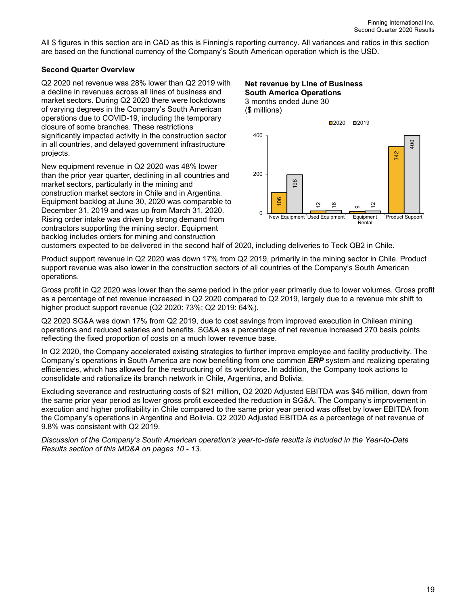All \$ figures in this section are in CAD as this is Finning's reporting currency. All variances and ratios in this section are based on the functional currency of the Company's South American operation which is the USD.

#### **Second Quarter Overview**

Q2 2020 net revenue was 28% lower than Q2 2019 with a decline in revenues across all lines of business and market sectors. During Q2 2020 there were lockdowns of varying degrees in the Company's South American operations due to COVID-19, including the temporary closure of some branches. These restrictions significantly impacted activity in the construction sector in all countries, and delayed government infrastructure projects.

New equipment revenue in Q2 2020 was 48% lower than the prior year quarter, declining in all countries and market sectors, particularly in the mining and construction market sectors in Chile and in Argentina. Equipment backlog at June 30, 2020 was comparable to December 31, 2019 and was up from March 31, 2020. Rising order intake was driven by strong demand from contractors supporting the mining sector. Equipment backlog includes orders for mining and construction

#### **Net revenue by Line of Business South America Operations**  3 months ended June 30 (\$ millions)



customers expected to be delivered in the second half of 2020, including deliveries to Teck QB2 in Chile.

Product support revenue in Q2 2020 was down 17% from Q2 2019, primarily in the mining sector in Chile. Product support revenue was also lower in the construction sectors of all countries of the Company's South American operations.

Gross profit in Q2 2020 was lower than the same period in the prior year primarily due to lower volumes. Gross profit as a percentage of net revenue increased in Q2 2020 compared to Q2 2019, largely due to a revenue mix shift to higher product support revenue (Q2 2020: 73%; Q2 2019: 64%).

Q2 2020 SG&A was down 17% from Q2 2019, due to cost savings from improved execution in Chilean mining operations and reduced salaries and benefits. SG&A as a percentage of net revenue increased 270 basis points reflecting the fixed proportion of costs on a much lower revenue base.

In Q2 2020, the Company accelerated existing strategies to further improve employee and facility productivity. The Company's operations in South America are now benefiting from one common *ERP* system and realizing operating efficiencies, which has allowed for the restructuring of its workforce. In addition, the Company took actions to consolidate and rationalize its branch network in Chile, Argentina, and Bolivia.

Excluding severance and restructuring costs of \$21 million, Q2 2020 Adjusted EBITDA was \$45 million, down from the same prior year period as lower gross profit exceeded the reduction in SG&A. The Company's improvement in execution and higher profitability in Chile compared to the same prior year period was offset by lower EBITDA from the Company's operations in Argentina and Bolivia. Q2 2020 Adjusted EBITDA as a percentage of net revenue of 9.8% was consistent with Q2 2019.

*Discussion of the Company's South American operation's year-to-date results is included in the Year-to-Date Results section of this MD&A on pages 10 - 13.*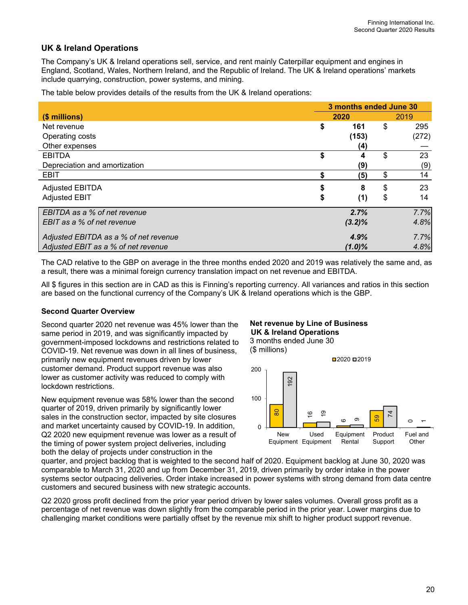### **UK & Ireland Operations**

The Company's UK & Ireland operations sell, service, and rent mainly Caterpillar equipment and engines in England, Scotland, Wales, Northern Ireland, and the Republic of Ireland. The UK & Ireland operations' markets include quarrying, construction, power systems, and mining.

The table below provides details of the results from the UK & Ireland operations:

|                                       | 3 months ended June 30 |           |                |       |  |  |  |  |
|---------------------------------------|------------------------|-----------|----------------|-------|--|--|--|--|
| (\$ millions)                         | 2020                   |           |                |       |  |  |  |  |
| Net revenue                           | \$                     | 161       | \$             | 295   |  |  |  |  |
| Operating costs                       |                        | (153)     |                | (272) |  |  |  |  |
| Other expenses                        |                        | (4)       |                |       |  |  |  |  |
| <b>EBITDA</b>                         | \$                     | 4         | $\mathfrak{L}$ | 23    |  |  |  |  |
| Depreciation and amortization         |                        | (9)       |                | (9)   |  |  |  |  |
| <b>EBIT</b>                           | \$                     | (5)       | \$             | 14    |  |  |  |  |
| <b>Adjusted EBITDA</b>                | S                      | 8         | \$             | 23    |  |  |  |  |
| <b>Adjusted EBIT</b>                  | \$                     | (1)       | \$             | 14    |  |  |  |  |
| EBITDA as a % of net revenue          |                        | 2.7%      |                | 7.7%  |  |  |  |  |
| EBIT as a % of net revenue            |                        | $(3.2)\%$ |                | 4.8%  |  |  |  |  |
| Adjusted EBITDA as a % of net revenue |                        | 4.9%      |                | 7.7%  |  |  |  |  |
| Adjusted EBIT as a % of net revenue   |                        | $(1.0)\%$ |                | 4.8%  |  |  |  |  |

The CAD relative to the GBP on average in the three months ended 2020 and 2019 was relatively the same and, as a result, there was a minimal foreign currency translation impact on net revenue and EBITDA.

All \$ figures in this section are in CAD as this is Finning's reporting currency. All variances and ratios in this section are based on the functional currency of the Company's UK & Ireland operations which is the GBP.

#### **Second Quarter Overview**

Second quarter 2020 net revenue was 45% lower than the same period in 2019, and was significantly impacted by government-imposed lockdowns and restrictions related to COVID-19. Net revenue was down in all lines of business, primarily new equipment revenues driven by lower customer demand. Product support revenue was also lower as customer activity was reduced to comply with lockdown restrictions.

New equipment revenue was 58% lower than the second quarter of 2019, driven primarily by significantly lower sales in the construction sector, impacted by site closures and market uncertainty caused by COVID-19. In addition, Q2 2020 new equipment revenue was lower as a result of the timing of power system project deliveries, including both the delay of projects under construction in the

### **Net revenue by Line of Business UK & Ireland Operations**





quarter, and project backlog that is weighted to the second half of 2020. Equipment backlog at June 30, 2020 was comparable to March 31, 2020 and up from December 31, 2019, driven primarily by order intake in the power systems sector outpacing deliveries. Order intake increased in power systems with strong demand from data centre customers and secured business with new strategic accounts.

Q2 2020 gross profit declined from the prior year period driven by lower sales volumes. Overall gross profit as a percentage of net revenue was down slightly from the comparable period in the prior year. Lower margins due to challenging market conditions were partially offset by the revenue mix shift to higher product support revenue.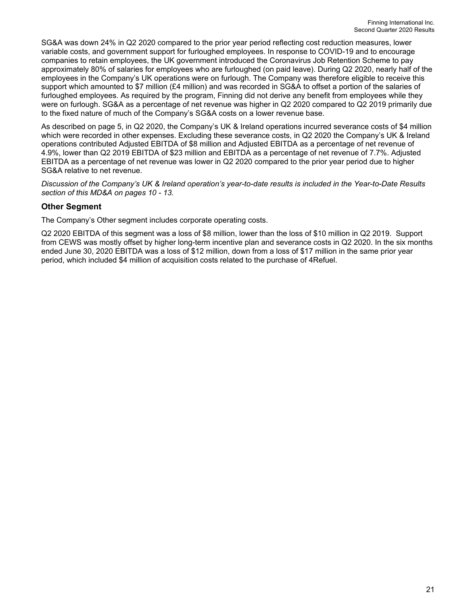SG&A was down 24% in Q2 2020 compared to the prior year period reflecting cost reduction measures, lower variable costs, and government support for furloughed employees. In response to COVID-19 and to encourage companies to retain employees, the UK government introduced the Coronavirus Job Retention Scheme to pay approximately 80% of salaries for employees who are furloughed (on paid leave). During Q2 2020, nearly half of the employees in the Company's UK operations were on furlough. The Company was therefore eligible to receive this support which amounted to \$7 million (£4 million) and was recorded in SG&A to offset a portion of the salaries of furloughed employees. As required by the program, Finning did not derive any benefit from employees while they were on furlough. SG&A as a percentage of net revenue was higher in Q2 2020 compared to Q2 2019 primarily due to the fixed nature of much of the Company's SG&A costs on a lower revenue base.

As described on page 5, in Q2 2020, the Company's UK & Ireland operations incurred severance costs of \$4 million which were recorded in other expenses. Excluding these severance costs, in Q2 2020 the Company's UK & Ireland operations contributed Adjusted EBITDA of \$8 million and Adjusted EBITDA as a percentage of net revenue of 4.9%, lower than Q2 2019 EBITDA of \$23 million and EBITDA as a percentage of net revenue of 7.7%. Adjusted EBITDA as a percentage of net revenue was lower in Q2 2020 compared to the prior year period due to higher SG&A relative to net revenue.

*Discussion of the Company's UK & Ireland operation's year-to-date results is included in the Year-to-Date Results section of this MD&A on pages 10 - 13.* 

### **Other Segment**

The Company's Other segment includes corporate operating costs.

Q2 2020 EBITDA of this segment was a loss of \$8 million, lower than the loss of \$10 million in Q2 2019. Support from CEWS was mostly offset by higher long-term incentive plan and severance costs in Q2 2020. In the six months ended June 30, 2020 EBITDA was a loss of \$12 million, down from a loss of \$17 million in the same prior year period, which included \$4 million of acquisition costs related to the purchase of 4Refuel.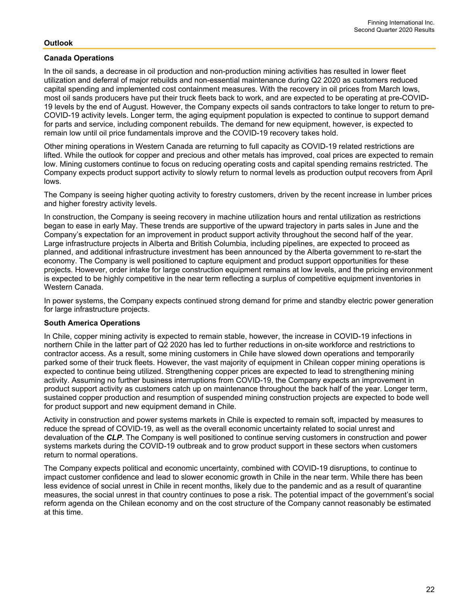#### **Outlook**

#### **Canada Operations**

In the oil sands, a decrease in oil production and non-production mining activities has resulted in lower fleet utilization and deferral of major rebuilds and non-essential maintenance during Q2 2020 as customers reduced capital spending and implemented cost containment measures. With the recovery in oil prices from March lows, most oil sands producers have put their truck fleets back to work, and are expected to be operating at pre-COVID-19 levels by the end of August. However, the Company expects oil sands contractors to take longer to return to pre-COVID-19 activity levels. Longer term, the aging equipment population is expected to continue to support demand for parts and service, including component rebuilds. The demand for new equipment, however, is expected to remain low until oil price fundamentals improve and the COVID-19 recovery takes hold.

Other mining operations in Western Canada are returning to full capacity as COVID-19 related restrictions are lifted. While the outlook for copper and precious and other metals has improved, coal prices are expected to remain low. Mining customers continue to focus on reducing operating costs and capital spending remains restricted. The Company expects product support activity to slowly return to normal levels as production output recovers from April lows.

The Company is seeing higher quoting activity to forestry customers, driven by the recent increase in lumber prices and higher forestry activity levels.

In construction, the Company is seeing recovery in machine utilization hours and rental utilization as restrictions began to ease in early May. These trends are supportive of the upward trajectory in parts sales in June and the Company's expectation for an improvement in product support activity throughout the second half of the year. Large infrastructure projects in Alberta and British Columbia, including pipelines, are expected to proceed as planned, and additional infrastructure investment has been announced by the Alberta government to re-start the economy. The Company is well positioned to capture equipment and product support opportunities for these projects. However, order intake for large construction equipment remains at low levels, and the pricing environment is expected to be highly competitive in the near term reflecting a surplus of competitive equipment inventories in Western Canada.

In power systems, the Company expects continued strong demand for prime and standby electric power generation for large infrastructure projects.

#### **South America Operations**

In Chile, copper mining activity is expected to remain stable, however, the increase in COVID-19 infections in northern Chile in the latter part of Q2 2020 has led to further reductions in on-site workforce and restrictions to contractor access. As a result, some mining customers in Chile have slowed down operations and temporarily parked some of their truck fleets. However, the vast majority of equipment in Chilean copper mining operations is expected to continue being utilized. Strengthening copper prices are expected to lead to strengthening mining activity. Assuming no further business interruptions from COVID-19, the Company expects an improvement in product support activity as customers catch up on maintenance throughout the back half of the year. Longer term, sustained copper production and resumption of suspended mining construction projects are expected to bode well for product support and new equipment demand in Chile.

Activity in construction and power systems markets in Chile is expected to remain soft, impacted by measures to reduce the spread of COVID-19, as well as the overall economic uncertainty related to social unrest and devaluation of the *CLP*. The Company is well positioned to continue serving customers in construction and power systems markets during the COVID-19 outbreak and to grow product support in these sectors when customers return to normal operations.

The Company expects political and economic uncertainty, combined with COVID-19 disruptions, to continue to impact customer confidence and lead to slower economic growth in Chile in the near term. While there has been less evidence of social unrest in Chile in recent months, likely due to the pandemic and as a result of quarantine measures, the social unrest in that country continues to pose a risk. The potential impact of the government's social reform agenda on the Chilean economy and on the cost structure of the Company cannot reasonably be estimated at this time.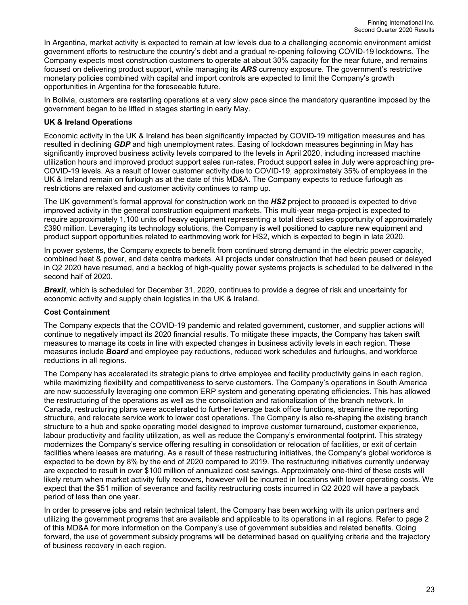In Argentina, market activity is expected to remain at low levels due to a challenging economic environment amidst government efforts to restructure the country's debt and a gradual re-opening following COVID-19 lockdowns. The Company expects most construction customers to operate at about 30% capacity for the near future, and remains focused on delivering product support, while managing its *ARS* currency exposure. The government's restrictive monetary policies combined with capital and import controls are expected to limit the Company's growth opportunities in Argentina for the foreseeable future.

In Bolivia, customers are restarting operations at a very slow pace since the mandatory quarantine imposed by the government began to be lifted in stages starting in early May.

#### **UK & Ireland Operations**

Economic activity in the UK & Ireland has been significantly impacted by COVID-19 mitigation measures and has resulted in declining *GDP* and high unemployment rates. Easing of lockdown measures beginning in May has significantly improved business activity levels compared to the levels in April 2020, including increased machine utilization hours and improved product support sales run-rates. Product support sales in July were approaching pre-COVID-19 levels. As a result of lower customer activity due to COVID-19, approximately 35% of employees in the UK & Ireland remain on furlough as at the date of this MD&A. The Company expects to reduce furlough as restrictions are relaxed and customer activity continues to ramp up.

The UK government's formal approval for construction work on the *HS2* project to proceed is expected to drive improved activity in the general construction equipment markets. This multi-year mega-project is expected to require approximately 1,100 units of heavy equipment representing a total direct sales opportunity of approximately £390 million. Leveraging its technology solutions, the Company is well positioned to capture new equipment and product support opportunities related to earthmoving work for HS2, which is expected to begin in late 2020.

In power systems, the Company expects to benefit from continued strong demand in the electric power capacity, combined heat & power, and data centre markets. All projects under construction that had been paused or delayed in Q2 2020 have resumed, and a backlog of high-quality power systems projects is scheduled to be delivered in the second half of 2020.

*Brexit*, which is scheduled for December 31, 2020, continues to provide a degree of risk and uncertainty for economic activity and supply chain logistics in the UK & Ireland.

#### **Cost Containment**

The Company expects that the COVID-19 pandemic and related government, customer, and supplier actions will continue to negatively impact its 2020 financial results. To mitigate these impacts, the Company has taken swift measures to manage its costs in line with expected changes in business activity levels in each region. These measures include *Board* and employee pay reductions, reduced work schedules and furloughs, and workforce reductions in all regions.

The Company has accelerated its strategic plans to drive employee and facility productivity gains in each region, while maximizing flexibility and competitiveness to serve customers. The Company's operations in South America are now successfully leveraging one common ERP system and generating operating efficiencies. This has allowed the restructuring of the operations as well as the consolidation and rationalization of the branch network. In Canada, restructuring plans were accelerated to further leverage back office functions, streamline the reporting structure, and relocate service work to lower cost operations. The Company is also re-shaping the existing branch structure to a hub and spoke operating model designed to improve customer turnaround, customer experience, labour productivity and facility utilization, as well as reduce the Company's environmental footprint. This strategy modernizes the Company's service offering resulting in consolidation or relocation of facilities, or exit of certain facilities where leases are maturing. As a result of these restructuring initiatives, the Company's global workforce is expected to be down by 8% by the end of 2020 compared to 2019. The restructuring initiatives currently underway are expected to result in over \$100 million of annualized cost savings. Approximately one-third of these costs will likely return when market activity fully recovers, however will be incurred in locations with lower operating costs. We expect that the \$51 million of severance and facility restructuring costs incurred in Q2 2020 will have a payback period of less than one year.

In order to preserve jobs and retain technical talent, the Company has been working with its union partners and utilizing the government programs that are available and applicable to its operations in all regions. Refer to page 2 of this MD&A for more information on the Company's use of government subsidies and related benefits. Going forward, the use of government subsidy programs will be determined based on qualifying criteria and the trajectory of business recovery in each region.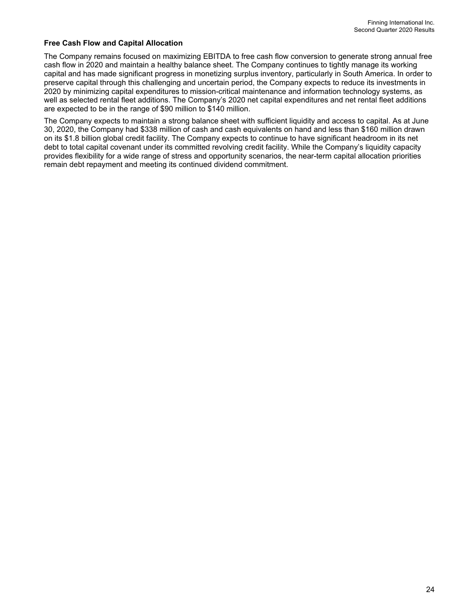#### **Free Cash Flow and Capital Allocation**

The Company remains focused on maximizing EBITDA to free cash flow conversion to generate strong annual free cash flow in 2020 and maintain a healthy balance sheet. The Company continues to tightly manage its working capital and has made significant progress in monetizing surplus inventory, particularly in South America. In order to preserve capital through this challenging and uncertain period, the Company expects to reduce its investments in 2020 by minimizing capital expenditures to mission-critical maintenance and information technology systems, as well as selected rental fleet additions. The Company's 2020 net capital expenditures and net rental fleet additions are expected to be in the range of \$90 million to \$140 million.

The Company expects to maintain a strong balance sheet with sufficient liquidity and access to capital. As at June 30, 2020, the Company had \$338 million of cash and cash equivalents on hand and less than \$160 million drawn on its \$1.8 billion global credit facility. The Company expects to continue to have significant headroom in its net debt to total capital covenant under its committed revolving credit facility. While the Company's liquidity capacity provides flexibility for a wide range of stress and opportunity scenarios, the near-term capital allocation priorities remain debt repayment and meeting its continued dividend commitment.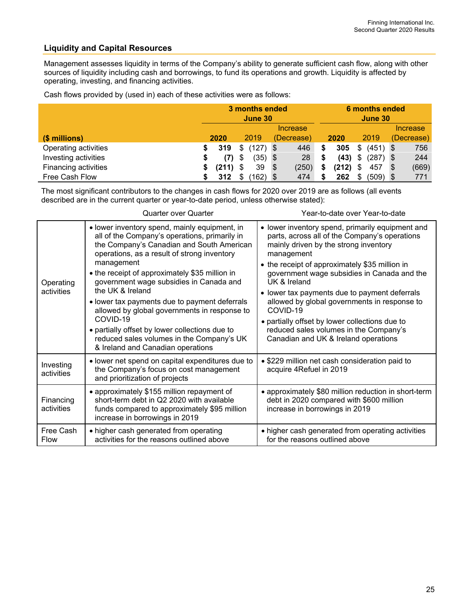# **Liquidity and Capital Resources**

Management assesses liquidity in terms of the Company's ability to generate sufficient cash flow, along with other sources of liquidity including cash and borrowings, to fund its operations and growth. Liquidity is affected by operating, investing, and financing activities.

|  |  |  | Cash flows provided by (used in) each of these activities were as follows: |
|--|--|--|----------------------------------------------------------------------------|
|--|--|--|----------------------------------------------------------------------------|

|                      | 3 months ended<br>June 30 |       |      |            | <b>6 months ended</b><br>June 30 |       |          |       |      |            |            |       |
|----------------------|---------------------------|-------|------|------------|----------------------------------|-------|----------|-------|------|------------|------------|-------|
|                      | Increase                  |       |      |            |                                  |       | Increase |       |      |            |            |       |
| (\$ millions)        | 2020                      |       | 2019 |            | (Decrease)                       |       | 2020     |       | 2019 |            | (Decrease) |       |
| Operating activities |                           | 319   | \$   | $(127)$ \$ |                                  | 446   | S        | 305   | \$   | $(451)$ \$ |            | 756   |
| Investing activities | S                         | (7)   | \$   | $(35)$ \$  |                                  | 28    |          | (43)  | \$   | $(287)$ \$ |            | 244   |
| Financing activities |                           | (211) | S    | 39         | - \$                             | (250) |          | (212) | S    | 457        | - \$       | (669) |
| Free Cash Flow       |                           | 312   | S    | ່ 162) \$  |                                  | 474   |          | 262   |      | $(509)$ \$ |            | 771   |

The most significant contributors to the changes in cash flows for 2020 over 2019 are as follows (all events described are in the current quarter or year-to-date period, unless otherwise stated):

|                          | <b>Quarter over Quarter</b>                                                                                                                                                                                                                                                                                                                                                                                                                                                                                                                                                | Year-to-date over Year-to-date                                                                                                                                                                                                                                                                                                                                                                                                                                                                                             |
|--------------------------|----------------------------------------------------------------------------------------------------------------------------------------------------------------------------------------------------------------------------------------------------------------------------------------------------------------------------------------------------------------------------------------------------------------------------------------------------------------------------------------------------------------------------------------------------------------------------|----------------------------------------------------------------------------------------------------------------------------------------------------------------------------------------------------------------------------------------------------------------------------------------------------------------------------------------------------------------------------------------------------------------------------------------------------------------------------------------------------------------------------|
| Operating<br>activities  | • lower inventory spend, mainly equipment, in<br>all of the Company's operations, primarily in<br>the Company's Canadian and South American<br>operations, as a result of strong inventory<br>management<br>• the receipt of approximately \$35 million in<br>government wage subsidies in Canada and<br>the UK & Ireland<br>• lower tax payments due to payment deferrals<br>allowed by global governments in response to<br>COVID-19<br>• partially offset by lower collections due to<br>reduced sales volumes in the Company's UK<br>& Ireland and Canadian operations | • lower inventory spend, primarily equipment and<br>parts, across all of the Company's operations<br>mainly driven by the strong inventory<br>management<br>• the receipt of approximately \$35 million in<br>government wage subsidies in Canada and the<br>UK & Ireland<br>• lower tax payments due to payment deferrals<br>allowed by global governments in response to<br>COVID-19<br>• partially offset by lower collections due to<br>reduced sales volumes in the Company's<br>Canadian and UK & Ireland operations |
| Investing<br>activities  | • lower net spend on capital expenditures due to<br>the Company's focus on cost management<br>and prioritization of projects                                                                                                                                                                                                                                                                                                                                                                                                                                               | • \$229 million net cash consideration paid to<br>acquire 4Refuel in 2019                                                                                                                                                                                                                                                                                                                                                                                                                                                  |
| Financing<br>activities  | • approximately \$155 million repayment of<br>short-term debt in Q2 2020 with available<br>funds compared to approximately \$95 million<br>increase in borrowings in 2019                                                                                                                                                                                                                                                                                                                                                                                                  | • approximately \$80 million reduction in short-term<br>debt in 2020 compared with \$600 million<br>increase in borrowings in 2019                                                                                                                                                                                                                                                                                                                                                                                         |
| Free Cash<br><b>Flow</b> | • higher cash generated from operating<br>activities for the reasons outlined above                                                                                                                                                                                                                                                                                                                                                                                                                                                                                        | • higher cash generated from operating activities<br>for the reasons outlined above                                                                                                                                                                                                                                                                                                                                                                                                                                        |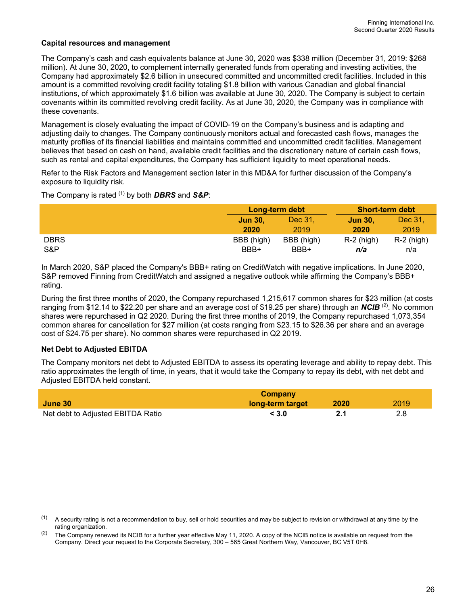#### **Capital resources and management**

The Company's cash and cash equivalents balance at June 30, 2020 was \$338 million (December 31, 2019: \$268 million). At June 30, 2020, to complement internally generated funds from operating and investing activities, the Company had approximately \$2.6 billion in unsecured committed and uncommitted credit facilities. Included in this amount is a committed revolving credit facility totaling \$1.8 billion with various Canadian and global financial institutions, of which approximately \$1.6 billion was available at June 30, 2020. The Company is subject to certain covenants within its committed revolving credit facility. As at June 30, 2020, the Company was in compliance with these covenants.

Management is closely evaluating the impact of COVID-19 on the Company's business and is adapting and adjusting daily to changes. The Company continuously monitors actual and forecasted cash flows, manages the maturity profiles of its financial liabilities and maintains committed and uncommitted credit facilities. Management believes that based on cash on hand, available credit facilities and the discretionary nature of certain cash flows, such as rental and capital expenditures, the Company has sufficient liquidity to meet operational needs.

Refer to the Risk Factors and Management section later in this MD&A for further discussion of the Company's exposure to liquidity risk.

The Company is rated (1) by both *DBRS* and *S&P*:

|             | Long-term debt |            | <b>Short-term debt</b>         |              |
|-------------|----------------|------------|--------------------------------|--------------|
|             | <b>Jun 30.</b> | Dec 31.    | $\overline{\mathsf{Jun}}\,30.$ | Dec 31,      |
|             | 2020           | 2019       | 2020                           | 2019         |
| <b>DBRS</b> | BBB (high)     | BBB (high) | $R-2$ (high)                   | $R-2$ (high) |
| S&P         | BBB+           | BBB+       | n/a                            | n/a          |

In March 2020, S&P placed the Company's BBB+ rating on CreditWatch with negative implications. In June 2020, S&P removed Finning from CreditWatch and assigned a negative outlook while affirming the Company's BBB+ rating.

During the first three months of 2020, the Company repurchased 1,215,617 common shares for \$23 million (at costs ranging from \$12.14 to \$22.20 per share and an average cost of \$19.25 per share) through an *NCIB* (2). No common shares were repurchased in Q2 2020. During the first three months of 2019, the Company repurchased 1,073,354 common shares for cancellation for \$27 million (at costs ranging from \$23.15 to \$26.36 per share and an average cost of \$24.75 per share). No common shares were repurchased in Q2 2019.

### **Net Debt to Adjusted EBITDA**

The Company monitors net debt to Adjusted EBITDA to assess its operating leverage and ability to repay debt. This ratio approximates the length of time, in years, that it would take the Company to repay its debt, with net debt and Adjusted EBITDA held constant.

|                                   | Company          |      |      |
|-----------------------------------|------------------|------|------|
| June 30                           | long-term target | 2020 | 2019 |
| Net debt to Adjusted EBITDA Ratio | < 3.0            |      |      |

 $(1)$  A security rating is not a recommendation to buy, sell or hold securities and may be subject to revision or withdrawal at any time by the rating organization.

<sup>&</sup>lt;sup>(2)</sup> The Company renewed its NCIB for a further year effective May 11, 2020. A copy of the NCIB notice is available on request from the Company. Direct your request to the Corporate Secretary, 300 – 565 Great Northern Way, Vancouver, BC V5T 0H8.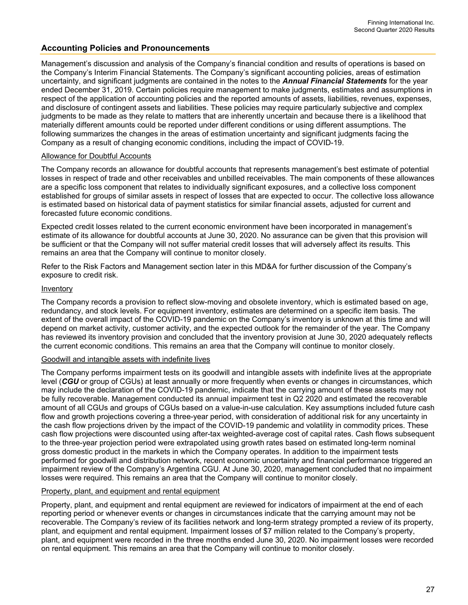### **Accounting Policies and Pronouncements**

Management's discussion and analysis of the Company's financial condition and results of operations is based on the Company's Interim Financial Statements. The Company's significant accounting policies, areas of estimation uncertainty, and significant judgments are contained in the notes to the *Annual Financial Statements* for the year ended December 31, 2019. Certain policies require management to make judgments, estimates and assumptions in respect of the application of accounting policies and the reported amounts of assets, liabilities, revenues, expenses, and disclosure of contingent assets and liabilities. These policies may require particularly subjective and complex judgments to be made as they relate to matters that are inherently uncertain and because there is a likelihood that materially different amounts could be reported under different conditions or using different assumptions. The following summarizes the changes in the areas of estimation uncertainty and significant judgments facing the Company as a result of changing economic conditions, including the impact of COVID-19.

#### Allowance for Doubtful Accounts

The Company records an allowance for doubtful accounts that represents management's best estimate of potential losses in respect of trade and other receivables and unbilled receivables. The main components of these allowances are a specific loss component that relates to individually significant exposures, and a collective loss component established for groups of similar assets in respect of losses that are expected to occur. The collective loss allowance is estimated based on historical data of payment statistics for similar financial assets, adjusted for current and forecasted future economic conditions.

Expected credit losses related to the current economic environment have been incorporated in management's estimate of its allowance for doubtful accounts at June 30, 2020. No assurance can be given that this provision will be sufficient or that the Company will not suffer material credit losses that will adversely affect its results. This remains an area that the Company will continue to monitor closely.

Refer to the Risk Factors and Management section later in this MD&A for further discussion of the Company's exposure to credit risk.

#### **Inventory**

The Company records a provision to reflect slow-moving and obsolete inventory, which is estimated based on age, redundancy, and stock levels. For equipment inventory, estimates are determined on a specific item basis. The extent of the overall impact of the COVID-19 pandemic on the Company's inventory is unknown at this time and will depend on market activity, customer activity, and the expected outlook for the remainder of the year. The Company has reviewed its inventory provision and concluded that the inventory provision at June 30, 2020 adequately reflects the current economic conditions. This remains an area that the Company will continue to monitor closely.

#### Goodwill and intangible assets with indefinite lives

The Company performs impairment tests on its goodwill and intangible assets with indefinite lives at the appropriate level (*CGU* or group of CGUs) at least annually or more frequently when events or changes in circumstances, which may include the declaration of the COVID-19 pandemic, indicate that the carrying amount of these assets may not be fully recoverable. Management conducted its annual impairment test in Q2 2020 and estimated the recoverable amount of all CGUs and groups of CGUs based on a value-in-use calculation. Key assumptions included future cash flow and growth projections covering a three-year period, with consideration of additional risk for any uncertainty in the cash flow projections driven by the impact of the COVID-19 pandemic and volatility in commodity prices. These cash flow projections were discounted using after-tax weighted-average cost of capital rates. Cash flows subsequent to the three-year projection period were extrapolated using growth rates based on estimated long-term nominal gross domestic product in the markets in which the Company operates. In addition to the impairment tests performed for goodwill and distribution network, recent economic uncertainty and financial performance triggered an impairment review of the Company's Argentina CGU. At June 30, 2020, management concluded that no impairment losses were required. This remains an area that the Company will continue to monitor closely.

#### Property, plant, and equipment and rental equipment

Property, plant, and equipment and rental equipment are reviewed for indicators of impairment at the end of each reporting period or whenever events or changes in circumstances indicate that the carrying amount may not be recoverable. The Company's review of its facilities network and long-term strategy prompted a review of its property, plant, and equipment and rental equipment. Impairment losses of \$7 million related to the Company's property, plant, and equipment were recorded in the three months ended June 30, 2020. No impairment losses were recorded on rental equipment. This remains an area that the Company will continue to monitor closely.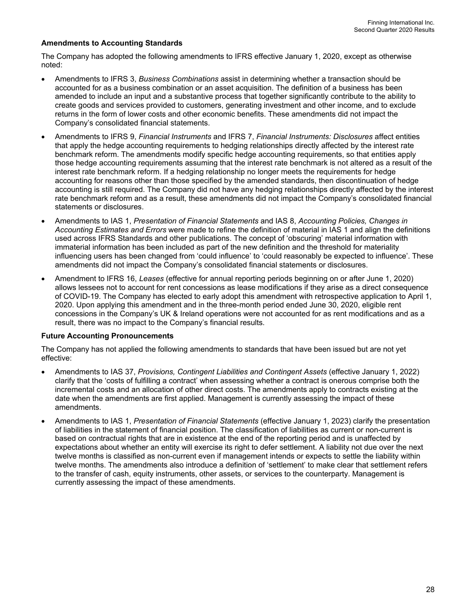#### **Amendments to Accounting Standards**

The Company has adopted the following amendments to IFRS effective January 1, 2020, except as otherwise noted:

- Amendments to IFRS 3, *Business Combinations* assist in determining whether a transaction should be accounted for as a business combination or an asset acquisition. The definition of a business has been amended to include an input and a substantive process that together significantly contribute to the ability to create goods and services provided to customers, generating investment and other income, and to exclude returns in the form of lower costs and other economic benefits. These amendments did not impact the Company's consolidated financial statements.
- Amendments to IFRS 9, *Financial Instruments* and IFRS 7, *Financial Instruments: Disclosures* affect entities that apply the hedge accounting requirements to hedging relationships directly affected by the interest rate benchmark reform. The amendments modify specific hedge accounting requirements, so that entities apply those hedge accounting requirements assuming that the interest rate benchmark is not altered as a result of the interest rate benchmark reform. If a hedging relationship no longer meets the requirements for hedge accounting for reasons other than those specified by the amended standards, then discontinuation of hedge accounting is still required. The Company did not have any hedging relationships directly affected by the interest rate benchmark reform and as a result, these amendments did not impact the Company's consolidated financial statements or disclosures.
- Amendments to IAS 1, *Presentation of Financial Statements* and IAS 8, *Accounting Policies, Changes in Accounting Estimates and Errors* were made to refine the definition of material in IAS 1 and align the definitions used across IFRS Standards and other publications. The concept of 'obscuring' material information with immaterial information has been included as part of the new definition and the threshold for materiality influencing users has been changed from 'could influence' to 'could reasonably be expected to influence'. These amendments did not impact the Company's consolidated financial statements or disclosures.
- Amendment to IFRS 16, *Leases* (effective for annual reporting periods beginning on or after June 1, 2020) allows lessees not to account for rent concessions as lease modifications if they arise as a direct consequence of COVID-19. The Company has elected to early adopt this amendment with retrospective application to April 1, 2020. Upon applying this amendment and in the three-month period ended June 30, 2020, eligible rent concessions in the Company's UK & Ireland operations were not accounted for as rent modifications and as a result, there was no impact to the Company's financial results.

#### **Future Accounting Pronouncements**

The Company has not applied the following amendments to standards that have been issued but are not yet effective:

- Amendments to IAS 37, *Provisions, Contingent Liabilities and Contingent Assets* (effective January 1, 2022) clarify that the 'costs of fulfilling a contract' when assessing whether a contract is onerous comprise both the incremental costs and an allocation of other direct costs. The amendments apply to contracts existing at the date when the amendments are first applied. Management is currently assessing the impact of these amendments.
- Amendments to IAS 1, *Presentation of Financial Statements* (effective January 1, 2023) clarify the presentation of liabilities in the statement of financial position. The classification of liabilities as current or non-current is based on contractual rights that are in existence at the end of the reporting period and is unaffected by expectations about whether an entity will exercise its right to defer settlement. A liability not due over the next twelve months is classified as non-current even if management intends or expects to settle the liability within twelve months. The amendments also introduce a definition of 'settlement' to make clear that settlement refers to the transfer of cash, equity instruments, other assets, or services to the counterparty. Management is currently assessing the impact of these amendments.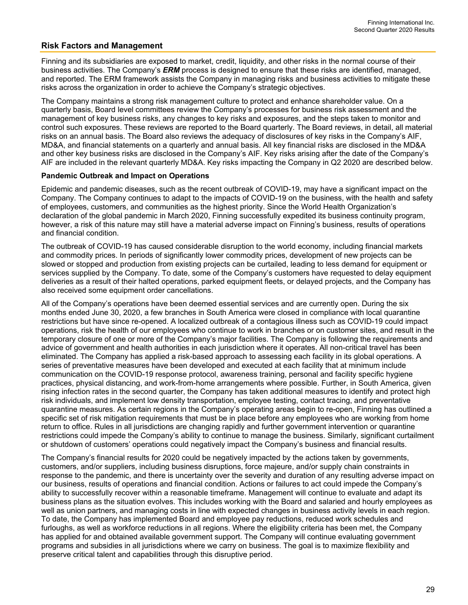# **Risk Factors and Management**

Finning and its subsidiaries are exposed to market, credit, liquidity, and other risks in the normal course of their business activities. The Company's *ERM* process is designed to ensure that these risks are identified, managed, and reported. The ERM framework assists the Company in managing risks and business activities to mitigate these risks across the organization in order to achieve the Company's strategic objectives.

The Company maintains a strong risk management culture to protect and enhance shareholder value. On a quarterly basis, Board level committees review the Company's processes for business risk assessment and the management of key business risks, any changes to key risks and exposures, and the steps taken to monitor and control such exposures. These reviews are reported to the Board quarterly. The Board reviews, in detail, all material risks on an annual basis. The Board also reviews the adequacy of disclosures of key risks in the Company's AIF, MD&A, and financial statements on a quarterly and annual basis. All key financial risks are disclosed in the MD&A and other key business risks are disclosed in the Company's AIF. Key risks arising after the date of the Company's AIF are included in the relevant quarterly MD&A. Key risks impacting the Company in Q2 2020 are described below.

#### **Pandemic Outbreak and Impact on Operations**

Epidemic and pandemic diseases, such as the recent outbreak of COVID-19, may have a significant impact on the Company. The Company continues to adapt to the impacts of COVID-19 on the business, with the health and safety of employees, customers, and communities as the highest priority. Since the World Health Organization's declaration of the global pandemic in March 2020, Finning successfully expedited its business continuity program, however, a risk of this nature may still have a material adverse impact on Finning's business, results of operations and financial condition.

The outbreak of COVID-19 has caused considerable disruption to the world economy, including financial markets and commodity prices. In periods of significantly lower commodity prices, development of new projects can be slowed or stopped and production from existing projects can be curtailed, leading to less demand for equipment or services supplied by the Company. To date, some of the Company's customers have requested to delay equipment deliveries as a result of their halted operations, parked equipment fleets, or delayed projects, and the Company has also received some equipment order cancellations.

All of the Company's operations have been deemed essential services and are currently open. During the six months ended June 30, 2020, a few branches in South America were closed in compliance with local quarantine restrictions but have since re-opened. A localized outbreak of a contagious illness such as COVID-19 could impact operations, risk the health of our employees who continue to work in branches or on customer sites, and result in the temporary closure of one or more of the Company's major facilities. The Company is following the requirements and advice of government and health authorities in each jurisdiction where it operates. All non-critical travel has been eliminated. The Company has applied a risk-based approach to assessing each facility in its global operations. A series of preventative measures have been developed and executed at each facility that at minimum include communication on the COVID-19 response protocol, awareness training, personal and facility specific hygiene practices, physical distancing, and work-from-home arrangements where possible. Further, in South America, given rising infection rates in the second quarter, the Company has taken additional measures to identify and protect high risk individuals, and implement low density transportation, employee testing, contact tracing, and preventative quarantine measures. As certain regions in the Company's operating areas begin to re-open, Finning has outlined a specific set of risk mitigation requirements that must be in place before any employees who are working from home return to office. Rules in all jurisdictions are changing rapidly and further government intervention or quarantine restrictions could impede the Company's ability to continue to manage the business. Similarly, significant curtailment or shutdown of customers' operations could negatively impact the Company's business and financial results.

The Company's financial results for 2020 could be negatively impacted by the actions taken by governments, customers, and/or suppliers, including business disruptions, force majeure, and/or supply chain constraints in response to the pandemic, and there is uncertainty over the severity and duration of any resulting adverse impact on our business, results of operations and financial condition. Actions or failures to act could impede the Company's ability to successfully recover within a reasonable timeframe. Management will continue to evaluate and adapt its business plans as the situation evolves. This includes working with the Board and salaried and hourly employees as well as union partners, and managing costs in line with expected changes in business activity levels in each region. To date, the Company has implemented Board and employee pay reductions, reduced work schedules and furloughs, as well as workforce reductions in all regions. Where the eligibility criteria has been met, the Company has applied for and obtained available government support. The Company will continue evaluating government programs and subsidies in all jurisdictions where we carry on business. The goal is to maximize flexibility and preserve critical talent and capabilities through this disruptive period.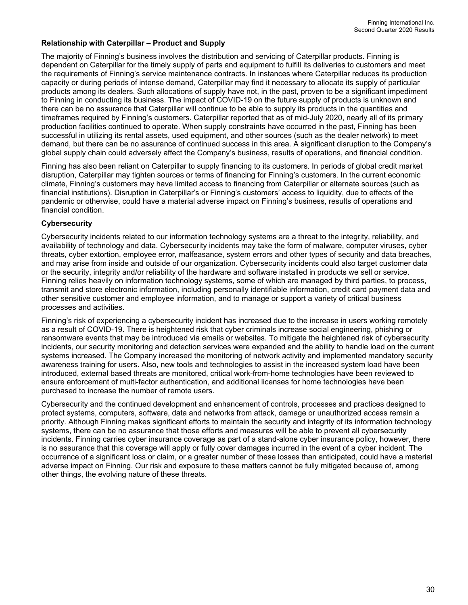### **Relationship with Caterpillar – Product and Supply**

The majority of Finning's business involves the distribution and servicing of Caterpillar products. Finning is dependent on Caterpillar for the timely supply of parts and equipment to fulfill its deliveries to customers and meet the requirements of Finning's service maintenance contracts. In instances where Caterpillar reduces its production capacity or during periods of intense demand, Caterpillar may find it necessary to allocate its supply of particular products among its dealers. Such allocations of supply have not, in the past, proven to be a significant impediment to Finning in conducting its business. The impact of COVID-19 on the future supply of products is unknown and there can be no assurance that Caterpillar will continue to be able to supply its products in the quantities and timeframes required by Finning's customers. Caterpillar reported that as of mid-July 2020, nearly all of its primary production facilities continued to operate. When supply constraints have occurred in the past, Finning has been successful in utilizing its rental assets, used equipment, and other sources (such as the dealer network) to meet demand, but there can be no assurance of continued success in this area. A significant disruption to the Company's global supply chain could adversely affect the Company's business, results of operations, and financial condition.

Finning has also been reliant on Caterpillar to supply financing to its customers. In periods of global credit market disruption, Caterpillar may tighten sources or terms of financing for Finning's customers. In the current economic climate, Finning's customers may have limited access to financing from Caterpillar or alternate sources (such as financial institutions). Disruption in Caterpillar's or Finning's customers' access to liquidity, due to effects of the pandemic or otherwise, could have a material adverse impact on Finning's business, results of operations and financial condition.

#### **Cybersecurity**

Cybersecurity incidents related to our information technology systems are a threat to the integrity, reliability, and availability of technology and data. Cybersecurity incidents may take the form of malware, computer viruses, cyber threats, cyber extortion, employee error, malfeasance, system errors and other types of security and data breaches, and may arise from inside and outside of our organization. Cybersecurity incidents could also target customer data or the security, integrity and/or reliability of the hardware and software installed in products we sell or service. Finning relies heavily on information technology systems, some of which are managed by third parties, to process, transmit and store electronic information, including personally identifiable information, credit card payment data and other sensitive customer and employee information, and to manage or support a variety of critical business processes and activities.

Finning's risk of experiencing a cybersecurity incident has increased due to the increase in users working remotely as a result of COVID-19. There is heightened risk that cyber criminals increase social engineering, phishing or ransomware events that may be introduced via emails or websites. To mitigate the heightened risk of cybersecurity incidents, our security monitoring and detection services were expanded and the ability to handle load on the current systems increased. The Company increased the monitoring of network activity and implemented mandatory security awareness training for users. Also, new tools and technologies to assist in the increased system load have been introduced, external based threats are monitored, critical work-from-home technologies have been reviewed to ensure enforcement of multi-factor authentication, and additional licenses for home technologies have been purchased to increase the number of remote users.

Cybersecurity and the continued development and enhancement of controls, processes and practices designed to protect systems, computers, software, data and networks from attack, damage or unauthorized access remain a priority. Although Finning makes significant efforts to maintain the security and integrity of its information technology systems, there can be no assurance that those efforts and measures will be able to prevent all cybersecurity incidents. Finning carries cyber insurance coverage as part of a stand-alone cyber insurance policy, however, there is no assurance that this coverage will apply or fully cover damages incurred in the event of a cyber incident. The occurrence of a significant loss or claim, or a greater number of these losses than anticipated, could have a material adverse impact on Finning. Our risk and exposure to these matters cannot be fully mitigated because of, among other things, the evolving nature of these threats.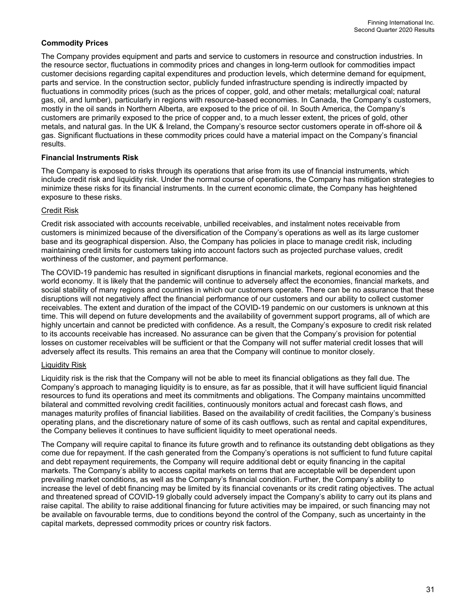### **Commodity Prices**

The Company provides equipment and parts and service to customers in resource and construction industries. In the resource sector, fluctuations in commodity prices and changes in long-term outlook for commodities impact customer decisions regarding capital expenditures and production levels, which determine demand for equipment, parts and service. In the construction sector, publicly funded infrastructure spending is indirectly impacted by fluctuations in commodity prices (such as the prices of copper, gold, and other metals; metallurgical coal; natural gas, oil, and lumber), particularly in regions with resource-based economies. In Canada, the Company's customers, mostly in the oil sands in Northern Alberta, are exposed to the price of oil. In South America, the Company's customers are primarily exposed to the price of copper and, to a much lesser extent, the prices of gold, other metals, and natural gas. In the UK & Ireland, the Company's resource sector customers operate in off-shore oil & gas. Significant fluctuations in these commodity prices could have a material impact on the Company's financial results.

### **Financial Instruments Risk**

The Company is exposed to risks through its operations that arise from its use of financial instruments, which include credit risk and liquidity risk. Under the normal course of operations, the Company has mitigation strategies to minimize these risks for its financial instruments. In the current economic climate, the Company has heightened exposure to these risks.

### Credit Risk

Credit risk associated with accounts receivable, unbilled receivables, and instalment notes receivable from customers is minimized because of the diversification of the Company's operations as well as its large customer base and its geographical dispersion. Also, the Company has policies in place to manage credit risk, including maintaining credit limits for customers taking into account factors such as projected purchase values, credit worthiness of the customer, and payment performance.

The COVID-19 pandemic has resulted in significant disruptions in financial markets, regional economies and the world economy. It is likely that the pandemic will continue to adversely affect the economies, financial markets, and social stability of many regions and countries in which our customers operate. There can be no assurance that these disruptions will not negatively affect the financial performance of our customers and our ability to collect customer receivables. The extent and duration of the impact of the COVID-19 pandemic on our customers is unknown at this time. This will depend on future developments and the availability of government support programs, all of which are highly uncertain and cannot be predicted with confidence. As a result, the Company's exposure to credit risk related to its accounts receivable has increased. No assurance can be given that the Company's provision for potential losses on customer receivables will be sufficient or that the Company will not suffer material credit losses that will adversely affect its results. This remains an area that the Company will continue to monitor closely.

### Liquidity Risk

Liquidity risk is the risk that the Company will not be able to meet its financial obligations as they fall due. The Company's approach to managing liquidity is to ensure, as far as possible, that it will have sufficient liquid financial resources to fund its operations and meet its commitments and obligations. The Company maintains uncommitted bilateral and committed revolving credit facilities, continuously monitors actual and forecast cash flows, and manages maturity profiles of financial liabilities. Based on the availability of credit facilities, the Company's business operating plans, and the discretionary nature of some of its cash outflows, such as rental and capital expenditures, the Company believes it continues to have sufficient liquidity to meet operational needs.

The Company will require capital to finance its future growth and to refinance its outstanding debt obligations as they come due for repayment. If the cash generated from the Company's operations is not sufficient to fund future capital and debt repayment requirements, the Company will require additional debt or equity financing in the capital markets. The Company's ability to access capital markets on terms that are acceptable will be dependent upon prevailing market conditions, as well as the Company's financial condition. Further, the Company's ability to increase the level of debt financing may be limited by its financial covenants or its credit rating objectives. The actual and threatened spread of COVID-19 globally could adversely impact the Company's ability to carry out its plans and raise capital. The ability to raise additional financing for future activities may be impaired, or such financing may not be available on favourable terms, due to conditions beyond the control of the Company, such as uncertainty in the capital markets, depressed commodity prices or country risk factors.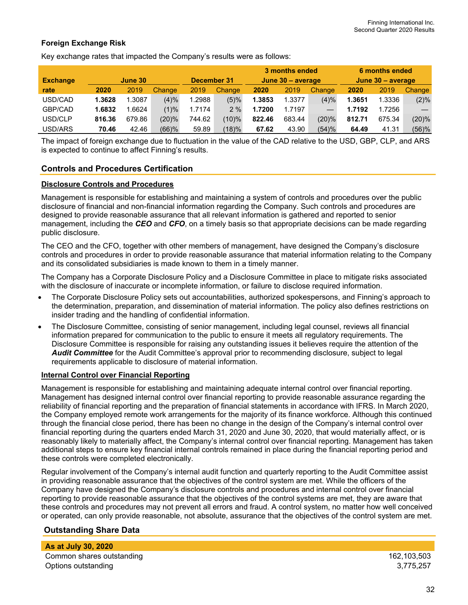### **Foreign Exchange Risk**

Key exchange rates that impacted the Company's results were as follows:

|                 |        | June 30 |             |        |           |                   | 3 months ended |                   |        | 6 months ended |         |
|-----------------|--------|---------|-------------|--------|-----------|-------------------|----------------|-------------------|--------|----------------|---------|
| <b>Exchange</b> |        |         | December 31 |        |           | June 30 - average |                | June 30 - average |        |                |         |
| rate            | 2020   | 2019    | Change      | 2019   | Change    | 2020              | 2019           | Change            | 2020   | 2019           | Change  |
| USD/CAD         | 1.3628 | 1.3087  | (4)%        | 1.2988 | (5)%      | 1.3853            | 1.3377         | (4)%              | 1.3651 | 1.3336         | $(2)\%$ |
| GBP/CAD         | 1.6832 | .6624   | (1)%        | 1.7174 | 2%        | 1.7200            | 1.7197         |                   | 1.7192 | 1.7256         |         |
| USD/CLP         | 816.36 | 679.86  | (20)%       | 744.62 | $(10) \%$ | 822.46            | 683.44         | (20)%             | 812.71 | 675.34         | (20)%   |
| USD/ARS         | 70.46  | 42.46   | $(66)$ %    | 59.89  | (18)%     | 67.62             | 43.90          | (54)%             | 64.49  | 41.31          | (56)%   |

The impact of foreign exchange due to fluctuation in the value of the CAD relative to the USD, GBP, CLP, and ARS is expected to continue to affect Finning's results.

### **Controls and Procedures Certification**

#### **Disclosure Controls and Procedures**

Management is responsible for establishing and maintaining a system of controls and procedures over the public disclosure of financial and non-financial information regarding the Company. Such controls and procedures are designed to provide reasonable assurance that all relevant information is gathered and reported to senior management, including the *CEO* and *CFO*, on a timely basis so that appropriate decisions can be made regarding public disclosure.

The CEO and the CFO, together with other members of management, have designed the Company's disclosure controls and procedures in order to provide reasonable assurance that material information relating to the Company and its consolidated subsidiaries is made known to them in a timely manner.

The Company has a Corporate Disclosure Policy and a Disclosure Committee in place to mitigate risks associated with the disclosure of inaccurate or incomplete information, or failure to disclose required information.

- The Corporate Disclosure Policy sets out accountabilities, authorized spokespersons, and Finning's approach to the determination, preparation, and dissemination of material information. The policy also defines restrictions on insider trading and the handling of confidential information.
- The Disclosure Committee, consisting of senior management, including legal counsel, reviews all financial information prepared for communication to the public to ensure it meets all regulatory requirements. The Disclosure Committee is responsible for raising any outstanding issues it believes require the attention of the *Audit Committee* for the Audit Committee's approval prior to recommending disclosure, subject to legal requirements applicable to disclosure of material information.

#### **Internal Control over Financial Reporting**

Management is responsible for establishing and maintaining adequate internal control over financial reporting. Management has designed internal control over financial reporting to provide reasonable assurance regarding the reliability of financial reporting and the preparation of financial statements in accordance with IFRS. In March 2020, the Company employed remote work arrangements for the majority of its finance workforce. Although this continued through the financial close period, there has been no change in the design of the Company's internal control over financial reporting during the quarters ended March 31, 2020 and June 30, 2020, that would materially affect, or is reasonably likely to materially affect, the Company's internal control over financial reporting. Management has taken additional steps to ensure key financial internal controls remained in place during the financial reporting period and these controls were completed electronically.

Regular involvement of the Company's internal audit function and quarterly reporting to the Audit Committee assist in providing reasonable assurance that the objectives of the control system are met. While the officers of the Company have designed the Company's disclosure controls and procedures and internal control over financial reporting to provide reasonable assurance that the objectives of the control systems are met, they are aware that these controls and procedures may not prevent all errors and fraud. A control system, no matter how well conceived or operated, can only provide reasonable, not absolute, assurance that the objectives of the control system are met.

### **Outstanding Share Data**

**As at July 30, 2020**  Common shares outstanding 162,103,503 Options outstanding 3,775,257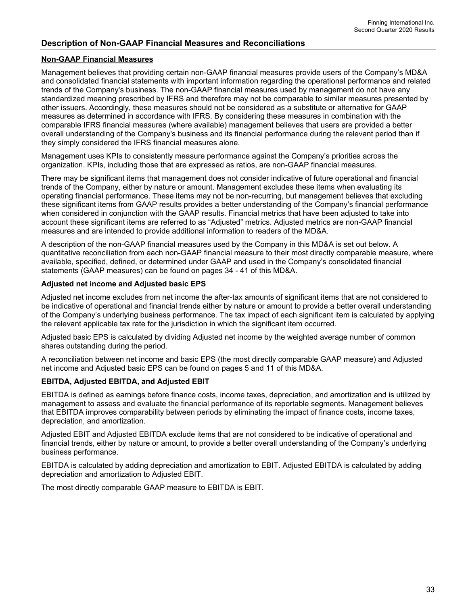### **Description of Non-GAAP Financial Measures and Reconciliations**

### **Non-GAAP Financial Measures**

Management believes that providing certain non-GAAP financial measures provide users of the Company's MD&A and consolidated financial statements with important information regarding the operational performance and related trends of the Company's business. The non-GAAP financial measures used by management do not have any standardized meaning prescribed by IFRS and therefore may not be comparable to similar measures presented by other issuers. Accordingly, these measures should not be considered as a substitute or alternative for GAAP measures as determined in accordance with IFRS. By considering these measures in combination with the comparable IFRS financial measures (where available) management believes that users are provided a better overall understanding of the Company's business and its financial performance during the relevant period than if they simply considered the IFRS financial measures alone.

Management uses KPIs to consistently measure performance against the Company's priorities across the organization. KPIs, including those that are expressed as ratios, are non-GAAP financial measures.

There may be significant items that management does not consider indicative of future operational and financial trends of the Company, either by nature or amount. Management excludes these items when evaluating its operating financial performance. These items may not be non-recurring, but management believes that excluding these significant items from GAAP results provides a better understanding of the Company's financial performance when considered in conjunction with the GAAP results. Financial metrics that have been adjusted to take into account these significant items are referred to as "Adjusted" metrics. Adjusted metrics are non-GAAP financial measures and are intended to provide additional information to readers of the MD&A.

A description of the non-GAAP financial measures used by the Company in this MD&A is set out below. A quantitative reconciliation from each non-GAAP financial measure to their most directly comparable measure, where available, specified, defined, or determined under GAAP and used in the Company's consolidated financial statements (GAAP measures) can be found on pages 34 - 41 of this MD&A.

#### **Adjusted net income and Adjusted basic EPS**

Adjusted net income excludes from net income the after-tax amounts of significant items that are not considered to be indicative of operational and financial trends either by nature or amount to provide a better overall understanding of the Company's underlying business performance. The tax impact of each significant item is calculated by applying the relevant applicable tax rate for the jurisdiction in which the significant item occurred.

Adjusted basic EPS is calculated by dividing Adjusted net income by the weighted average number of common shares outstanding during the period.

A reconciliation between net income and basic EPS (the most directly comparable GAAP measure) and Adjusted net income and Adjusted basic EPS can be found on pages 5 and 11 of this MD&A.

#### **EBITDA, Adjusted EBITDA, and Adjusted EBIT**

EBITDA is defined as earnings before finance costs, income taxes, depreciation, and amortization and is utilized by management to assess and evaluate the financial performance of its reportable segments. Management believes that EBITDA improves comparability between periods by eliminating the impact of finance costs, income taxes, depreciation, and amortization.

Adjusted EBIT and Adjusted EBITDA exclude items that are not considered to be indicative of operational and financial trends, either by nature or amount, to provide a better overall understanding of the Company's underlying business performance.

EBITDA is calculated by adding depreciation and amortization to EBIT. Adjusted EBITDA is calculated by adding depreciation and amortization to Adjusted EBIT.

The most directly comparable GAAP measure to EBITDA is EBIT.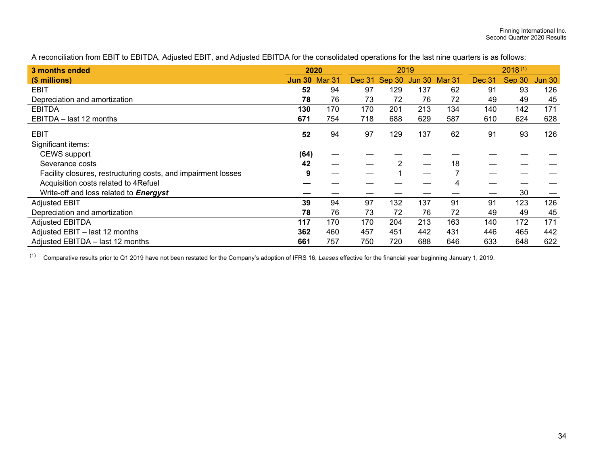A reconciliation from EBIT to EBITDA, Adjusted EBIT, and Adjusted EBITDA for the consolidated operations for the last nine quarters is as follows:

| 3 months ended                                                | 2020                 |     |               | 2019                 |     |     | $2018^{(1)}$  |        |               |  |
|---------------------------------------------------------------|----------------------|-----|---------------|----------------------|-----|-----|---------------|--------|---------------|--|
| (\$ millions)                                                 | <b>Jun 30 Mar 31</b> |     | <b>Dec 31</b> | Sep 30 Jun 30 Mar 31 |     |     | <b>Dec 31</b> | Sep 30 | <b>Jun 30</b> |  |
| <b>EBIT</b>                                                   | 52                   | 94  | 97            | 129                  | 137 | 62  | 91            | 93     | 126           |  |
| Depreciation and amortization                                 | 78                   | 76  | 73            | 72                   | 76  | 72  | 49            | 49     | 45            |  |
| <b>EBITDA</b>                                                 | 130                  | 170 | 170           | 201                  | 213 | 134 | 140           | 142    | 171           |  |
| EBITDA - last 12 months                                       | 671                  | 754 | 718           | 688                  | 629 | 587 | 610           | 624    | 628           |  |
| EBIT                                                          | 52                   | 94  | 97            | 129                  | 137 | 62  | 91            | 93     | 126           |  |
| Significant items:                                            |                      |     |               |                      |     |     |               |        |               |  |
| <b>CEWS</b> support                                           | (64)                 |     |               |                      |     |     |               |        |               |  |
| Severance costs                                               | 42                   |     |               | 2                    |     | 18  |               |        |               |  |
| Facility closures, restructuring costs, and impairment losses | 9                    |     |               |                      |     |     |               |        |               |  |
| Acquisition costs related to 4Refuel                          |                      |     |               |                      |     |     |               |        |               |  |
| Write-off and loss related to Energyst                        |                      |     |               |                      |     |     |               | 30     |               |  |
| <b>Adjusted EBIT</b>                                          | 39                   | 94  | 97            | 132                  | 137 | 91  | 91            | 123    | 126           |  |
| Depreciation and amortization                                 | 78                   | 76  | 73            | 72                   | 76  | 72  | 49            | 49     | 45            |  |
| <b>Adjusted EBITDA</b>                                        | 117                  | 170 | 170           | 204                  | 213 | 163 | 140           | 172    | 171           |  |
| Adjusted EBIT - last 12 months                                | 362                  | 460 | 457           | 451                  | 442 | 431 | 446           | 465    | 442           |  |
| Adjusted EBITDA - last 12 months                              | 661                  | 757 | 750           | 720                  | 688 | 646 | 633           | 648    | 622           |  |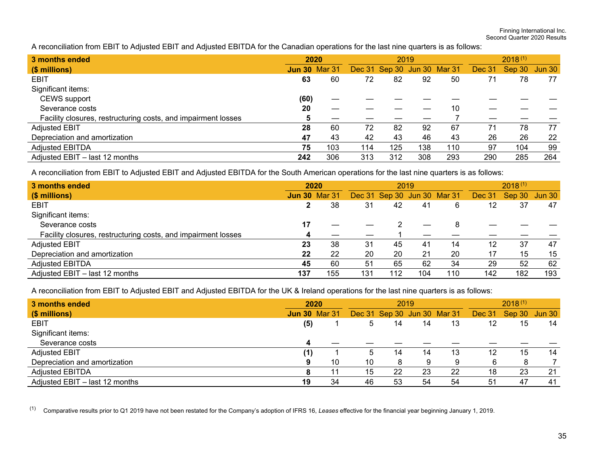Finning International Inc. Second Quarter 2020 Results

A reconciliation from EBIT to Adjusted EBIT and Adjusted EBITDA for the Canadian operations for the last nine quarters is as follows:

| 3 months ended                                                |                      | 2020 |     | 2019                        |     | $2018^{(1)}$ |        |               |     |
|---------------------------------------------------------------|----------------------|------|-----|-----------------------------|-----|--------------|--------|---------------|-----|
| (\$ millions)                                                 | <b>Jun 30 Mar 31</b> |      |     | Dec 31 Sep 30 Jun 30 Mar 31 |     |              | Dec 31 | Sep 30 Jun 30 |     |
| <b>EBIT</b>                                                   | 63                   | 60   | 72  | 82                          | 92  | 50           | 71     | 78            | 77  |
| Significant items:                                            |                      |      |     |                             |     |              |        |               |     |
| CEWS support                                                  | (60)                 |      |     |                             |     |              |        |               |     |
| Severance costs                                               | 20                   |      |     |                             |     | 10           |        |               |     |
| Facility closures, restructuring costs, and impairment losses |                      |      |     |                             |     |              |        |               |     |
| <b>Adjusted EBIT</b>                                          | 28                   | 60   | 72  | 82                          | 92  | 67           | 71     | 78            | 77  |
| Depreciation and amortization                                 | 47                   | 43   | 42  | 43                          | 46  | 43           | 26     | 26            | 22  |
| <b>Adjusted EBITDA</b>                                        | 75                   | 103  | 114 | 125                         | 138 | 110          | 97     | 104           | 99  |
| Adjusted EBIT - last 12 months                                | 242                  | 306  | 313 | 312                         | 308 | 293          | 290    | 285           | 264 |

A reconciliation from EBIT to Adjusted EBIT and Adjusted EBITDA for the South American operations for the last nine quarters is as follows:

| 3 months ended                                                | 2020                 |     |     |                             | 2019 |     | $2018^{(1)}$ |               |     |
|---------------------------------------------------------------|----------------------|-----|-----|-----------------------------|------|-----|--------------|---------------|-----|
| (\$ millions)                                                 | <b>Jun 30 Mar 31</b> |     |     | Dec 31 Sep 30 Jun 30 Mar 31 |      |     | Dec 31       | Sep 30 Jun 30 |     |
| EBIT                                                          | 2                    | 38  | 31  | 42                          | 41   | 6   | 12           | 37            | 47  |
| Significant items:                                            |                      |     |     |                             |      |     |              |               |     |
| Severance costs                                               | 17                   |     |     |                             |      |     |              |               |     |
| Facility closures, restructuring costs, and impairment losses | 4                    |     |     |                             |      |     |              |               |     |
| <b>Adjusted EBIT</b>                                          | 23                   | 38  | 31  | 45                          | 41   | 14  | 12           | 37            | 47  |
| Depreciation and amortization                                 | 22                   | 22  | 20  | 20                          | 21   | 20  | 17           | 15            | 15  |
| <b>Adjusted EBITDA</b>                                        | 45                   | 60  | 51  | 65                          | 62   | 34  | 29           | 52            | 62  |
| Adjusted EBIT - last 12 months                                | 137                  | 155 | 131 | 112                         | 104  | 110 | 142          | 182           | 193 |

A reconciliation from EBIT to Adjusted EBIT and Adjusted EBITDA for the UK & Ireland operations for the last nine quarters is as follows:

| 3 months ended                 | 2020                 |    |             | 2019 |    | $2018^{(1)}$                |        |               |    |
|--------------------------------|----------------------|----|-------------|------|----|-----------------------------|--------|---------------|----|
| (\$ millions)                  | <b>Jun 30 Mar 31</b> |    |             |      |    | Dec 31 Sep 30 Jun 30 Mar 31 | Dec 31 | Sep 30 Jun 30 |    |
| EBIT                           | (5)                  |    | 5           | 14   | 14 | 13                          | 12     | 15            | 14 |
| Significant items:             |                      |    |             |      |    |                             |        |               |    |
| Severance costs                |                      |    |             |      |    |                             |        |               |    |
| <b>Adjusted EBIT</b>           | (1)                  |    | $\mathbf b$ | 14   | 14 | 13                          | 12     | 15            | 14 |
| Depreciation and amortization  |                      | 10 | 10          | 8    | 9  | 9                           | 6      | 8             |    |
| Adjusted EBITDA                |                      |    | 15          | 22   | 23 | 22                          | 18     | 23            | 21 |
| Adjusted EBIT - last 12 months | 19                   | 34 | 46          | 53   | 54 | 54                          | 51     | 47            | 41 |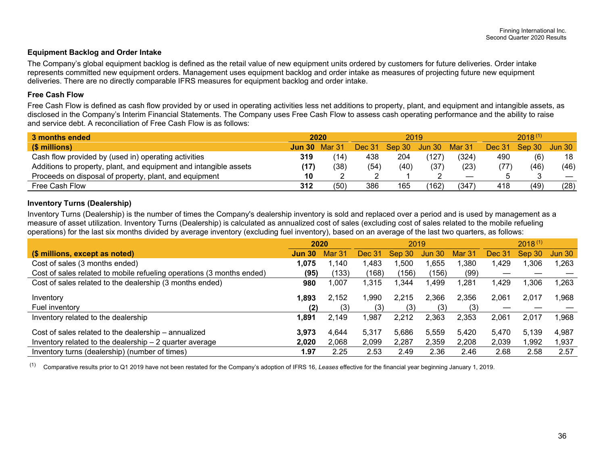#### **Equipment Backlog and Order Intake**

The Company's global equipment backlog is defined as the retail value of new equipment units ordered by customers for future deliveries. Order intake represents committed new equipment orders. Management uses equipment backlog and order intake as measures of projecting future new equipment deliveries. There are no directly comparable IFRS measures for equipment backlog and order intake.

#### **Free Cash Flow**

Free Cash Flow is defined as cash flow provided by or used in operating activities less net additions to property, plant, and equipment and intangible assets, as disclosed in the Company's Interim Financial Statements. The Company uses Free Cash Flow to assess cash operating performance and the ability to raise and service debt. A reconciliation of Free Cash Flow is as follows:

| 3 months ended                                                    |      | 2020                 |               | 2019          |       |                   | $2018^{(1)}$ |        |                   |
|-------------------------------------------------------------------|------|----------------------|---------------|---------------|-------|-------------------|--------------|--------|-------------------|
| (\$ millions)                                                     |      | <b>Jun 30 Mar 31</b> | <b>Dec 31</b> | Sep 30 Jun 30 |       | Mar 31            | Dec 31       | Sep 30 | Jun 30            |
| Cash flow provided by (used in) operating activities              | 319  | (14                  | 438           | 204           | (127  | (324)             | 490          | (6)    | 18                |
| Additions to property, plant, and equipment and intangible assets | (17) | (38)                 | (54)          | (40)          | (37)  | (23)              |              | (46)   | (46)              |
| Proceeds on disposal of property, plant, and equipment            | 10   |                      |               |               |       | $\hspace{0.05cm}$ |              |        | $\hspace{0.05cm}$ |
| Free Cash Flow                                                    | 312  | (50)                 | 386           | 165           | (162) | (347)             | 418          | (49)   | (28)              |

#### **Inventory Turns (Dealership)**

Inventory Turns (Dealership) is the number of times the Company's dealership inventory is sold and replaced over a period and is used by management as a measure of asset utilization. Inventory Turns (Dealership) is calculated as annualized cost of sales (excluding cost of sales related to the mobile refueling operations) for the last six months divided by average inventory (excluding fuel inventory), based on an average of the last two quarters, as follows:

|                                                                       |               | 2020   |        |        | 2019          |        |        |        |        |
|-----------------------------------------------------------------------|---------------|--------|--------|--------|---------------|--------|--------|--------|--------|
| (\$ millions, except as noted)                                        | <b>Jun 30</b> | Mar 31 | Dec 31 | Sep 30 | <b>Jun 30</b> | Mar 31 | Dec 31 | Sep 30 | Jun 30 |
| Cost of sales (3 months ended)                                        | 1,075         | 1,140  | 1,483  | .500   | ,655          | 1,380  | 1,429  | 306,⊺  | 1,263  |
| Cost of sales related to mobile refueling operations (3 months ended) | (95)          | (133)  | (168)  | (156)  | (156)         | (99)   |        |        |        |
| Cost of sales related to the dealership (3 months ended)              | 980           | ,007   | 1,315  | ,344   | .499          | 1,281  | .429   | ,306   | .263   |
| Inventory                                                             | 1,893         | 2.152  | .990   | 2.215  | 2,366         | 2,356  | 2,061  | 2.017  | 1.968  |
| Fuel inventory                                                        | (2)           | (3)    | (3)    | (3)    | (3)           | (3)    |        |        |        |
| Inventory related to the dealership                                   | 1,891         | 2.149  | 1.987  | 2.212  | 2,363         | 2,353  | 2,061  | 2.017  | 1.968  |
| Cost of sales related to the dealership – annualized                  | 3,973         | 4,644  | 5,317  | 5,686  | 5,559         | 5,420  | 5.470  | 5.139  | 4,987  |
| Inventory related to the dealership $-2$ quarter average              | 2,020         | 2,068  | 2,099  | 2,287  | 2,359         | 2,208  | 2,039  | 992, ا | 1,937  |
| Inventory turns (dealership) (number of times)                        | 1.97          | 2.25   | 2.53   | 2.49   | 2.36          | 2.46   | 2.68   | 2.58   | 2.57   |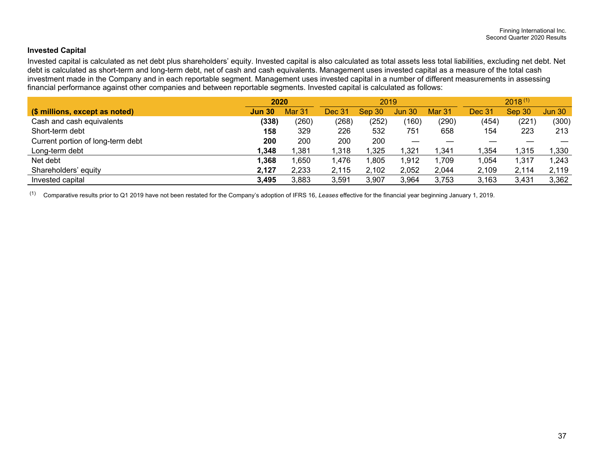### **Invested Capital**

Invested capital is calculated as net debt plus shareholders' equity. Invested capital is also calculated as total assets less total liabilities, excluding net debt. Net debt is calculated as short-term and long-term debt, net of cash and cash equivalents. Management uses invested capital as a measure of the total cash investment made in the Company and in each reportable segment. Management uses invested capital in a number of different measurements in assessing financial performance against other companies and between reportable segments. Invested capital is calculated as follows:

|                                   | 2020          |               |               | 2019   |                     | $2018^{(1)}$ |               |        |               |
|-----------------------------------|---------------|---------------|---------------|--------|---------------------|--------------|---------------|--------|---------------|
| (\$ millions, except as noted)    | <b>Jun 30</b> | <b>Mar 31</b> | <b>Dec 31</b> | Sep 30 | Jun 30 <sub>1</sub> | Mar 31       | <b>Dec 31</b> | Sep 30 | <b>Jun 30</b> |
| Cash and cash equivalents         | (338)         | (260)         | (268)         | (252)  | (160)               | (290)        | (454)         | (221)  | (300)         |
| Short-term debt                   | 158           | 329           | 226           | 532    | 751                 | 658          | 154           | 223    | 213           |
| Current portion of long-term debt | 200           | 200           | 200           | 200    |                     |              |               |        |               |
| Long-term debt                    | 1,348         | ,381          | 1,318         | .325   | $\overline{.}321$   | ,341         | 1,354         | l.315  | ,330          |
| Net debt                          | 1,368         | ,650          | 1,476         | .805   | 1,912               | .709         | 1,054         | 1,317  | 1,243         |
| Shareholders' equity              | 2,127         | 2,233         | 2,115         | 2,102  | 2,052               | 2,044        | 2,109         | 2,114  | 2,119         |
| Invested capital                  | 3,495         | 3,883         | 3,591         | 3,907  | 3,964               | 3,753        | 3,163         | 3,431  | 3,362         |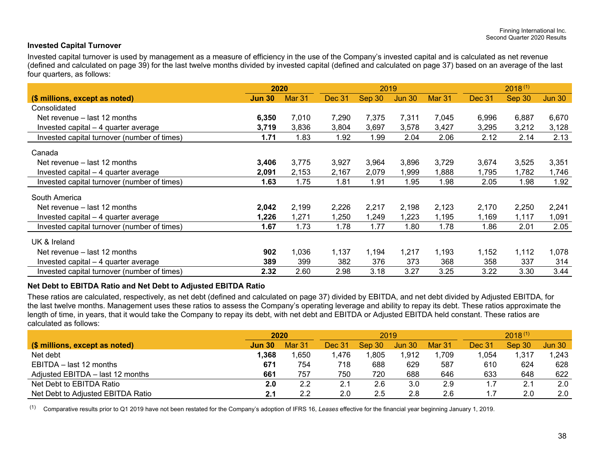#### **Invested Capital Turnover**

Invested capital turnover is used by management as a measure of efficiency in the use of the Company's invested capital and is calculated as net revenue (defined and calculated on page 39) for the last twelve months divided by invested capital (defined and calculated on page 37) based on an average of the last four quarters, as follows:

|                                             | 2019<br>2020  |        |        |        |               | $2018^{(1)}$ |               |        |        |
|---------------------------------------------|---------------|--------|--------|--------|---------------|--------------|---------------|--------|--------|
| (\$ millions, except as noted)              | <b>Jun 30</b> | Mar 31 | Dec 31 | Sep 30 | <b>Jun 30</b> | Mar 31       | <b>Dec 31</b> | Sep 30 | Jun 30 |
| Consolidated                                |               |        |        |        |               |              |               |        |        |
| Net revenue – last 12 months                | 6,350         | 7,010  | 7,290  | 7,375  | 7,311         | 7,045        | 6,996         | 6,887  | 6,670  |
| Invested capital – 4 quarter average        | 3,719         | 3,836  | 3,804  | 3,697  | 3,578         | 3,427        | 3,295         | 3,212  | 3,128  |
| Invested capital turnover (number of times) | 1.71          | 1.83   | 1.92   | 1.99   | 2.04          | 2.06         | 2.12          | 2.14   | 2.13   |
| Canada                                      |               |        |        |        |               |              |               |        |        |
| Net revenue – last 12 months                | 3,406         | 3,775  | 3,927  | 3,964  | 3,896         | 3,729        | 3,674         | 3,525  | 3,351  |
| Invested capital – 4 quarter average        | 2,091         | 2,153  | 2,167  | 2,079  | ,999          | 1,888        | 1,795         | 1,782  | 1,746  |
| Invested capital turnover (number of times) | 1.63          | 1.75   | 1.81   | 1.91   | 1.95          | 1.98         | 2.05          | 1.98   | 1.92   |
| South America                               |               |        |        |        |               |              |               |        |        |
| Net revenue – last 12 months                | 2,042         | 2,199  | 2,226  | 2,217  | 2,198         | 2,123        | 2,170         | 2,250  | 2,241  |
| Invested capital – 4 quarter average        | 1,226         | 1,271  | 1,250  | 1,249  | 1,223         | 1,195        | 1,169         | 1,117  | 1,091  |
| Invested capital turnover (number of times) | 1.67          | 1.73   | 1.78   | 1.77   | 1.80          | 1.78         | 1.86          | 2.01   | 2.05   |
| UK & Ireland                                |               |        |        |        |               |              |               |        |        |
| Net revenue – last 12 months                | 902           | 1,036  | 1,137  | 1,194  | 1,217         | 1,193        | 1,152         | 1,112  | 1,078  |
| Invested capital - 4 quarter average        | 389           | 399    | 382    | 376    | 373           | 368          | 358           | 337    | 314    |
| Invested capital turnover (number of times) | 2.32          | 2.60   | 2.98   | 3.18   | 3.27          | 3.25         | 3.22          | 3.30   | 3.44   |

#### **Net Debt to EBITDA Ratio and Net Debt to Adjusted EBITDA Ratio**

These ratios are calculated, respectively, as net debt (defined and calculated on page 37) divided by EBITDA, and net debt divided by Adjusted EBITDA, for the last twelve months. Management uses these ratios to assess the Company's operating leverage and ability to repay its debt. These ratios approximate the length of time, in years, that it would take the Company to repay its debt, with net debt and EBITDA or Adjusted EBITDA held constant. These ratios are calculated as follows:

|                                   | 2020          |        |        | 2019    |               | $2018^{(1)}$  |               |        |               |
|-----------------------------------|---------------|--------|--------|---------|---------------|---------------|---------------|--------|---------------|
| (\$ millions, except as noted)    | <b>Jun 30</b> | Mar 31 | Dec 31 | Sep 30  | <b>Jun 30</b> | <b>Mar 31</b> | <b>Dec 31</b> | Sep 30 | <b>Jun 30</b> |
| Net debt                          | 1,368         | .650   | .476   | .805    | 1,912         | .709          | .054          | 1,317  | 1,243         |
| EBITDA - last 12 months           | 671           | 754    | 718    | 688     | 629           | 587           | 610           | 624    | 628           |
| Adjusted EBITDA - last 12 months  | 661           | 757    | 750    | 720     | 688           | 646           | 633           | 648    | 622           |
| Net Debt to EBITDA Ratio          | 2.0           | 2.2    | 2.1    | 2.6     | 3.0           | 2.9           |               | 2.1    | 2.0           |
| Net Debt to Adjusted EBITDA Ratio | 2.1           | 2.2    | 2.0    | $2.5\,$ | 2.8           | 2.6           |               | 2.0    | 2.0           |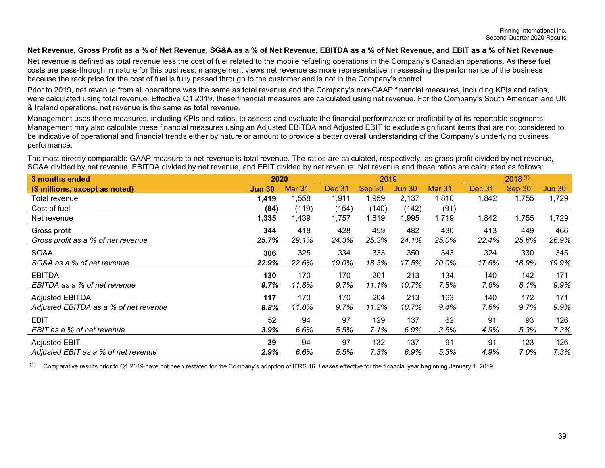#### **Net Revenue, Gross Profit as a % of Net Revenue, SG&A as a % of Net Revenue, EBITDA as a % of Net Revenue, and EBIT as a % of Net Revenue**

Net revenue is defined as total revenue less the cost of fuel related to the mobile refueling operations in the Company's Canadian operations. As these fuel costs are pass-through in nature for this business, management views net revenue as more representative in assessing the performance of the business because the rack price for the cost of fuel is fully passed through to the customer and is not in the Company's control.

Prior to 2019, net revenue from all operations was the same as total revenue and the Company's non-GAAP financial measures, including KPIs and ratios, were calculated using total revenue. Effective Q1 2019, these financial measures are calculated using net revenue. For the Company's South American and UK & Ireland operations, net revenue is the same as total revenue.

Management uses these measures, including KPIs and ratios, to assess and evaluate the financial performance or profitability of its reportable segments. Management may also calculate these financial measures using an Adjusted EBITDA and Adjusted EBIT to exclude significant items that are not considered to be indicative of operational and financial trends either by nature or amount to provide a better overall understanding of the Company's underlying business performance.

The most directly comparable GAAP measure to net revenue is total revenue. The ratios are calculated, respectively, as gross profit divided by net revenue, SG&A divided by net revenue, EBITDA divided by net revenue, and EBIT divided by net revenue. Net revenue and these ratios are calculated as follows:

| 3 months ended                        | 2020<br>2019  |               |        |        |               |        | $2018^{(1)}$  |        |               |  |
|---------------------------------------|---------------|---------------|--------|--------|---------------|--------|---------------|--------|---------------|--|
| (\$ millions, except as noted)        | <b>Jun 30</b> | <b>Mar 31</b> | Dec 31 | Sep 30 | <b>Jun 30</b> | Mar 31 | <b>Dec 31</b> | Sep 30 | <b>Jun 30</b> |  |
| Total revenue                         | 1,419         | 1,558         | 1,911  | 1,959  | 2,137         | 1,810  | 1,842         | 1,755  | 1,729         |  |
| Cost of fuel                          | (84)          | (119)         | (154)  | (140)  | (142)         | (91)   |               |        |               |  |
| Net revenue                           | 1,335         | ,439          | 1,757  | 1,819  | ,995          | 1,719  | 842,          | 1,755  | 1,729         |  |
| Gross profit                          | 344           | 418           | 428    | 459    | 482           | 430    | 413           | 449    | 466           |  |
| Gross profit as a % of net revenue    | 25.7%         | 29.1%         | 24.3%  | 25.3%  | 24.1%         | 25.0%  | 22.4%         | 25.6%  | 26.9%         |  |
| SG&A                                  | 306           | 325           | 334    | 333    | 350           | 343    | 324           | 330    | 345           |  |
| SG&A as a % of net revenue            | 22.9%         | 22.6%         | 19.0%  | 18.3%  | 17.5%         | 20.0%  | 17.6%         | 18.9%  | 19.9%         |  |
| <b>EBITDA</b>                         | 130           | 170           | 170    | 201    | 213           | 134    | 140           | 142    | 171           |  |
| EBITDA as a % of net revenue          | 9.7%          | 11.8%         | 9.7%   | 11.1%  | 10.7%         | 7.8%   | 7.6%          | 8.1%   | 9.9%          |  |
| <b>Adjusted EBITDA</b>                | 117           | 170           | 170    | 204    | 213           | 163    | 140           | 172    | 171           |  |
| Adjusted EBITDA as a % of net revenue | 8.8%          | 11.8%         | 9.7%   | 11.2%  | 10.7%         | 9.4%   | 7.6%          | 9.7%   | 9.9%          |  |
| <b>EBIT</b>                           | 52            | 94            | 97     | 129    | 137           | 62     | 91            | 93     | 126           |  |
| EBIT as a % of net revenue            | 3.9%          | 6.6%          | 5.5%   | 7.1%   | 6.9%          | 3.6%   | 4.9%          | 5.3%   | 7.3%          |  |
| <b>Adjusted EBIT</b>                  | 39            | 94            | 97     | 132    | 137           | 91     | 91            | 123    | 126           |  |
| Adjusted EBIT as a % of net revenue   | 2.9%          | 6.6%          | 5.5%   | 7.3%   | 6.9%          | 5.3%   | 4.9%          | 7.0%   | 7.3%          |  |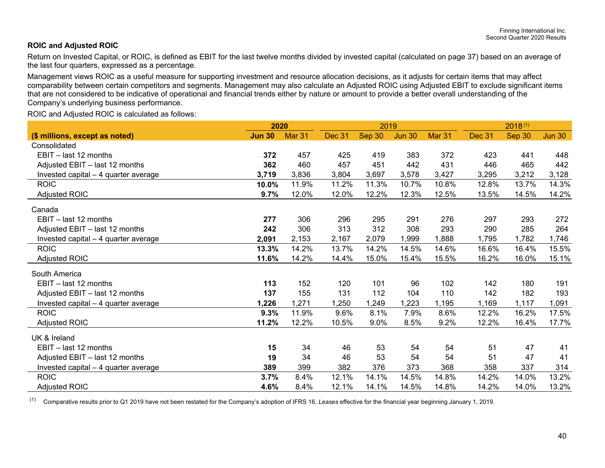#### **ROIC and Adjusted ROIC**

Return on Invested Capital, or ROIC, is defined as EBIT for the last twelve months divided by invested capital (calculated on page 37) based on an average of the last four quarters, expressed as a percentage.

Management views ROIC as a useful measure for supporting investment and resource allocation decisions, as it adjusts for certain items that may affect comparability between certain competitors and segments. Management may also calculate an Adjusted ROIC using Adjusted EBIT to exclude significant items that are not considered to be indicative of operational and financial trends either by nature or amount to provide a better overall understanding of the Company's underlying business performance.

ROIC and Adjusted ROIC is calculated as follows:

|                                      | 2020          |        |        | 2019   |               |        |        |        |               |
|--------------------------------------|---------------|--------|--------|--------|---------------|--------|--------|--------|---------------|
| (\$ millions, except as noted)       | <b>Jun 30</b> | Mar 31 | Dec 31 | Sep 30 | <b>Jun 30</b> | Mar 31 | Dec 31 | Sep 30 | <b>Jun 30</b> |
| Consolidated                         |               |        |        |        |               |        |        |        |               |
| EBIT - last 12 months                | 372           | 457    | 425    | 419    | 383           | 372    | 423    | 441    | 448           |
| Adjusted EBIT - last 12 months       | 362           | 460    | 457    | 451    | 442           | 431    | 446    | 465    | 442           |
| Invested capital - 4 quarter average | 3,719         | 3,836  | 3,804  | 3,697  | 3,578         | 3,427  | 3,295  | 3,212  | 3,128         |
| <b>ROIC</b>                          | 10.0%         | 11.9%  | 11.2%  | 11.3%  | 10.7%         | 10.8%  | 12.8%  | 13.7%  | 14.3%         |
| <b>Adjusted ROIC</b>                 | 9.7%          | 12.0%  | 12.0%  | 12.2%  | 12.3%         | 12.5%  | 13.5%  | 14.5%  | 14.2%         |
| Canada                               |               |        |        |        |               |        |        |        |               |
| EBIT - last 12 months                | 277           | 306    | 296    | 295    | 291           | 276    | 297    | 293    | 272           |
| Adjusted EBIT - last 12 months       | 242           | 306    | 313    | 312    | 308           | 293    | 290    | 285    | 264           |
| Invested capital – 4 quarter average | 2,091         | 2,153  | 2,167  | 2,079  | 1,999         | 1,888  | 1,795  | 1,782  | 1,746         |
| <b>ROIC</b>                          | 13.3%         | 14.2%  | 13.7%  | 14.2%  | 14.5%         | 14.6%  | 16.6%  | 16.4%  | 15.5%         |
| <b>Adjusted ROIC</b>                 | 11.6%         | 14.2%  | 14.4%  | 15.0%  | 15.4%         | 15.5%  | 16.2%  | 16.0%  | 15.1%         |
| South America                        |               |        |        |        |               |        |        |        |               |
| EBIT - last 12 months                | 113           | 152    | 120    | 101    | 96            | 102    | 142    | 180    | 191           |
| Adjusted EBIT - last 12 months       | 137           | 155    | 131    | 112    | 104           | 110    | 142    | 182    | 193           |
| Invested capital – 4 quarter average | 1,226         | 1,271  | 1,250  | 1,249  | 1,223         | 1,195  | 1,169  | 1,117  | 1,091         |
| <b>ROIC</b>                          | 9.3%          | 11.9%  | 9.6%   | 8.1%   | 7.9%          | 8.6%   | 12.2%  | 16.2%  | 17.5%         |
| Adjusted ROIC                        | 11.2%         | 12.2%  | 10.5%  | 9.0%   | 8.5%          | 9.2%   | 12.2%  | 16.4%  | 17.7%         |
| UK & Ireland                         |               |        |        |        |               |        |        |        |               |
| EBIT - last 12 months                | 15            | 34     | 46     | 53     | 54            | 54     | 51     | 47     | 41            |
| Adjusted EBIT - last 12 months       | 19            | 34     | 46     | 53     | 54            | 54     | 51     | 47     | 41            |
| Invested capital - 4 quarter average | 389           | 399    | 382    | 376    | 373           | 368    | 358    | 337    | 314           |
| <b>ROIC</b>                          | 3.7%          | 8.4%   | 12.1%  | 14.1%  | 14.5%         | 14.8%  | 14.2%  | 14.0%  | 13.2%         |
| Adjusted ROIC                        | 4.6%          | 8.4%   | 12.1%  | 14.1%  | 14.5%         | 14.8%  | 14.2%  | 14.0%  | 13.2%         |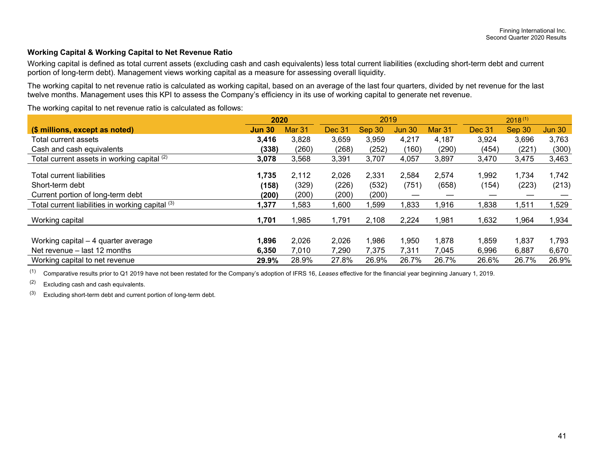#### **Working Capital & Working Capital to Net Revenue Ratio**

Working capital is defined as total current assets (excluding cash and cash equivalents) less total current liabilities (excluding short-term debt and current portion of long-term debt). Management views working capital as a measure for assessing overall liquidity.

The working capital to net revenue ratio is calculated as working capital, based on an average of the last four quarters, divided by net revenue for the last twelve months. Management uses this KPI to assess the Company's efficiency in its use of working capital to generate net revenue.

The working capital to net revenue ratio is calculated as follows:

|                                                  | 2020          |                   |               | 2019   |               |        | $2018^{(1)}$  |        |               |  |
|--------------------------------------------------|---------------|-------------------|---------------|--------|---------------|--------|---------------|--------|---------------|--|
| (\$ millions, except as noted)                   | <b>Jun 30</b> | Mar <sub>31</sub> | <b>Dec 31</b> | Sep 30 | <b>Jun 30</b> | Mar 31 | <b>Dec 31</b> | Sep 30 | <b>Jun 30</b> |  |
| Total current assets                             | 3,416         | 3,828             | 3,659         | 3,959  | 4,217         | 4,187  | 3,924         | 3,696  | 3,763         |  |
| Cash and cash equivalents                        | (338)         | (260)             | (268)         | (252)  | (160)         | (290)  | (454)         | (221)  | (300)         |  |
| Total current assets in working capital (2)      | 3,078         | 3,568             | 3,391         | 3,707  | 4,057         | 3,897  | 3,470         | 3,475  | 3,463         |  |
| <b>Total current liabilities</b>                 | 1,735         | 2,112             | 2,026         | 2,331  | 2,584         | 2,574  | 1,992         | 1,734  | 1,742         |  |
| Short-term debt                                  | (158)         | (329)             | (226)         | (532)  | (751)         | (658)  | (154)         | (223)  | (213)         |  |
| Current portion of long-term debt                | (200)         | (200)             | (200)         | (200)  |               |        |               |        |               |  |
| Total current liabilities in working capital (3) | 1,377         | ,583              | 006,1         | ,599   | ,833          | 1,916  | 1,838         | ,511   | ,529          |  |
| Working capital                                  | 1,701         | ,985              | 1,791         | 2,108  | 2,224         | 1,981  | 1,632         | 1,964  | 1,934         |  |
|                                                  |               |                   |               |        |               |        |               |        |               |  |
| Working capital - 4 quarter average              | 1,896         | 2,026             | 2,026         | 1,986  | 1,950         | 1,878  | 1,859         | 1,837  | 1,793         |  |
| Net revenue – last 12 months                     | 6,350         | 7,010             | 7,290         | 7,375  | 7,311         | 7,045  | 6,996         | 6,887  | 6,670         |  |
| Working capital to net revenue                   | 29.9%         | 28.9%             | 27.8%         | 26.9%  | 26.7%         | 26.7%  | 26.6%         | 26.7%  | 26.9%         |  |

(1) Comparative results prior to Q1 2019 have not been restated for the Company's adoption of IFRS 16, *Leases* effective for the financial year beginning January 1, 2019.

 $(2)$  Excluding cash and cash equivalents.

 $(3)$  Excluding short-term debt and current portion of long-term debt.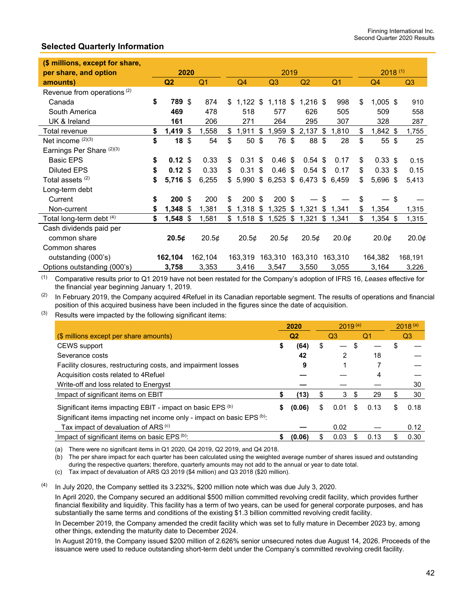### **Selected Quarterly Information**

| (\$ millions, except for share,        |                          |      |                |                       |                  |      |                |     |                |                  |  |                |
|----------------------------------------|--------------------------|------|----------------|-----------------------|------------------|------|----------------|-----|----------------|------------------|--|----------------|
| per share, and option                  |                          | 2020 |                |                       |                  | 2019 |                |     |                | $2018^{(1)}$     |  |                |
| amounts)                               | Q <sub>2</sub>           |      | Q <sub>1</sub> | Q4                    | Q3               |      | Q2             |     | Q <sub>1</sub> | Q4               |  | Q <sub>3</sub> |
| Revenue from operations <sup>(2)</sup> |                          |      |                |                       |                  |      |                |     |                |                  |  |                |
| Canada                                 | \$<br>789 \$             |      | 874            | \$<br>$1,122$ \$      | $1,118$ \$       |      | $1,216$ \$     |     | 998            | \$<br>$1,005$ \$ |  | 910            |
| South America                          | 469                      |      | 478            | 518                   | 577              |      | 626            |     | 505            | 509              |  | 558            |
| UK & Ireland                           | 161                      |      | 206            | 271                   | 264              |      | 295            |     | 307            | 328              |  | 287            |
| Total revenue                          | \$<br>$1,419$ \$         |      | 1,558          | \$<br>1,911           | \$<br>$1,959$ \$ |      | $2,137$ \$     |     | 1,810          | \$<br>$1,842$ \$ |  | 1,755          |
| Net income (2)(3)                      | \$<br>$18 \; \text{$}$   |      | 54             | \$<br>50 <sup>°</sup> | 76 \$            |      | 88 \$          |     | 28             | \$<br>55S        |  | 25             |
| Earnings Per Share (2)(3)              |                          |      |                |                       |                  |      |                |     |                |                  |  |                |
| <b>Basic EPS</b>                       | \$<br>$0.12 \text{ }$ \$ |      | 0.33           | \$<br>$0.31$ \$       | 0.46~\$          |      | $0.54$ \$      |     | 0.17           | \$<br>$0.33$ \$  |  | 0.15           |
| <b>Diluted EPS</b>                     | \$<br>$0.12$ \$          |      | 0.33           | \$<br>0.31            | \$<br>0.46~\$    |      | $0.54$ \$      |     | 0.17           | \$<br>$0.33$ \$  |  | 0.15           |
| Total assets (2)                       | \$<br>5,716 \$           |      | 6,255          | \$<br>$5,990$ \$      | $6,253$ \$       |      | $6,473$ \$     |     | 6,459          | \$<br>5,696 \$   |  | 5,413          |
| Long-term debt                         |                          |      |                |                       |                  |      |                |     |                |                  |  |                |
| Current                                | \$<br>$200$ \$           |      | 200            | \$<br>$200$ \$        | $200$ \$         |      |                | -\$ |                | \$<br>— \$       |  |                |
| Non-current                            | \$<br>1,348 \$           |      | 1,381          | \$<br>$1,318$ \$      | $1,325$ \$       |      | 1,321 \$ 1,341 |     |                | \$<br>1,354      |  | 1,315          |
| Total long-term debt (4)               | \$<br>$1,548$ \$         |      | 1,581          | \$<br>$1,518$ \$      | 1,525            | \$   | 1,321          | \$  | 1,341          | \$<br>$1,354$ \$ |  | 1,315          |
| Cash dividends paid per                |                          |      |                |                       |                  |      |                |     |                |                  |  |                |
| common share                           | 20.5¢                    |      | 20.5¢          | 20.5¢                 | 20.5¢            |      | 20.5¢          |     | 20.0¢          | 20.0¢            |  | 20.0¢          |
| Common shares                          |                          |      |                |                       |                  |      |                |     |                |                  |  |                |
| outstanding (000's)                    | 162,104                  |      | 162,104        | 163,319               | 163,310          |      | 163,310        |     | 163,310        | 164,382          |  | 168,191        |
| Options outstanding (000's)            | 3,758                    |      | 3,353          | 3,416                 | 3,547            |      | 3,550          |     | 3,055          | 3,164            |  | 3,226          |

(1) Comparative results prior to Q1 2019 have not been restated for the Company's adoption of IFRS 16, *Leases* effective for the financial year beginning January 1, 2019.

 $(2)$  In February 2019, the Company acquired 4Refuel in its Canadian reportable segment. The results of operations and financial position of this acquired business have been included in the figures since the date of acquisition.

 $(3)$  Results were impacted by the following significant items:

|                                                                        | 2020         | $2019^{(a)}$ |   | $2018^{(a)}$ |   |      |
|------------------------------------------------------------------------|--------------|--------------|---|--------------|---|------|
| (\$ millions except per share amounts)                                 | Q2           | Q3           |   | Q1           |   | Q3   |
| CEWS support                                                           | \$<br>(64)   | \$           | S |              |   |      |
| Severance costs                                                        | 42           | 2            |   | 18           |   |      |
| Facility closures, restructuring costs, and impairment losses          | 9            |              |   |              |   |      |
| Acquisition costs related to 4 Refuel                                  |              |              |   |              |   |      |
| Write-off and loss related to Energyst                                 |              |              |   |              |   | 30   |
| Impact of significant items on EBIT                                    | (13)         | 3            | S | 29           | S | 30   |
| Significant items impacting EBIT - impact on basic EPS (b)             | \$<br>(0.06) | \$<br>0.01   | S | 0.13         | S | 0.18 |
| Significant items impacting net income only - impact on basic EPS (b): |              |              |   |              |   |      |
| Tax impact of devaluation of ARS (c)                                   |              | 0.02         |   |              |   | 0.12 |
| Impact of significant items on basic EPS (b):                          | (0.06)       | 0.03         |   | 0.13         |   | 0.30 |

(a) There were no significant items in Q1 2020, Q4 2019, Q2 2019, and Q4 2018.

(b) The per share impact for each quarter has been calculated using the weighted average number of shares issued and outstanding during the respective quarters; therefore, quarterly amounts may not add to the annual or year to date total.

(c) Tax impact of devaluation of ARS Q3 2019 (\$4 million) and Q3 2018 (\$20 million).

In July 2020, the Company settled its 3.232%, \$200 million note which was due July 3, 2020.

In April 2020, the Company secured an additional \$500 million committed revolving credit facility, which provides further financial flexibility and liquidity. This facility has a term of two years, can be used for general corporate purposes, and has substantially the same terms and conditions of the existing \$1.3 billion committed revolving credit facility.

In December 2019, the Company amended the credit facility which was set to fully mature in December 2023 by, among other things, extending the maturity date to December 2024.

In August 2019, the Company issued \$200 million of 2.626% senior unsecured notes due August 14, 2026. Proceeds of the issuance were used to reduce outstanding short-term debt under the Company's committed revolving credit facility.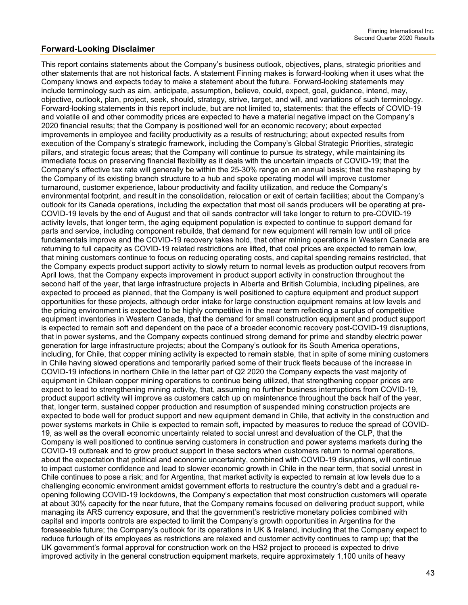### **Forward-Looking Disclaimer**

This report contains statements about the Company's business outlook, objectives, plans, strategic priorities and other statements that are not historical facts. A statement Finning makes is forward-looking when it uses what the Company knows and expects today to make a statement about the future. Forward-looking statements may include terminology such as aim, anticipate, assumption, believe, could, expect, goal, guidance, intend, may, objective, outlook, plan, project, seek, should, strategy, strive, target, and will, and variations of such terminology. Forward-looking statements in this report include, but are not limited to, statements: that the effects of COVID-19 and volatile oil and other commodity prices are expected to have a material negative impact on the Company's 2020 financial results; that the Company is positioned well for an economic recovery; about expected improvements in employee and facility productivity as a results of restructuring; about expected results from execution of the Company's strategic framework, including the Company's Global Strategic Priorities, strategic pillars, and strategic focus areas; that the Company will continue to pursue its strategy, while maintaining its immediate focus on preserving financial flexibility as it deals with the uncertain impacts of COVID-19; that the Company's effective tax rate will generally be within the 25-30% range on an annual basis; that the reshaping by the Company of its existing branch structure to a hub and spoke operating model will improve customer turnaround, customer experience, labour productivity and facility utilization, and reduce the Company's environmental footprint, and result in the consolidation, relocation or exit of certain facilities; about the Company's outlook for its Canada operations, including the expectation that most oil sands producers will be operating at pre-COVID-19 levels by the end of August and that oil sands contractor will take longer to return to pre-COVID-19 activity levels, that longer term, the aging equipment population is expected to continue to support demand for parts and service, including component rebuilds, that demand for new equipment will remain low until oil price fundamentals improve and the COVID-19 recovery takes hold, that other mining operations in Western Canada are returning to full capacity as COVID-19 related restrictions are lifted, that coal prices are expected to remain low, that mining customers continue to focus on reducing operating costs, and capital spending remains restricted, that the Company expects product support activity to slowly return to normal levels as production output recovers from April lows, that the Company expects improvement in product support activity in construction throughout the second half of the year, that large infrastructure projects in Alberta and British Columbia, including pipelines, are expected to proceed as planned, that the Company is well positioned to capture equipment and product support opportunities for these projects, although order intake for large construction equipment remains at low levels and the pricing environment is expected to be highly competitive in the near term reflecting a surplus of competitive equipment inventories in Western Canada, that the demand for small construction equipment and product support is expected to remain soft and dependent on the pace of a broader economic recovery post-COVID-19 disruptions, that in power systems, and the Company expects continued strong demand for prime and standby electric power generation for large infrastructure projects; about the Company's outlook for its South America operations, including, for Chile, that copper mining activity is expected to remain stable, that in spite of some mining customers in Chile having slowed operations and temporarily parked some of their truck fleets because of the increase in COVID-19 infections in northern Chile in the latter part of Q2 2020 the Company expects the vast majority of equipment in Chilean copper mining operations to continue being utilized, that strengthening copper prices are expect to lead to strengthening mining activity, that, assuming no further business interruptions from COVID-19, product support activity will improve as customers catch up on maintenance throughout the back half of the year, that, longer term, sustained copper production and resumption of suspended mining construction projects are expected to bode well for product support and new equipment demand in Chile, that activity in the construction and power systems markets in Chile is expected to remain soft, impacted by measures to reduce the spread of COVID-19, as well as the overall economic uncertainty related to social unrest and devaluation of the CLP, that the Company is well positioned to continue serving customers in construction and power systems markets during the COVID-19 outbreak and to grow product support in these sectors when customers return to normal operations, about the expectation that political and economic uncertainty, combined with COVID-19 disruptions, will continue to impact customer confidence and lead to slower economic growth in Chile in the near term, that social unrest in Chile continues to pose a risk; and for Argentina, that market activity is expected to remain at low levels due to a challenging economic environment amidst government efforts to restructure the country's debt and a gradual reopening following COVID-19 lockdowns, the Company's expectation that most construction customers will operate at about 30% capacity for the near future, that the Company remains focused on delivering product support, while managing its ARS currency exposure, and that the government's restrictive monetary policies combined with capital and imports controls are expected to limit the Company's growth opportunities in Argentina for the foreseeable future; the Company's outlook for its operations in UK & Ireland, including that the Company expect to reduce furlough of its employees as restrictions are relaxed and customer activity continues to ramp up; that the UK government's formal approval for construction work on the HS2 project to proceed is expected to drive improved activity in the general construction equipment markets, require approximately 1,100 units of heavy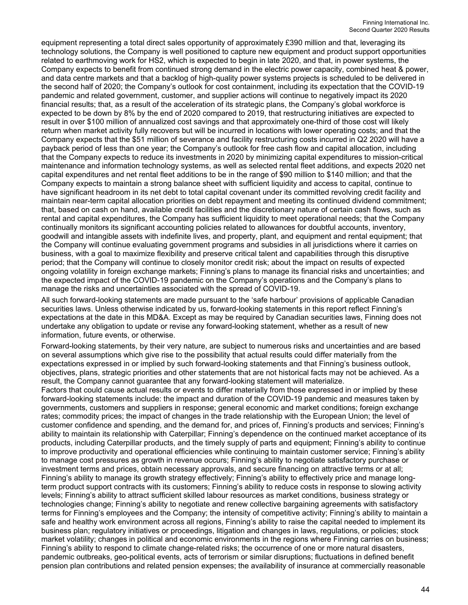equipment representing a total direct sales opportunity of approximately £390 million and that, leveraging its technology solutions, the Company is well positioned to capture new equipment and product support opportunities related to earthmoving work for HS2, which is expected to begin in late 2020, and that, in power systems, the Company expects to benefit from continued strong demand in the electric power capacity, combined heat & power, and data centre markets and that a backlog of high-quality power systems projects is scheduled to be delivered in the second half of 2020; the Company's outlook for cost containment, including its expectation that the COVID-19 pandemic and related government, customer, and supplier actions will continue to negatively impact its 2020 financial results; that, as a result of the acceleration of its strategic plans, the Company's global workforce is expected to be down by 8% by the end of 2020 compared to 2019, that restructuring initiatives are expected to result in over \$100 million of annualized cost savings and that approximately one-third of those cost will likely return when market activity fully recovers but will be incurred in locations with lower operating costs; and that the Company expects that the \$51 million of severance and facility restructuring costs incurred in Q2 2020 will have a payback period of less than one year; the Company's outlook for free cash flow and capital allocation, including that the Company expects to reduce its investments in 2020 by minimizing capital expenditures to mission-critical maintenance and information technology systems, as well as selected rental fleet additions, and expects 2020 net capital expenditures and net rental fleet additions to be in the range of \$90 million to \$140 million; and that the Company expects to maintain a strong balance sheet with sufficient liquidity and access to capital, continue to have significant headroom in its net debt to total capital covenant under its committed revolving credit facility and maintain near-term capital allocation priorities on debt repayment and meeting its continued dividend commitment; that, based on cash on hand, available credit facilities and the discretionary nature of certain cash flows, such as rental and capital expenditures, the Company has sufficient liquidity to meet operational needs; that the Company continually monitors its significant accounting policies related to allowances for doubtful accounts, inventory, goodwill and intangible assets with indefinite lives, and property, plant, and equipment and rental equipment; that the Company will continue evaluating government programs and subsidies in all jurisdictions where it carries on business, with a goal to maximize flexibility and preserve critical talent and capabilities through this disruptive period; that the Company will continue to closely monitor credit risk; about the impact on results of expected ongoing volatility in foreign exchange markets; Finning's plans to manage its financial risks and uncertainties; and the expected impact of the COVID-19 pandemic on the Company's operations and the Company's plans to manage the risks and uncertainties associated with the spread of COVID-19.

All such forward-looking statements are made pursuant to the 'safe harbour' provisions of applicable Canadian securities laws. Unless otherwise indicated by us, forward-looking statements in this report reflect Finning's expectations at the date in this MD&A. Except as may be required by Canadian securities laws, Finning does not undertake any obligation to update or revise any forward-looking statement, whether as a result of new information, future events, or otherwise.

Forward-looking statements, by their very nature, are subject to numerous risks and uncertainties and are based on several assumptions which give rise to the possibility that actual results could differ materially from the expectations expressed in or implied by such forward-looking statements and that Finning's business outlook, objectives, plans, strategic priorities and other statements that are not historical facts may not be achieved. As a result, the Company cannot guarantee that any forward-looking statement will materialize.

Factors that could cause actual results or events to differ materially from those expressed in or implied by these forward-looking statements include: the impact and duration of the COVID-19 pandemic and measures taken by governments, customers and suppliers in response; general economic and market conditions; foreign exchange rates; commodity prices; the impact of changes in the trade relationship with the European Union; the level of customer confidence and spending, and the demand for, and prices of, Finning's products and services; Finning's ability to maintain its relationship with Caterpillar; Finning's dependence on the continued market acceptance of its products, including Caterpillar products, and the timely supply of parts and equipment; Finning's ability to continue to improve productivity and operational efficiencies while continuing to maintain customer service; Finning's ability to manage cost pressures as growth in revenue occurs; Finning's ability to negotiate satisfactory purchase or investment terms and prices, obtain necessary approvals, and secure financing on attractive terms or at all; Finning's ability to manage its growth strategy effectively; Finning's ability to effectively price and manage longterm product support contracts with its customers; Finning's ability to reduce costs in response to slowing activity levels; Finning's ability to attract sufficient skilled labour resources as market conditions, business strategy or technologies change; Finning's ability to negotiate and renew collective bargaining agreements with satisfactory terms for Finning's employees and the Company; the intensity of competitive activity; Finning's ability to maintain a safe and healthy work environment across all regions, Finning's ability to raise the capital needed to implement its business plan; regulatory initiatives or proceedings, litigation and changes in laws, regulations, or policies; stock market volatility; changes in political and economic environments in the regions where Finning carries on business; Finning's ability to respond to climate change-related risks; the occurrence of one or more natural disasters, pandemic outbreaks, geo-political events, acts of terrorism or similar disruptions; fluctuations in defined benefit pension plan contributions and related pension expenses; the availability of insurance at commercially reasonable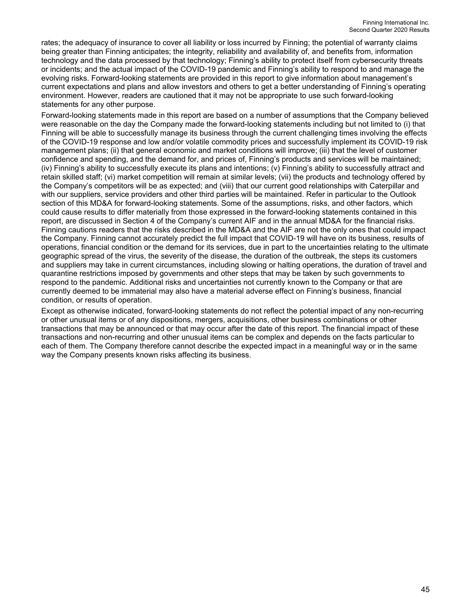rates; the adequacy of insurance to cover all liability or loss incurred by Finning; the potential of warranty claims being greater than Finning anticipates; the integrity, reliability and availability of, and benefits from, information technology and the data processed by that technology; Finning's ability to protect itself from cybersecurity threats or incidents; and the actual impact of the COVID-19 pandemic and Finning's ability to respond to and manage the evolving risks. Forward-looking statements are provided in this report to give information about management's current expectations and plans and allow investors and others to get a better understanding of Finning's operating environment. However, readers are cautioned that it may not be appropriate to use such forward-looking statements for any other purpose.

Forward-looking statements made in this report are based on a number of assumptions that the Company believed were reasonable on the day the Company made the forward-looking statements including but not limited to (i) that Finning will be able to successfully manage its business through the current challenging times involving the effects of the COVID-19 response and low and/or volatile commodity prices and successfully implement its COVID-19 risk management plans; (ii) that general economic and market conditions will improve; (iii) that the level of customer confidence and spending, and the demand for, and prices of, Finning's products and services will be maintained; (iv) Finning's ability to successfully execute its plans and intentions; (v) Finning's ability to successfully attract and retain skilled staff; (vi) market competition will remain at similar levels; (vii) the products and technology offered by the Company's competitors will be as expected; and (viii) that our current good relationships with Caterpillar and with our suppliers, service providers and other third parties will be maintained. Refer in particular to the Outlook section of this MD&A for forward-looking statements. Some of the assumptions, risks, and other factors, which could cause results to differ materially from those expressed in the forward-looking statements contained in this report, are discussed in Section 4 of the Company's current AIF and in the annual MD&A for the financial risks. Finning cautions readers that the risks described in the MD&A and the AIF are not the only ones that could impact the Company. Finning cannot accurately predict the full impact that COVID-19 will have on its business, results of operations, financial condition or the demand for its services, due in part to the uncertainties relating to the ultimate geographic spread of the virus, the severity of the disease, the duration of the outbreak, the steps its customers and suppliers may take in current circumstances, including slowing or halting operations, the duration of travel and quarantine restrictions imposed by governments and other steps that may be taken by such governments to respond to the pandemic. Additional risks and uncertainties not currently known to the Company or that are currently deemed to be immaterial may also have a material adverse effect on Finning's business, financial condition, or results of operation.

Except as otherwise indicated, forward-looking statements do not reflect the potential impact of any non-recurring or other unusual items or of any dispositions, mergers, acquisitions, other business combinations or other transactions that may be announced or that may occur after the date of this report. The financial impact of these transactions and non-recurring and other unusual items can be complex and depends on the facts particular to each of them. The Company therefore cannot describe the expected impact in a meaningful way or in the same way the Company presents known risks affecting its business.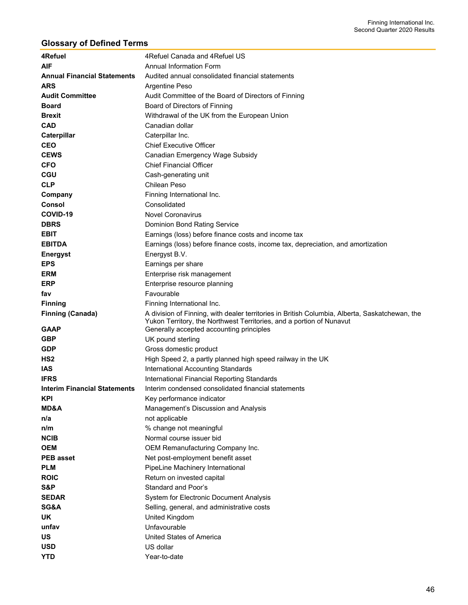# **Glossary of Defined Terms**

| 4Refuel                             | 4Refuel Canada and 4Refuel US                                                                                                                                          |
|-------------------------------------|------------------------------------------------------------------------------------------------------------------------------------------------------------------------|
| <b>AIF</b>                          | <b>Annual Information Form</b>                                                                                                                                         |
| <b>Annual Financial Statements</b>  | Audited annual consolidated financial statements                                                                                                                       |
| <b>ARS</b>                          | Argentine Peso                                                                                                                                                         |
| <b>Audit Committee</b>              | Audit Committee of the Board of Directors of Finning                                                                                                                   |
| <b>Board</b>                        | Board of Directors of Finning                                                                                                                                          |
| <b>Brexit</b>                       | Withdrawal of the UK from the European Union                                                                                                                           |
| <b>CAD</b>                          | Canadian dollar                                                                                                                                                        |
| Caterpillar                         | Caterpillar Inc.                                                                                                                                                       |
| <b>CEO</b>                          | <b>Chief Executive Officer</b>                                                                                                                                         |
| <b>CEWS</b>                         | Canadian Emergency Wage Subsidy                                                                                                                                        |
| <b>CFO</b>                          | <b>Chief Financial Officer</b>                                                                                                                                         |
| <b>CGU</b>                          | Cash-generating unit                                                                                                                                                   |
| <b>CLP</b>                          | Chilean Peso                                                                                                                                                           |
| Company                             | Finning International Inc.                                                                                                                                             |
| <b>Consol</b>                       | Consolidated                                                                                                                                                           |
| COVID-19                            | <b>Novel Coronavirus</b>                                                                                                                                               |
| <b>DBRS</b>                         | Dominion Bond Rating Service                                                                                                                                           |
| <b>EBIT</b>                         | Earnings (loss) before finance costs and income tax                                                                                                                    |
| <b>EBITDA</b>                       | Earnings (loss) before finance costs, income tax, depreciation, and amortization                                                                                       |
| <b>Energyst</b>                     | Energyst B.V.                                                                                                                                                          |
| <b>EPS</b>                          | Earnings per share                                                                                                                                                     |
| <b>ERM</b>                          | Enterprise risk management                                                                                                                                             |
| <b>ERP</b>                          | Enterprise resource planning                                                                                                                                           |
| fav                                 | Favourable                                                                                                                                                             |
| <b>Finning</b>                      | Finning International Inc.                                                                                                                                             |
|                                     |                                                                                                                                                                        |
|                                     |                                                                                                                                                                        |
| <b>Finning (Canada)</b>             | A division of Finning, with dealer territories in British Columbia, Alberta, Saskatchewan, the<br>Yukon Territory, the Northwest Territories, and a portion of Nunavut |
| <b>GAAP</b>                         | Generally accepted accounting principles                                                                                                                               |
| <b>GBP</b>                          | UK pound sterling                                                                                                                                                      |
| <b>GDP</b>                          | Gross domestic product                                                                                                                                                 |
| HS <sub>2</sub>                     | High Speed 2, a partly planned high speed railway in the UK                                                                                                            |
| <b>IAS</b>                          | International Accounting Standards                                                                                                                                     |
| <b>IFRS</b>                         | International Financial Reporting Standards                                                                                                                            |
| <b>Interim Financial Statements</b> | Interim condensed consolidated financial statements                                                                                                                    |
| <b>KPI</b>                          | Key performance indicator                                                                                                                                              |
| <b>MD&amp;A</b>                     | Management's Discussion and Analysis                                                                                                                                   |
| n/a                                 | not applicable                                                                                                                                                         |
| n/m                                 | % change not meaningful                                                                                                                                                |
| <b>NCIB</b>                         | Normal course issuer bid                                                                                                                                               |
| <b>OEM</b>                          | OEM Remanufacturing Company Inc.                                                                                                                                       |
| <b>PEB</b> asset                    | Net post-employment benefit asset                                                                                                                                      |
| <b>PLM</b>                          | PipeLine Machinery International                                                                                                                                       |
| <b>ROIC</b>                         | Return on invested capital                                                                                                                                             |
| S&P                                 | Standard and Poor's                                                                                                                                                    |
| <b>SEDAR</b>                        | System for Electronic Document Analysis                                                                                                                                |
| SG&A                                | Selling, general, and administrative costs                                                                                                                             |
| <b>UK</b>                           | United Kingdom                                                                                                                                                         |
| unfav                               | Unfavourable                                                                                                                                                           |
| <b>US</b>                           | United States of America                                                                                                                                               |
| <b>USD</b><br><b>YTD</b>            | US dollar<br>Year-to-date                                                                                                                                              |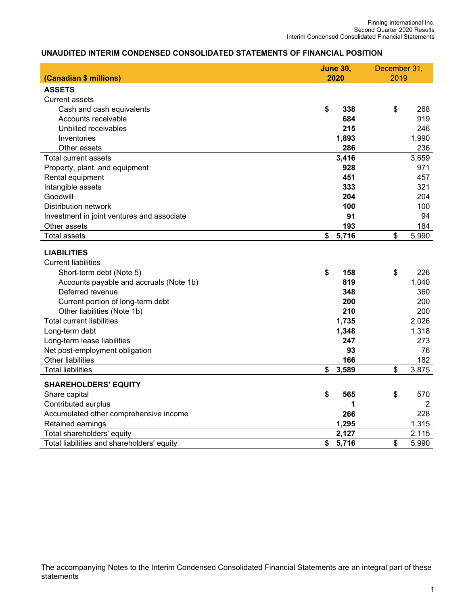# **UNAUDITED INTERIM CONDENSED CONSOLIDATED STATEMENTS OF FINANCIAL POSITION**

|                                            | <b>June 30,</b> | December 31, |       |
|--------------------------------------------|-----------------|--------------|-------|
| (Canadian \$ millions)                     | 2020            | 2019         |       |
| <b>ASSETS</b>                              |                 |              |       |
| Current assets                             |                 |              |       |
| Cash and cash equivalents                  | \$<br>338       | \$           | 268   |
| Accounts receivable                        | 684             |              | 919   |
| Unbilled receivables                       | 215             |              | 246   |
| Inventories                                | 1,893           |              | 1,990 |
| Other assets                               | 286             |              | 236   |
| <b>Total current assets</b>                | 3,416           |              | 3,659 |
| Property, plant, and equipment             | 928             |              | 971   |
| Rental equipment                           | 451             |              | 457   |
| Intangible assets                          | 333             |              | 321   |
| Goodwill                                   | 204             |              | 204   |
| Distribution network                       | 100             |              | 100   |
| Investment in joint ventures and associate | 91              |              | 94    |
| Other assets                               | 193             |              | 184   |
| <b>Total assets</b>                        | \$<br>5,716     | \$           | 5,990 |
|                                            |                 |              |       |
| <b>LIABILITIES</b>                         |                 |              |       |
| <b>Current liabilities</b>                 |                 |              |       |
| Short-term debt (Note 5)                   | \$<br>158       | \$           | 226   |
| Accounts payable and accruals (Note 1b)    | 819             |              | 1,040 |
| Deferred revenue                           | 348             |              | 360   |
| Current portion of long-term debt          | 200             |              | 200   |
| Other liabilities (Note 1b)                | 210             |              | 200   |
| <b>Total current liabilities</b>           | 1,735           |              | 2,026 |
| Long-term debt                             | 1,348           |              | 1,318 |
| Long-term lease liabilities                | 247             |              | 273   |
| Net post-employment obligation             | 93              |              | 76    |
| Other liabilities                          | 166             |              | 182   |
| <b>Total liabilities</b>                   | \$<br>3,589     | \$           | 3,875 |
| <b>SHAREHOLDERS' EQUITY</b>                |                 |              |       |
| Share capital                              | \$<br>565       | \$           | 570   |
| Contributed surplus                        | 1               |              | 2     |
| Accumulated other comprehensive income     | 266             |              | 228   |
| Retained earnings                          | 1,295           |              | 1,315 |
| Total shareholders' equity                 | 2,127           |              | 2,115 |
| Total liabilities and shareholders' equity | \$<br>5,716     | \$           | 5,990 |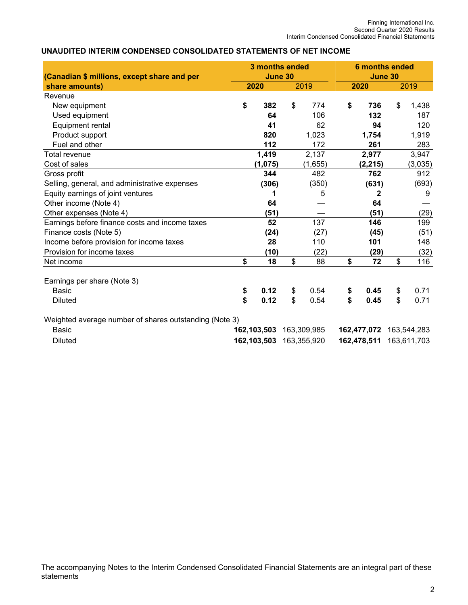### **UNAUDITED INTERIM CONDENSED CONSOLIDATED STATEMENTS OF NET INCOME**

|                                                               |          | 3 months ended  |          |              |             |              | <b>6 months ended</b> |              |  |
|---------------------------------------------------------------|----------|-----------------|----------|--------------|-------------|--------------|-----------------------|--------------|--|
| (Canadian \$ millions, except share and per<br>share amounts) |          | June 30<br>2020 |          | 2019         |             | 2020         | June 30               | 2019         |  |
| Revenue                                                       |          |                 |          |              |             |              |                       |              |  |
| New equipment                                                 | \$       | 382             | \$       | 774          | \$          | 736          | \$                    | 1,438        |  |
| Used equipment                                                |          | 64              |          | 106          |             | 132          |                       | 187          |  |
| Equipment rental                                              |          | 41              |          | 62           |             | 94           |                       | 120          |  |
|                                                               |          | 820             |          | 1,023        |             |              |                       |              |  |
| Product support<br>Fuel and other                             |          |                 |          |              |             | 1,754        |                       | 1,919<br>283 |  |
| <b>Total revenue</b>                                          |          | 112             |          | 172          |             | 261          |                       |              |  |
|                                                               |          | 1,419           |          | 2,137        |             | 2,977        |                       | 3,947        |  |
| Cost of sales                                                 |          | (1, 075)        |          | (1,655)      |             | (2, 215)     |                       | (3,035)      |  |
| Gross profit                                                  |          | 344             |          | 482          |             | 762          |                       | 912          |  |
| Selling, general, and administrative expenses                 |          | (306)           |          | (350)        |             | (631)        |                       | (693)        |  |
| Equity earnings of joint ventures                             |          |                 |          | 5            |             | 2            |                       | 9            |  |
| Other income (Note 4)                                         |          | 64              |          |              |             | 64           |                       |              |  |
| Other expenses (Note 4)                                       |          | (51)            |          |              |             | (51)         |                       | (29)         |  |
| Earnings before finance costs and income taxes                |          | 52              |          | 137          |             | 146          |                       | 199          |  |
| Finance costs (Note 5)                                        |          | (24)            |          | (27)         |             | (45)         |                       | (51)         |  |
| Income before provision for income taxes                      |          | 28              |          | 110          |             | 101          |                       | 148          |  |
| Provision for income taxes                                    |          | (10)            |          | (22)         |             | (29)         |                       | (32)         |  |
| Net income                                                    | \$       | 18              | \$       | 88           | \$          | 72           | \$                    | 116          |  |
| Earnings per share (Note 3)<br><b>Basic</b><br>Diluted        | \$<br>\$ | 0.12<br>0.12    | \$<br>\$ | 0.54<br>0.54 | \$<br>\$    | 0.45<br>0.45 | \$<br>\$              | 0.71<br>0.71 |  |
| Weighted average number of shares outstanding (Note 3)        |          |                 |          |              |             |              |                       |              |  |
| <b>Basic</b>                                                  |          | 162,103,503     |          | 163,309,985  | 162,477,072 |              | 163,544,283           |              |  |
| <b>Diluted</b>                                                |          | 162,103,503     |          | 163,355,920  |             | 162,478,511  | 163,611,703           |              |  |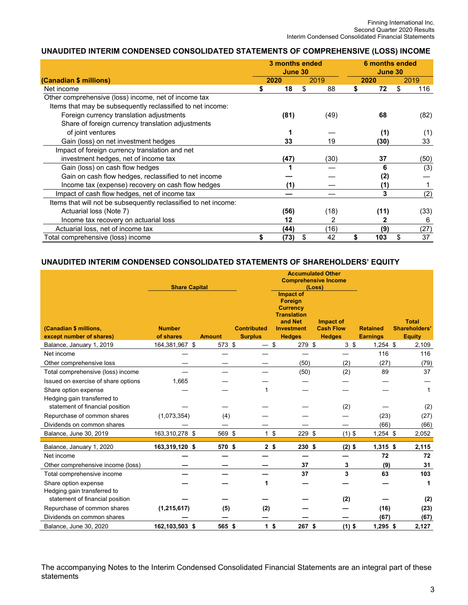### **UNAUDITED INTERIM CONDENSED CONSOLIDATED STATEMENTS OF COMPREHENSIVE (LOSS) INCOME**

|                                                                 |   | 3 months ended<br>June 30 |          |      | 6 months ended<br>June 30 |      |      |  |
|-----------------------------------------------------------------|---|---------------------------|----------|------|---------------------------|------|------|--|
| (Canadian \$ millions)                                          |   | 2020                      | 2019     | 2020 |                           | 2019 |      |  |
| Net income                                                      | S | 18                        | \$<br>88 | S    | 72                        | \$   | 116  |  |
| Other comprehensive (loss) income, net of income tax            |   |                           |          |      |                           |      |      |  |
| Items that may be subsequently reclassified to net income:      |   |                           |          |      |                           |      |      |  |
| Foreign currency translation adjustments                        |   | (81)                      | (49)     |      | 68                        |      | (82) |  |
| Share of foreign currency translation adjustments               |   |                           |          |      |                           |      |      |  |
| of joint ventures                                               |   |                           |          |      | (1)                       |      | (1)  |  |
| Gain (loss) on net investment hedges                            |   | 33                        | 19       |      | (30)                      |      | 33   |  |
| Impact of foreign currency translation and net                  |   |                           |          |      |                           |      |      |  |
| investment hedges, net of income tax                            |   | (47)                      | (30)     |      | 37                        |      | (50) |  |
| Gain (loss) on cash flow hedges                                 |   |                           |          |      | 6                         |      | (3)  |  |
| Gain on cash flow hedges, reclassified to net income            |   |                           |          |      | (2)                       |      |      |  |
| Income tax (expense) recovery on cash flow hedges               |   |                           |          |      |                           |      |      |  |
| Impact of cash flow hedges, net of income tax                   |   |                           |          |      | 3                         |      | (2)  |  |
| Items that will not be subsequently reclassified to net income: |   |                           |          |      |                           |      |      |  |
| Actuarial loss (Note 7)                                         |   | (56)                      | (18)     |      | (11)                      |      | (33) |  |
| Income tax recovery on actuarial loss                           |   | 12                        | 2        |      | 2                         |      | 6    |  |
| Actuarial loss, net of income tax                               |   | (44)                      | (16)     |      | (9)                       |      | (27) |  |
| Total comprehensive (loss) income                               |   | (73)                      | \$<br>42 | \$   | 103                       | \$   | 37   |  |

### **UNAUDITED INTERIM CONDENSED CONSOLIDATED STATEMENTS OF SHAREHOLDERS' EQUITY**

|                                     |                      | <b>Accumulated Other</b> |                    |                                                                                 |                  |                 |                      |
|-------------------------------------|----------------------|--------------------------|--------------------|---------------------------------------------------------------------------------|------------------|-----------------|----------------------|
|                                     | <b>Share Capital</b> |                          |                    | <b>Comprehensive Income</b><br>(Loss)                                           |                  |                 |                      |
|                                     |                      |                          |                    | Impact of<br><b>Foreign</b><br><b>Currency</b><br><b>Translation</b><br>and Net | Impact of        |                 | <b>Total</b>         |
| (Canadian \$ millions,              | <b>Number</b>        |                          | <b>Contributed</b> | <b>Investment</b>                                                               | <b>Cash Flow</b> | <b>Retained</b> | <b>Shareholders'</b> |
| except number of shares)            | of shares            | <b>Amount</b>            | <b>Surplus</b>     | <b>Hedges</b>                                                                   | <b>Hedges</b>    | <b>Earnings</b> | <b>Equity</b>        |
| Balance, January 1, 2019            | 164,381,967 \$       | 573 \$                   | — \$               | 279 \$                                                                          | 3 <sup>5</sup>   | $1,254$ \$      | 2,109                |
| Net income                          |                      |                          |                    |                                                                                 |                  | 116             | 116                  |
| Other comprehensive loss            |                      |                          |                    | (50)                                                                            | (2)              | (27)            | (79)                 |
| Total comprehensive (loss) income   |                      |                          |                    | (50)                                                                            | (2)              | 89              | 37                   |
| Issued on exercise of share options | 1,665                |                          |                    |                                                                                 |                  |                 |                      |
| Share option expense                |                      |                          | 1                  |                                                                                 |                  |                 | $\mathbf 1$          |
| Hedging gain transferred to         |                      |                          |                    |                                                                                 |                  |                 |                      |
| statement of financial position     |                      |                          |                    |                                                                                 | (2)              |                 | (2)                  |
| Repurchase of common shares         | (1,073,354)          | (4)                      |                    |                                                                                 |                  | (23)            | (27)                 |
| Dividends on common shares          |                      |                          |                    |                                                                                 |                  | (66)            | (66)                 |
| Balance, June 30, 2019              | 163,310,278 \$       | 569 \$                   | 1 <sup>5</sup>     | 229 \$                                                                          | $(1)$ \$         | $1,254$ \$      | 2,052                |
| Balance, January 1, 2020            | 163,319,120 \$       | 570 \$                   | 2 <sup>5</sup>     | 230 \$                                                                          | $(2)$ \$         | $1,315$ \$      | 2,115                |
| Net income                          |                      |                          |                    |                                                                                 |                  | 72              | 72                   |
| Other comprehensive income (loss)   |                      |                          |                    | 37                                                                              | 3                | (9)             | 31                   |
| Total comprehensive income          |                      |                          |                    | 37                                                                              | 3                | 63              | 103                  |
| Share option expense                |                      |                          |                    |                                                                                 |                  |                 | 1                    |
| Hedging gain transferred to         |                      |                          |                    |                                                                                 |                  |                 |                      |
| statement of financial position     |                      |                          |                    |                                                                                 | (2)              |                 | (2)                  |
| Repurchase of common shares         | (1, 215, 617)        | (5)                      | (2)                |                                                                                 |                  | (16)            | (23)                 |
| Dividends on common shares          |                      |                          |                    |                                                                                 |                  | (67)            | (67)                 |
| Balance, June 30, 2020              | 162,103,503 \$       | 565 \$                   | 1 <sup>5</sup>     | $267$ \$                                                                        | $(1)$ \$         | $1,295$ \$      | 2,127                |

The accompanying Notes to the Interim Condensed Consolidated Financial Statements are an integral part of these statements<sup>'</sup>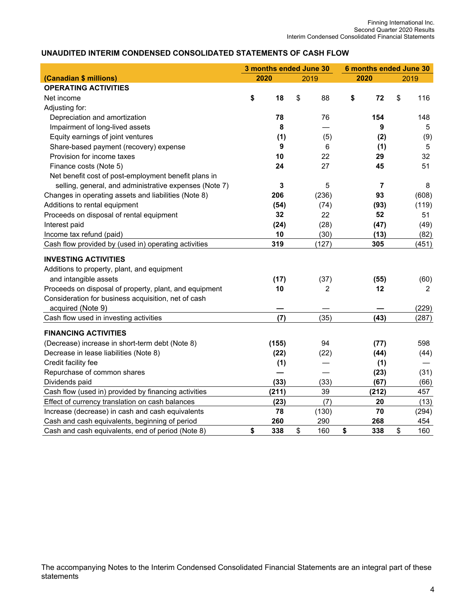# **UNAUDITED INTERIM CONDENSED CONSOLIDATED STATEMENTS OF CASH FLOW**

|                                                        | 3 months ended June 30 |       |    |       |    | 6 months ended June 30 |    |                |
|--------------------------------------------------------|------------------------|-------|----|-------|----|------------------------|----|----------------|
| (Canadian \$ millions)                                 |                        | 2020  |    | 2019  |    | 2020                   |    | 2019           |
| <b>OPERATING ACTIVITIES</b>                            |                        |       |    |       |    |                        |    |                |
| Net income                                             | \$                     | 18    | \$ | 88    | \$ | 72                     | \$ | 116            |
| Adjusting for:                                         |                        |       |    |       |    |                        |    |                |
| Depreciation and amortization                          |                        | 78    |    | 76    |    | 154                    |    | 148            |
| Impairment of long-lived assets                        |                        | 8     |    |       |    | 9                      |    | 5              |
| Equity earnings of joint ventures                      |                        | (1)   |    | (5)   |    | (2)                    |    | (9)            |
| Share-based payment (recovery) expense                 |                        | 9     |    | 6     |    | (1)                    |    | 5              |
| Provision for income taxes                             |                        | 10    |    | 22    |    | 29                     |    | 32             |
| Finance costs (Note 5)                                 |                        | 24    |    | 27    |    | 45                     |    | 51             |
| Net benefit cost of post-employment benefit plans in   |                        |       |    |       |    |                        |    |                |
| selling, general, and administrative expenses (Note 7) |                        | 3     |    | 5     |    | $\overline{7}$         |    | 8              |
| Changes in operating assets and liabilities (Note 8)   |                        | 206   |    | (236) |    | 93                     |    | (608)          |
| Additions to rental equipment                          |                        | (54)  |    | (74)  |    | (93)                   |    | (119)          |
| Proceeds on disposal of rental equipment               |                        | 32    |    | 22    |    | 52                     |    | 51             |
| Interest paid                                          |                        | (24)  |    | (28)  |    | (47)                   |    | (49)           |
| Income tax refund (paid)                               |                        | 10    |    | (30)  |    | (13)                   |    | (82)           |
| Cash flow provided by (used in) operating activities   |                        | 319   |    | (127) |    | 305                    |    | (451)          |
| <b>INVESTING ACTIVITIES</b>                            |                        |       |    |       |    |                        |    |                |
| Additions to property, plant, and equipment            |                        |       |    |       |    |                        |    |                |
| and intangible assets                                  |                        | (17)  |    | (37)  |    | (55)                   |    | (60)           |
| Proceeds on disposal of property, plant, and equipment |                        | 10    |    | 2     |    | 12                     |    | $\overline{2}$ |
| Consideration for business acquisition, net of cash    |                        |       |    |       |    |                        |    |                |
| acquired (Note 9)                                      |                        |       |    |       |    |                        |    | (229)          |
| Cash flow used in investing activities                 |                        | (7)   |    | (35)  |    | (43)                   |    | (287)          |
|                                                        |                        |       |    |       |    |                        |    |                |
| <b>FINANCING ACTIVITIES</b>                            |                        |       |    |       |    |                        |    |                |
| (Decrease) increase in short-term debt (Note 8)        |                        | (155) |    | 94    |    | (77)                   |    | 598            |
| Decrease in lease liabilities (Note 8)                 |                        | (22)  |    | (22)  |    | (44)                   |    | (44)           |
| Credit facility fee                                    |                        | (1)   |    |       |    | (1)                    |    |                |
| Repurchase of common shares                            |                        |       |    |       |    | (23)                   |    | (31)           |
| Dividends paid                                         |                        | (33)  |    | (33)  |    | (67)                   |    | (66)           |
| Cash flow (used in) provided by financing activities   |                        | (211) |    | 39    |    | (212)                  |    | 457            |
| Effect of currency translation on cash balances        |                        | (23)  |    | (7)   |    | 20                     |    | (13)           |
| Increase (decrease) in cash and cash equivalents       |                        | 78    |    | (130) |    | 70                     |    | (294)          |
| Cash and cash equivalents, beginning of period         |                        | 260   |    | 290   |    | 268                    |    | 454            |
| Cash and cash equivalents, end of period (Note 8)      | \$                     | 338   | \$ | 160   | \$ | 338                    | \$ | 160            |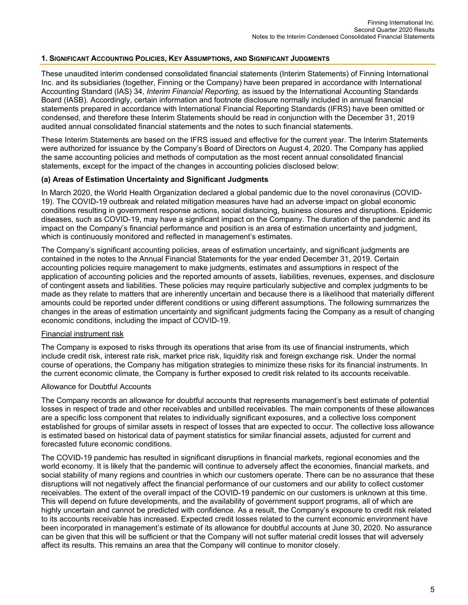### **1. SIGNIFICANT ACCOUNTING POLICIES, KEY ASSUMPTIONS, AND SIGNIFICANT JUDGMENTS**

These unaudited interim condensed consolidated financial statements (Interim Statements) of Finning International Inc. and its subsidiaries (together, Finning or the Company) have been prepared in accordance with International Accounting Standard (IAS) 34, *Interim Financial Reporting,* as issued by the International Accounting Standards Board (IASB). Accordingly, certain information and footnote disclosure normally included in annual financial statements prepared in accordance with International Financial Reporting Standards (IFRS) have been omitted or condensed, and therefore these Interim Statements should be read in conjunction with the December 31, 2019 audited annual consolidated financial statements and the notes to such financial statements.

These Interim Statements are based on the IFRS issued and effective for the current year. The Interim Statements were authorized for issuance by the Company's Board of Directors on August 4, 2020. The Company has applied the same accounting policies and methods of computation as the most recent annual consolidated financial statements, except for the impact of the changes in accounting policies disclosed below:

### **(a) Areas of Estimation Uncertainty and Significant Judgments**

In March 2020, the World Health Organization declared a global pandemic due to the novel coronavirus (COVID-19). The COVID-19 outbreak and related mitigation measures have had an adverse impact on global economic conditions resulting in government response actions, social distancing, business closures and disruptions. Epidemic diseases, such as COVID-19, may have a significant impact on the Company. The duration of the pandemic and its impact on the Company's financial performance and position is an area of estimation uncertainty and judgment, which is continuously monitored and reflected in management's estimates.

The Company's significant accounting policies, areas of estimation uncertainty, and significant judgments are contained in the notes to the Annual Financial Statements for the year ended December 31, 2019. Certain accounting policies require management to make judgments, estimates and assumptions in respect of the application of accounting policies and the reported amounts of assets, liabilities, revenues, expenses, and disclosure of contingent assets and liabilities. These policies may require particularly subjective and complex judgments to be made as they relate to matters that are inherently uncertain and because there is a likelihood that materially different amounts could be reported under different conditions or using different assumptions. The following summarizes the changes in the areas of estimation uncertainty and significant judgments facing the Company as a result of changing economic conditions, including the impact of COVID-19.

### Financial instrument risk

The Company is exposed to risks through its operations that arise from its use of financial instruments, which include credit risk, interest rate risk, market price risk, liquidity risk and foreign exchange risk. Under the normal course of operations, the Company has mitigation strategies to minimize these risks for its financial instruments. In the current economic climate, the Company is further exposed to credit risk related to its accounts receivable.

#### Allowance for Doubtful Accounts

The Company records an allowance for doubtful accounts that represents management's best estimate of potential losses in respect of trade and other receivables and unbilled receivables. The main components of these allowances are a specific loss component that relates to individually significant exposures, and a collective loss component established for groups of similar assets in respect of losses that are expected to occur. The collective loss allowance is estimated based on historical data of payment statistics for similar financial assets, adjusted for current and forecasted future economic conditions.

The COVID-19 pandemic has resulted in significant disruptions in financial markets, regional economies and the world economy. It is likely that the pandemic will continue to adversely affect the economies, financial markets, and social stability of many regions and countries in which our customers operate. There can be no assurance that these disruptions will not negatively affect the financial performance of our customers and our ability to collect customer receivables. The extent of the overall impact of the COVID-19 pandemic on our customers is unknown at this time. This will depend on future developments, and the availability of government support programs, all of which are highly uncertain and cannot be predicted with confidence. As a result, the Company's exposure to credit risk related to its accounts receivable has increased. Expected credit losses related to the current economic environment have been incorporated in management's estimate of its allowance for doubtful accounts at June 30, 2020. No assurance can be given that this will be sufficient or that the Company will not suffer material credit losses that will adversely affect its results. This remains an area that the Company will continue to monitor closely.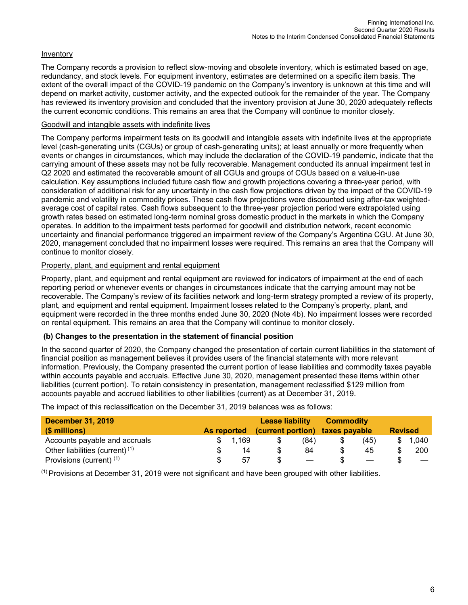## Inventory

The Company records a provision to reflect slow-moving and obsolete inventory, which is estimated based on age, redundancy, and stock levels. For equipment inventory, estimates are determined on a specific item basis. The extent of the overall impact of the COVID-19 pandemic on the Company's inventory is unknown at this time and will depend on market activity, customer activity, and the expected outlook for the remainder of the year. The Company has reviewed its inventory provision and concluded that the inventory provision at June 30, 2020 adequately reflects the current economic conditions. This remains an area that the Company will continue to monitor closely.

### Goodwill and intangible assets with indefinite lives

The Company performs impairment tests on its goodwill and intangible assets with indefinite lives at the appropriate level (cash-generating units (CGUs) or group of cash-generating units); at least annually or more frequently when events or changes in circumstances, which may include the declaration of the COVID-19 pandemic, indicate that the carrying amount of these assets may not be fully recoverable. Management conducted its annual impairment test in Q2 2020 and estimated the recoverable amount of all CGUs and groups of CGUs based on a value-in-use calculation. Key assumptions included future cash flow and growth projections covering a three-year period, with consideration of additional risk for any uncertainty in the cash flow projections driven by the impact of the COVID-19 pandemic and volatility in commodity prices. These cash flow projections were discounted using after-tax weightedaverage cost of capital rates. Cash flows subsequent to the three-year projection period were extrapolated using growth rates based on estimated long-term nominal gross domestic product in the markets in which the Company operates. In addition to the impairment tests performed for goodwill and distribution network, recent economic uncertainty and financial performance triggered an impairment review of the Company's Argentina CGU. At June 30, 2020, management concluded that no impairment losses were required. This remains an area that the Company will continue to monitor closely.

### Property, plant, and equipment and rental equipment

Property, plant, and equipment and rental equipment are reviewed for indicators of impairment at the end of each reporting period or whenever events or changes in circumstances indicate that the carrying amount may not be recoverable. The Company's review of its facilities network and long-term strategy prompted a review of its property, plant, and equipment and rental equipment. Impairment losses related to the Company's property, plant, and equipment were recorded in the three months ended June 30, 2020 (Note 4b). No impairment losses were recorded on rental equipment. This remains an area that the Company will continue to monitor closely.

### **(b) Changes to the presentation in the statement of financial position**

In the second quarter of 2020, the Company changed the presentation of certain current liabilities in the statement of financial position as management believes it provides users of the financial statements with more relevant information. Previously, the Company presented the current portion of lease liabilities and commodity taxes payable within accounts payable and accruals. Effective June 30, 2020, management presented these items within other liabilities (current portion). To retain consistency in presentation, management reclassified \$129 million from accounts payable and accrued liabilities to other liabilities (current) as at December 31, 2019.

| <b>December 31, 2019</b>                   |             |       | <b>Lease liability</b> |                          | <b>Commodity</b>                |                          | <b>Revised</b> |       |  |  |
|--------------------------------------------|-------------|-------|------------------------|--------------------------|---------------------------------|--------------------------|----------------|-------|--|--|
| (\$ millions)                              | As reported |       |                        |                          | (current portion) taxes payable |                          |                |       |  |  |
| Accounts payable and accruals              |             | 1.169 | S.                     | (84)                     |                                 | (45)                     | \$             | 1.040 |  |  |
| Other liabilities (current) <sup>(1)</sup> |             | 14    | S.                     | 84                       |                                 | 45                       | S              | 200   |  |  |
| Provisions (current) (1)                   |             | 57    |                        | $\overline{\phantom{a}}$ | S.                              | $\overline{\phantom{m}}$ |                |       |  |  |

The impact of this reclassification on the December 31, 2019 balances was as follows:

 $<sup>(1)</sup>$  Provisions at December 31, 2019 were not significant and have been grouped with other liabilities.</sup>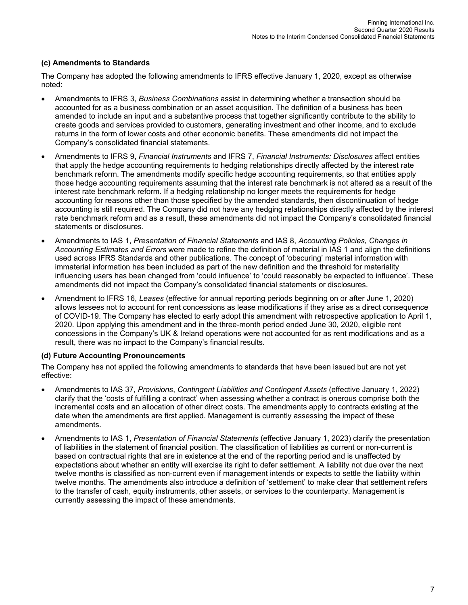### **(c) Amendments to Standards**

The Company has adopted the following amendments to IFRS effective January 1, 2020, except as otherwise noted:

- Amendments to IFRS 3, *Business Combinations* assist in determining whether a transaction should be accounted for as a business combination or an asset acquisition. The definition of a business has been amended to include an input and a substantive process that together significantly contribute to the ability to create goods and services provided to customers, generating investment and other income, and to exclude returns in the form of lower costs and other economic benefits. These amendments did not impact the Company's consolidated financial statements.
- Amendments to IFRS 9, *Financial Instruments* and IFRS 7, *Financial Instruments: Disclosures* affect entities that apply the hedge accounting requirements to hedging relationships directly affected by the interest rate benchmark reform. The amendments modify specific hedge accounting requirements, so that entities apply those hedge accounting requirements assuming that the interest rate benchmark is not altered as a result of the interest rate benchmark reform. If a hedging relationship no longer meets the requirements for hedge accounting for reasons other than those specified by the amended standards, then discontinuation of hedge accounting is still required. The Company did not have any hedging relationships directly affected by the interest rate benchmark reform and as a result, these amendments did not impact the Company's consolidated financial statements or disclosures.
- Amendments to IAS 1, *Presentation of Financial Statements* and IAS 8, *Accounting Policies, Changes in Accounting Estimates and Errors* were made to refine the definition of material in IAS 1 and align the definitions used across IFRS Standards and other publications. The concept of 'obscuring' material information with immaterial information has been included as part of the new definition and the threshold for materiality influencing users has been changed from 'could influence' to 'could reasonably be expected to influence'. These amendments did not impact the Company's consolidated financial statements or disclosures.
- Amendment to IFRS 16, *Leases* (effective for annual reporting periods beginning on or after June 1, 2020) allows lessees not to account for rent concessions as lease modifications if they arise as a direct consequence of COVID-19. The Company has elected to early adopt this amendment with retrospective application to April 1, 2020. Upon applying this amendment and in the three-month period ended June 30, 2020, eligible rent concessions in the Company's UK & Ireland operations were not accounted for as rent modifications and as a result, there was no impact to the Company's financial results.

### **(d) Future Accounting Pronouncements**

The Company has not applied the following amendments to standards that have been issued but are not yet effective:

- Amendments to IAS 37, *Provisions*, *Contingent Liabilities and Contingent Assets* (effective January 1, 2022) clarify that the 'costs of fulfilling a contract' when assessing whether a contract is onerous comprise both the incremental costs and an allocation of other direct costs. The amendments apply to contracts existing at the date when the amendments are first applied. Management is currently assessing the impact of these amendments.
- Amendments to IAS 1, *Presentation of Financial Statements* (effective January 1, 2023) clarify the presentation of liabilities in the statement of financial position. The classification of liabilities as current or non-current is based on contractual rights that are in existence at the end of the reporting period and is unaffected by expectations about whether an entity will exercise its right to defer settlement. A liability not due over the next twelve months is classified as non-current even if management intends or expects to settle the liability within twelve months. The amendments also introduce a definition of 'settlement' to make clear that settlement refers to the transfer of cash, equity instruments, other assets, or services to the counterparty. Management is currently assessing the impact of these amendments.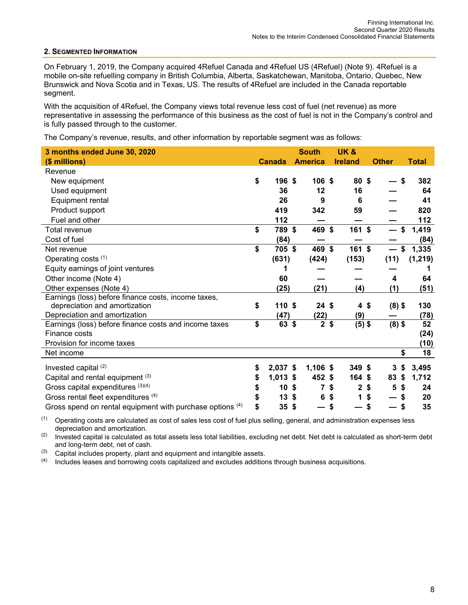#### **2. SEGMENTED INFORMATION**

On February 1, 2019, the Company acquired 4Refuel Canada and 4Refuel US (4Refuel) (Note 9). 4Refuel is a mobile on-site refuelling company in British Columbia, Alberta, Saskatchewan, Manitoba, Ontario, Quebec, New Brunswick and Nova Scotia and in Texas, US. The results of 4Refuel are included in the Canada reportable segment.

With the acquisition of 4Refuel, the Company views total revenue less cost of fuel (net revenue) as more representative in assessing the performance of this business as the cost of fuel is not in the Company's control and is fully passed through to the customer.

The Company's revenue, results, and other information by reportable segment was as follows:

| 3 months ended June 30, 2020                              |                  | <b>South</b>     | <b>UK&amp;</b>     |               |              |
|-----------------------------------------------------------|------------------|------------------|--------------------|---------------|--------------|
| (\$ millions)                                             | <b>Canada</b>    | <b>America</b>   | <b>Ireland</b>     | <b>Other</b>  | <b>Total</b> |
| Revenue                                                   |                  |                  |                    |               |              |
| New equipment                                             | \$<br>196 \$     | 106 <sup>5</sup> | 80 \$              | \$            | 382          |
| Used equipment                                            | 36               | 12               | 16                 |               | 64           |
| Equipment rental                                          | 26               | 9                | 6                  |               | 41           |
| Product support                                           | 419              | 342              | 59                 |               | 820          |
| Fuel and other                                            | 112              |                  |                    |               | 112          |
| <b>Total revenue</b>                                      | \$<br>789 \$     | 469              | \$<br>$161$ \$     | \$            | 1,419        |
| Cost of fuel                                              | (84)             |                  |                    |               | (84)         |
| Net revenue                                               | \$<br>705 \$     | 469 \$           | 161 \$             | \$<br>—       | 1,335        |
| Operating costs (1)                                       | (631)            | (424)            | (153)              | (11)          | (1, 219)     |
| Equity earnings of joint ventures                         |                  |                  |                    |               |              |
| Other income (Note 4)                                     | 60               |                  |                    | 4             | 64           |
| Other expenses (Note 4)                                   | (25)             | (21)             | (4)                | (1)           | (51)         |
| Earnings (loss) before finance costs, income taxes,       |                  |                  |                    |               |              |
| depreciation and amortization                             | \$<br>110S       | $24 \text{ }$ \$ | 4 <sup>5</sup>     | $(8)$ \$      | 130          |
| Depreciation and amortization                             | (47)             | (22)             | (9)                |               | (78)         |
| Earnings (loss) before finance costs and income taxes     | \$<br>63 \$      | $\overline{2}$   | \$<br>$(5)$ \$     | $(8)$ \$      | 52           |
| Finance costs                                             |                  |                  |                    |               | (24)         |
| Provision for income taxes                                |                  |                  |                    |               | (10)         |
| Net income                                                |                  |                  |                    | \$            | 18           |
| Invested capital (2)                                      | \$<br>2,037 \$   | $1,106$ \$       | $349$ \$           | 3<br>\$       | 3,495        |
| Capital and rental equipment (3)                          | \$<br>$1,013$ \$ | 452 \$           | 164 \$             | 83<br>\$      | 1,712        |
| Gross capital expenditures (3)(4)                         | \$<br>10         | \$<br>7          | \$<br>$\mathbf{2}$ | \$<br>5<br>\$ | 24           |
| Gross rental fleet expenditures (4)                       | \$<br>13         | \$<br>6          | \$<br>1            | \$            | 20           |
| Gross spend on rental equipment with purchase options (4) | \$<br>35         | \$               | \$                 | \$            | 35           |

 $(1)$  Operating costs are calculated as cost of sales less cost of fuel plus selling, general, and administration expenses less depreciation and amortization.

(2) Invested capital is calculated as total assets less total liabilities, excluding net debt. Net debt is calculated as short-term debt and long-term debt, net of cash.

(3) Capital includes property, plant and equipment and intangible assets.<br>(4) Includes leases and borrowing costs capitalized and excludes addition

Includes leases and borrowing costs capitalized and excludes additions through business acquisitions.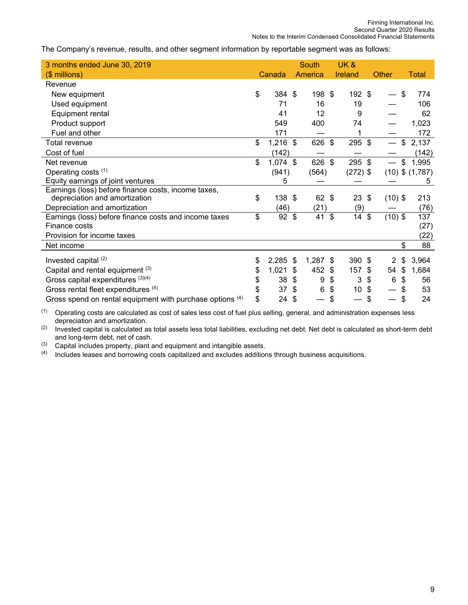The Company's revenue, results, and other segment information by reportable segment was as follows:

| 3 months ended June 30, 2019                                         |                       | <b>South</b> |    | <b>UK&amp;</b>  |     |                          |                     |
|----------------------------------------------------------------------|-----------------------|--------------|----|-----------------|-----|--------------------------|---------------------|
| $($$ millions)                                                       | Canada                | America      |    | <b>Ireland</b>  |     | Other                    | Total               |
| Revenue                                                              |                       |              |    |                 |     |                          |                     |
| New equipment                                                        | \$<br>384 \$          | 198          | \$ | 192 \$          |     |                          | \$<br>774           |
| Used equipment                                                       | 71                    | 16           |    | 19              |     |                          | 106                 |
| Equipment rental                                                     | 41                    | 12           |    | 9               |     |                          | 62                  |
| Product support                                                      | 549                   | 400          |    | 74              |     |                          | 1,023               |
| Fuel and other                                                       | 171                   |              |    |                 |     |                          | 172                 |
| <b>Total revenue</b>                                                 | \$<br>$1,216$ \$      | 626          | \$ | 295 \$          |     | $\overline{\phantom{0}}$ | \$<br>2,137         |
| Cost of fuel                                                         | (142)                 |              |    |                 |     |                          | (142)               |
| Net revenue                                                          | \$<br>$1,074$ \$      | 626          | \$ | 295 \$          |     | $\qquad \qquad$          | \$<br>1,995         |
| Operating costs (1)                                                  | (941)                 | (564)        |    | $(272)$ \$      |     |                          | $(10)$ \$ $(1,787)$ |
| Equity earnings of joint ventures                                    | 5                     |              |    |                 |     |                          | 5                   |
| Earnings (loss) before finance costs, income taxes,                  |                       |              |    |                 |     |                          |                     |
| depreciation and amortization                                        | \$<br>138 \$          | 62           | \$ | 23              | \$  | $(10)$ \$                | 213                 |
| Depreciation and amortization                                        | (46)                  | (21)         |    | (9)             |     |                          | (76)                |
| Earnings (loss) before finance costs and income taxes                | \$<br>$92 \text{ } $$ | 41           | \$ | 14              | \$  | $(10)$ \$                | 137                 |
| Finance costs                                                        |                       |              |    |                 |     |                          | (27)                |
| Provision for income taxes                                           |                       |              |    |                 |     |                          | (22)                |
| Net income                                                           |                       |              |    |                 |     |                          | \$<br>88            |
| Invested capital (2)                                                 | \$<br>2,285           | \$<br>1,287  | \$ | 390 \$          |     | 2                        | \$<br>3,964         |
| Capital and rental equipment (3)                                     | \$<br>1,021           | \$<br>452    | S  | 157             | -\$ | 54                       | \$<br>1,684         |
| Gross capital expenditures (3)(4)                                    | \$<br>38              | \$<br>9      | \$ | 3               | \$  | 6                        | \$<br>56            |
| Gross rental fleet expenditures (4)                                  | \$<br>37              | \$<br>6      | \$ | 10 <sub>1</sub> | \$  |                          | \$<br>53            |
| Gross spend on rental equipment with purchase options <sup>(4)</sup> | \$<br>24              | \$           | \$ |                 | \$  |                          | \$<br>24            |

 $(1)$  Operating costs are calculated as cost of sales less cost of fuel plus selling, general, and administration expenses less depreciation and amortization.

(2) Invested capital is calculated as total assets less total liabilities, excluding net debt. Net debt is calculated as short-term debt and long-term debt, net of cash.

(3) Capital includes property, plant and equipment and intangible assets.

(4) Includes leases and borrowing costs capitalized and excludes additions through business acquisitions.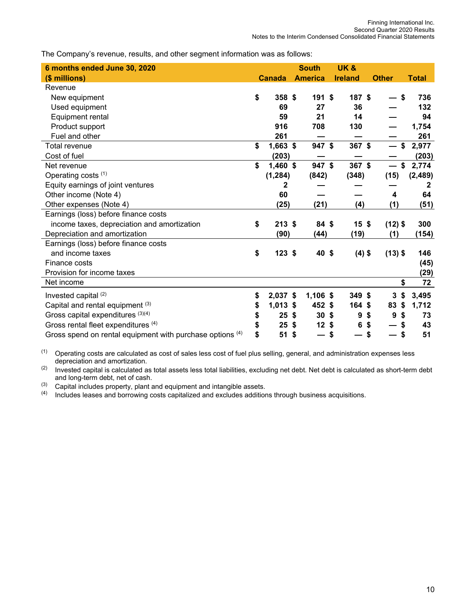The Company's revenue, results, and other segment information was as follows:

| 6 months ended June 30, 2020                              |                       | <b>South</b>    | <b>UK&amp;</b> |                 |                          |           |              |
|-----------------------------------------------------------|-----------------------|-----------------|----------------|-----------------|--------------------------|-----------|--------------|
| (\$ millions)                                             | <b>Canada</b>         | <b>America</b>  | <b>Ireland</b> |                 | <b>Other</b>             |           | <b>Total</b> |
| Revenue                                                   |                       |                 |                |                 |                          |           |              |
| New equipment                                             | \$<br>358 \$          | 191S            |                | 187 \$          |                          | \$        | 736          |
| Used equipment                                            | 69                    | 27              |                | 36              |                          |           | 132          |
| Equipment rental                                          | 59                    | 21              |                | 14              |                          |           | 94           |
| Product support                                           | 916                   | 708             |                | 130             |                          |           | 1,754        |
| Fuel and other                                            | 261                   |                 |                |                 |                          |           | 261          |
| <b>Total revenue</b>                                      | \$<br>$1,663$ \$      | $947$ \$        |                | 367 \$          | $\overline{\phantom{0}}$ | \$        | 2,977        |
| Cost of fuel                                              | (203)                 |                 |                |                 |                          |           | (203)        |
| Net revenue                                               | \$<br>$1,460$ \$      | 947 \$          |                | 367 \$          | $\overline{\phantom{0}}$ | \$        | 2,774        |
| Operating costs (1)                                       | (1, 284)              | (842)           |                | (348)           | (15)                     |           | (2, 489)     |
| Equity earnings of joint ventures                         | 2                     |                 |                |                 |                          |           | 2            |
| Other income (Note 4)                                     | 60                    |                 |                |                 |                          | 4         | 64           |
| Other expenses (Note 4)                                   | (25)                  | (21)            |                | (4)             |                          | (1)       | (51)         |
| Earnings (loss) before finance costs                      |                       |                 |                |                 |                          |           |              |
| income taxes, depreciation and amortization               | \$<br>213S            | 84 \$           |                | 15 <sup>5</sup> |                          | $(12)$ \$ | 300          |
| Depreciation and amortization                             | (90)                  | (44)            |                | (19)            |                          | (1)       | (154)        |
| Earnings (loss) before finance costs                      |                       |                 |                |                 |                          |           |              |
| and income taxes                                          | \$<br>$123$ \$        | 40 \$           |                | $(4)$ \$        |                          | $(13)$ \$ | 146          |
| Finance costs                                             |                       |                 |                |                 |                          |           | (45)         |
| Provision for income taxes                                |                       |                 |                |                 |                          |           | (29)         |
| Net income                                                |                       |                 |                |                 |                          | \$        | 72           |
| Invested capital (2)                                      | \$<br>$2,037$ \$      | $1,106$ \$      |                | $349$ \$        |                          | \$<br>3   | 3,495        |
| Capital and rental equipment (3)                          | \$<br>$1,013$ \$      | 452             | -\$            | $164$ \$        | 83                       | \$        | 1,712        |
| Gross capital expenditures (3)(4)                         | \$<br>25 <sup>5</sup> | 30 <sup>5</sup> |                | 9               | \$                       | 9<br>\$   | 73           |
| Gross rental fleet expenditures (4)                       | \$<br>25              | \$<br>12        | \$             | 6               | \$                       |           | 43           |
| Gross spend on rental equipment with purchase options (4) | \$<br>51              | \$              | \$             |                 | \$                       | \$        | 51           |

 $(1)$  Operating costs are calculated as cost of sales less cost of fuel plus selling, general, and administration expenses less depreciation and amortization.

(2) Invested capital is calculated as total assets less total liabilities, excluding net debt. Net debt is calculated as short-term debt and long-term debt, net of cash.

(3) Capital includes property, plant and equipment and intangible assets.

<sup>(4)</sup> Includes leases and borrowing costs capitalized and excludes additions through business acquisitions.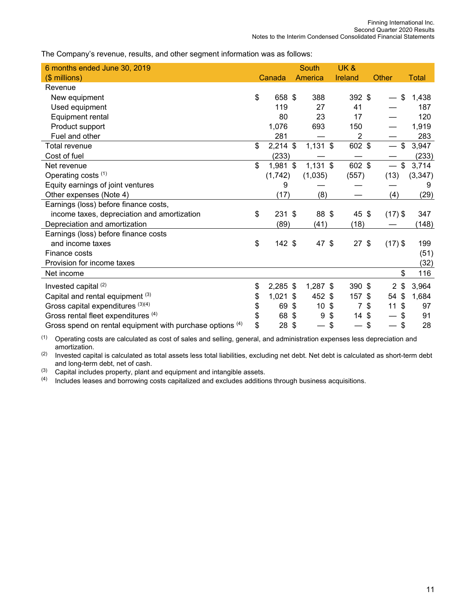The Company's revenue, results, and other segment information was as follows:

| 6 months ended June 30, 2019                              |                  |                           | South           | UK&                                         |                                           |              |
|-----------------------------------------------------------|------------------|---------------------------|-----------------|---------------------------------------------|-------------------------------------------|--------------|
| (\$ millions)                                             | Canada           |                           | America         | Ireland                                     | <b>Other</b>                              | <b>Total</b> |
| Revenue                                                   |                  |                           |                 |                                             |                                           |              |
| New equipment                                             | \$<br>658 \$     |                           | 388             | 392 \$                                      | \$                                        | 1,438        |
| Used equipment                                            | 119              |                           | 27              | 41                                          |                                           | 187          |
| Equipment rental                                          | 80               |                           | 23              | 17                                          |                                           | 120          |
| Product support                                           | 1,076            |                           | 693             | 150                                         |                                           | 1,919        |
| Fuel and other                                            | 281              |                           |                 | 2                                           |                                           | 283          |
| Total revenue                                             | \$<br>$2,214$ \$ |                           | $1,131$ \$      | 602 \$                                      | $\frac{1}{2}$                             | 3,947        |
| Cost of fuel                                              | (233)            |                           |                 |                                             |                                           | (233)        |
| Net revenue                                               | \$<br>1,981 \$   |                           | $1,131$ \$      | 602 \$                                      | \$<br>$\overline{\phantom{0}}$            | 3,714        |
| Operating costs (1)                                       | (1, 742)         |                           | (1,035)         | (557)                                       | (13)                                      | (3, 347)     |
| Equity earnings of joint ventures                         | 9                |                           |                 |                                             |                                           | 9            |
| Other expenses (Note 4)                                   | (17)             |                           | (8)             |                                             | (4)                                       | (29)         |
| Earnings (loss) before finance costs,                     |                  |                           |                 |                                             |                                           |              |
| income taxes, depreciation and amortization               | \$<br>231 \$     |                           | 88 \$           | 45 \$                                       | $(17)$ \$                                 | 347          |
| Depreciation and amortization                             | (89)             |                           | (41)            | (18)                                        |                                           | (148)        |
| Earnings (loss) before finance costs                      |                  |                           |                 |                                             |                                           |              |
| and income taxes                                          | \$<br>$142$ \$   |                           | 47 \$           | $27$ \$                                     | $(17)$ \$                                 | 199          |
| Finance costs                                             |                  |                           |                 |                                             |                                           | (51)         |
| Provision for income taxes                                |                  |                           |                 |                                             |                                           | (32)         |
| Net income                                                |                  |                           |                 |                                             | \$                                        | 116          |
| Invested capital (2)                                      | \$<br>$2,285$ \$ |                           | 1,287 \$        | 390 \$                                      | $\mathbf{2}$<br>$\boldsymbol{\mathsf{s}}$ | 3,964        |
| Capital and rental equipment (3)                          | \$<br>1,021      | -\$                       | 452 \$          | 157 \$                                      | $\boldsymbol{\mathsf{S}}$<br>54           | 1,684        |
| Gross capital expenditures (3)(4)                         | \$<br>69         | -\$                       | 10 <sub>1</sub> | $\boldsymbol{\mathsf{s}}$<br>$\overline{7}$ | \$<br>11<br>\$                            | 97           |
| Gross rental fleet expenditures (4)                       | \$<br>68         | $\boldsymbol{\mathsf{S}}$ | 9               | \$<br>14S                                   | \$                                        | 91           |
| Gross spend on rental equipment with purchase options (4) | \$<br>28         | \$                        |                 | \$                                          | \$<br>\$                                  | 28           |

(1) Operating costs are calculated as cost of sales and selling, general, and administration expenses less depreciation and amortization.

(2) Invested capital is calculated as total assets less total liabilities, excluding net debt. Net debt is calculated as short-term debt and long-term debt, net of cash.

 $(3)$  Capital includes property, plant and equipment and intangible assets.

(4) Includes leases and borrowing costs capitalized and excludes additions through business acquisitions.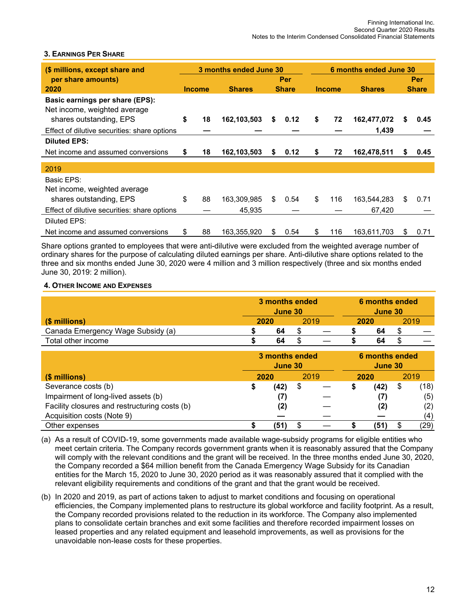### **3. EARNINGS PER SHARE**

| (\$ millions, except share and                                  |               |    | 3 months ended June 30 |    | 6 months ended June 30 |    |               |               |   |              |
|-----------------------------------------------------------------|---------------|----|------------------------|----|------------------------|----|---------------|---------------|---|--------------|
| per share amounts)                                              |               |    |                        |    | Per                    |    |               |               |   | <b>Per</b>   |
| 2020                                                            | <b>Income</b> |    | <b>Shares</b>          |    | <b>Share</b>           |    | <b>Income</b> | <b>Shares</b> |   | <b>Share</b> |
| Basic earnings per share (EPS):<br>Net income, weighted average |               |    |                        |    |                        |    |               |               |   |              |
| shares outstanding, EPS                                         | \$            | 18 | 162,103,503            | \$ | 0.12                   | \$ | 72            | 162,477,072   | S | 0.45         |
| Effect of dilutive securities: share options                    |               |    |                        |    |                        |    |               | 1,439         |   |              |
| <b>Diluted EPS:</b>                                             |               |    |                        |    |                        |    |               |               |   |              |
| Net income and assumed conversions                              | S             | 18 | 162,103,503            | S  | 0.12                   | \$ | 72            | 162,478,511   | S | 0.45         |
|                                                                 |               |    |                        |    |                        |    |               |               |   |              |
| 2019                                                            |               |    |                        |    |                        |    |               |               |   |              |
| Basic EPS:                                                      |               |    |                        |    |                        |    |               |               |   |              |
| Net income, weighted average                                    |               |    |                        |    |                        |    |               |               |   |              |
| shares outstanding, EPS                                         | \$            | 88 | 163,309,985            | \$ | 0.54                   | \$ | 116           | 163,544,283   | S | 0.71         |
| Effect of dilutive securities: share options                    |               |    | 45,935                 |    |                        |    |               | 67,420        |   |              |
| Diluted EPS:                                                    |               |    |                        |    |                        |    |               |               |   |              |
| Net income and assumed conversions                              | S             | 88 | 163,355,920            | \$ | 0.54                   | \$ | 116           | 163,611,703   | S | 0.71         |

Share options granted to employees that were anti-dilutive were excluded from the weighted average number of ordinary shares for the purpose of calculating diluted earnings per share. Anti-dilutive share options related to the three and six months ended June 30, 2020 were 4 million and 3 million respectively (three and six months ended June 30, 2019: 2 million).

### **4. OTHER INCOME AND EXPENSES**

|                                               |    | 3 months ended<br>June 30 |      |  | 6 months ended<br>June 30 |      |            |
|-----------------------------------------------|----|---------------------------|------|--|---------------------------|------|------------|
| (\$ millions)                                 |    | 2020                      |      |  | 2020                      |      | 2019       |
| Canada Emergency Wage Subsidy (a)             |    | 64<br>S                   |      |  |                           | 64   | \$         |
| Total other income                            |    | 64                        | \$   |  |                           | 64   | \$         |
|                                               |    | 3 months ended<br>June 30 |      |  | 6 months ended<br>June 30 |      |            |
| (\$ millions)                                 |    | 2020                      | 2019 |  | 2020                      |      | 2019       |
| Severance costs (b)                           | \$ | (42)                      | \$   |  |                           | (42) | \$<br>(18) |
| Impairment of long-lived assets (b)           |    | (7)                       |      |  |                           | (7)  | (5)        |
| Facility closures and restructuring costs (b) |    | (2)                       |      |  |                           | (2)  | (2)        |
| Acquisition costs (Note 9)                    |    |                           |      |  |                           |      | (4)        |
| Other expenses                                | S  | (51)                      | S    |  |                           | (51) | \$<br>(29) |

- (a) As a result of COVID-19, some governments made available wage-subsidy programs for eligible entities who meet certain criteria. The Company records government grants when it is reasonably assured that the Company will comply with the relevant conditions and the grant will be received. In the three months ended June 30, 2020, the Company recorded a \$64 million benefit from the Canada Emergency Wage Subsidy for its Canadian entities for the March 15, 2020 to June 30, 2020 period as it was reasonably assured that it complied with the relevant eligibility requirements and conditions of the grant and that the grant would be received.
- (b) In 2020 and 2019, as part of actions taken to adjust to market conditions and focusing on operational efficiencies, the Company implemented plans to restructure its global workforce and facility footprint. As a result, the Company recorded provisions related to the reduction in its workforce. The Company also implemented plans to consolidate certain branches and exit some facilities and therefore recorded impairment losses on leased properties and any related equipment and leasehold improvements, as well as provisions for the unavoidable non-lease costs for these properties.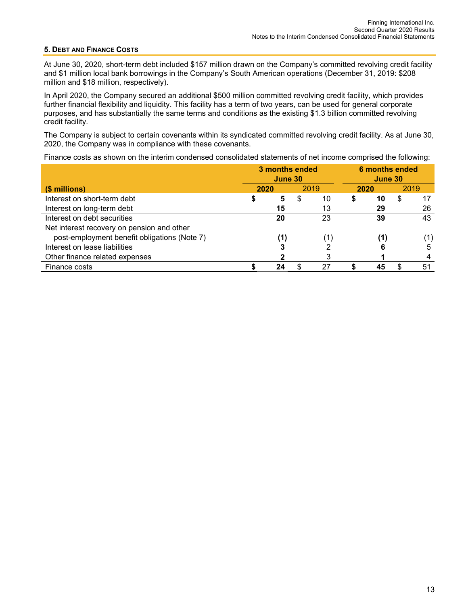#### **5. DEBT AND FINANCE COSTS**

At June 30, 2020, short-term debt included \$157 million drawn on the Company's committed revolving credit facility and \$1 million local bank borrowings in the Company's South American operations (December 31, 2019: \$208 million and \$18 million, respectively).

In April 2020, the Company secured an additional \$500 million committed revolving credit facility, which provides further financial flexibility and liquidity. This facility has a term of two years, can be used for general corporate purposes, and has substantially the same terms and conditions as the existing \$1.3 billion committed revolving credit facility.

The Company is subject to certain covenants within its syndicated committed revolving credit facility. As at June 30, 2020, the Company was in compliance with these covenants.

Finance costs as shown on the interim condensed consolidated statements of net income comprised the following:

|                                              |      | 3 months ended<br>June 30 |      |      |   | 6 months ended<br>June 30 |      |     |
|----------------------------------------------|------|---------------------------|------|------|---|---------------------------|------|-----|
| (\$ millions)                                | 2020 |                           | 2019 | 2020 |   |                           | 2019 |     |
| Interest on short-term debt                  | Φ    | 5                         | S    | 10   | S | 10                        | \$   | 17  |
| Interest on long-term debt                   |      | 15                        |      | 13   |   | 29                        |      | 26  |
| Interest on debt securities                  |      | 20                        |      | 23   |   | 39                        |      | 43  |
| Net interest recovery on pension and other   |      |                           |      |      |   |                           |      |     |
| post-employment benefit obligations (Note 7) |      | (1)                       |      | (1)  |   | (1)                       |      | (1) |
| Interest on lease liabilities                |      |                           |      | 2    |   | 6                         |      | 5   |
| Other finance related expenses               |      |                           |      | 3    |   |                           |      | 4   |
| Finance costs                                |      | 24                        |      | 27   |   | 45                        | S    | 51  |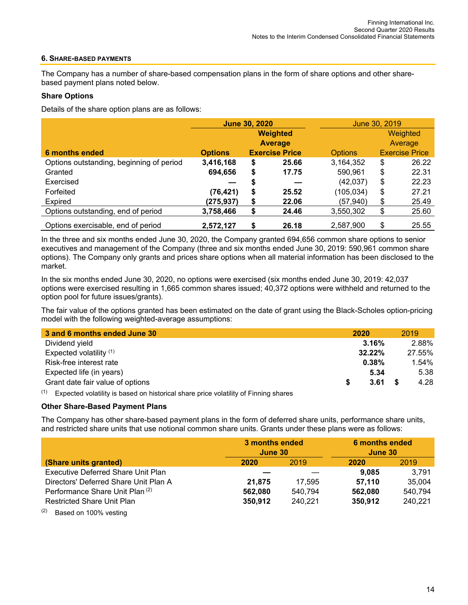### **6. SHARE-BASED PAYMENTS**

The Company has a number of share-based compensation plans in the form of share options and other sharebased payment plans noted below.

### **Share Options**

Details of the share option plans are as follows:

|                                          |                | <b>June 30, 2020</b> |                       | June 30, 2019  |    |                       |  |  |  |  |
|------------------------------------------|----------------|----------------------|-----------------------|----------------|----|-----------------------|--|--|--|--|
|                                          |                |                      | <b>Weighted</b>       |                |    | Weighted              |  |  |  |  |
|                                          |                |                      | <b>Average</b>        |                |    | Average               |  |  |  |  |
| 6 months ended                           | <b>Options</b> |                      | <b>Exercise Price</b> | <b>Options</b> |    | <b>Exercise Price</b> |  |  |  |  |
| Options outstanding, beginning of period | 3,416,168      | \$                   | 25.66                 | 3,164,352      | \$ | 26.22                 |  |  |  |  |
| Granted                                  | 694,656        | \$                   | 17.75                 | 590,961        | \$ | 22.31                 |  |  |  |  |
| Exercised                                |                | S                    |                       | (42,037)       | \$ | 22.23                 |  |  |  |  |
| Forfeited                                | (76, 421)      | \$                   | 25.52                 | (105, 034)     | \$ | 27.21                 |  |  |  |  |
| Expired                                  | (275, 937)     | \$                   | 22.06                 | (57, 940)      | \$ | 25.49                 |  |  |  |  |
| Options outstanding, end of period       | 3,758,466      | \$                   | 24.46                 | 3,550,302      | \$ | 25.60                 |  |  |  |  |
| Options exercisable, end of period       | 2,572,127      | \$                   | 26.18                 | 2,587,900      | \$ | 25.55                 |  |  |  |  |

In the three and six months ended June 30, 2020, the Company granted 694,656 common share options to senior executives and management of the Company (three and six months ended June 30, 2019: 590,961 common share options). The Company only grants and prices share options when all material information has been disclosed to the market.

In the six months ended June 30, 2020, no options were exercised (six months ended June 30, 2019: 42,037 options were exercised resulting in 1,665 common shares issued; 40,372 options were withheld and returned to the option pool for future issues/grants).

The fair value of the options granted has been estimated on the date of grant using the Black-Scholes option-pricing model with the following weighted-average assumptions:

| 3 and 6 months ended June 30     | 2020   | 2019     |
|----------------------------------|--------|----------|
| Dividend yield                   | 3.16%  | 2.88%    |
| Expected volatility $(1)$        | 32.22% | 27.55%   |
| Risk-free interest rate          | 0.38%  | $1.54\%$ |
| Expected life (in years)         | 5.34   | 5.38     |
| Grant date fair value of options | 3.61   | 4.28     |
|                                  |        |          |

 $(1)$  Expected volatility is based on historical share price volatility of Finning shares

### **Other Share-Based Payment Plans**

The Company has other share-based payment plans in the form of deferred share units, performance share units, and restricted share units that use notional common share units. Grants under these plans were as follows:

|                                                 | 3 months ended<br>June 30 |         | 6 months ended<br>June 30 |         |  |  |  |  |
|-------------------------------------------------|---------------------------|---------|---------------------------|---------|--|--|--|--|
| (Share units granted)                           | 2020                      | 2019    | 2020                      | 2019    |  |  |  |  |
| Executive Deferred Share Unit Plan              |                           |         | 9.085                     | 3.791   |  |  |  |  |
| Directors' Deferred Share Unit Plan A           | 21.875                    | 17.595  | 57,110                    | 35,004  |  |  |  |  |
| Performance Share Unit Plan (2)                 | 562.080                   | 540,794 | 562.080                   | 540.794 |  |  |  |  |
| <b>Restricted Share Unit Plan</b>               | 350.912                   | 240,221 | 350,912                   | 240,221 |  |  |  |  |
| $(2)$ $\blacksquare$ $(1)$ $(2)$ $\blacksquare$ |                           |         |                           |         |  |  |  |  |

 $(2)$  Based on 100% vesting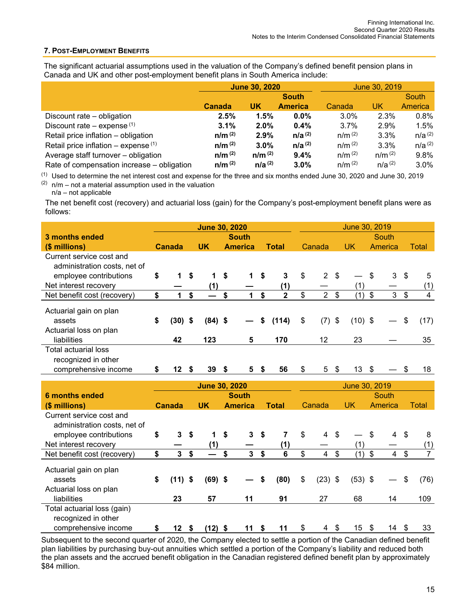### **7. POST-EMPLOYMENT BENEFITS**

The significant actuarial assumptions used in the valuation of the Company's defined benefit pension plans in Canada and UK and other post-employment benefit plans in South America include:

|                                            |             | <b>June 30, 2020</b> |                |             | June 30, 2019 |             |  |
|--------------------------------------------|-------------|----------------------|----------------|-------------|---------------|-------------|--|
|                                            |             |                      | <b>South</b>   |             |               | South       |  |
|                                            | Canada      | UK                   | <b>America</b> | Canada      | UK            | America     |  |
| Discount rate – obligation                 | 2.5%        | 1.5%                 | $0.0\%$        | 3.0%        | 2.3%          | 0.8%        |  |
| Discount rate $-$ expense $(1)$            | 3.1%        | $2.0\%$              | $0.4\%$        | 3.7%        | 2.9%          | 1.5%        |  |
| Retail price inflation - obligation        | $n/m^{(2)}$ | 2.9%                 | $n/a^{(2)}$    | $n/m^{(2)}$ | 3.3%          | $n/a^{(2)}$ |  |
| Retail price inflation – expense $(1)$     | $n/m^{(2)}$ | $3.0\%$              | $n/a^{(2)}$    | $n/m^{(2)}$ | $3.3\%$       | $n/a^{(2)}$ |  |
| Average staff turnover - obligation        | $n/m^{(2)}$ | n/m <sup>(2)</sup>   | 9.4%           | $n/m^{(2)}$ | $n/m^{(2)}$   | 9.8%        |  |
| Rate of compensation increase – obligation | $n/m^{(2)}$ | $n/a^{(2)}$          | 3.0%           | $n/m^{(2)}$ | $n/a^{(2)}$   | $3.0\%$     |  |

(1) Used to determine the net interest cost and expense for the three and six months ended June 30, 2020 and June 30, 2019

 $(2)$  n/m – not a material assumption used in the valuation

n/a – not applicable

The net benefit cost (recovery) and actuarial loss (gain) for the Company's post-employment benefit plans were as follows:

|                                                                                                           | <b>June 30, 2020</b> |               |    |             |    |                                                   |    |                |       |              |                           |               | June 30, 2019              |                                      |    |                         |
|-----------------------------------------------------------------------------------------------------------|----------------------|---------------|----|-------------|----|---------------------------------------------------|----|----------------|-------|--------------|---------------------------|---------------|----------------------------|--------------------------------------|----|-------------------------|
| 3 months ended                                                                                            |                      |               |    |             |    | <b>South</b>                                      |    | South          |       |              |                           |               |                            |                                      |    |                         |
| (\$ millions)                                                                                             |                      | <b>Canada</b> |    | <b>UK</b>   |    | <b>America</b>                                    |    | <b>Total</b>   |       | Canada       |                           | UK.           |                            | America                              |    | <b>Total</b>            |
| Current service cost and<br>administration costs, net of                                                  |                      |               |    |             |    |                                                   |    |                |       |              |                           |               |                            |                                      |    |                         |
| employee contributions                                                                                    | \$                   | 1             | \$ | 1           | \$ | 1                                                 | \$ | $\mathbf{3}$   | $\$\$ | $\mathbf{2}$ | $\boldsymbol{\mathsf{S}}$ |               | $\boldsymbol{\mathsf{s}}$  | 3                                    | \$ | 5                       |
| Net interest recovery                                                                                     |                      |               |    | (1)         |    |                                                   |    | (1)            |       |              |                           | (1)           |                            |                                      |    | (1)                     |
| Net benefit cost (recovery)                                                                               | \$                   | 1             | \$ |             | \$ |                                                   | \$ | $\overline{2}$ | \$    | $2^{\circ}$  | $\boldsymbol{\mathsf{S}}$ | (1)           | $\boldsymbol{\mathcal{S}}$ | 3                                    | S. | $\overline{\mathbf{4}}$ |
| Actuarial gain on plan<br>assets<br>Actuarial loss on plan                                                | \$                   | $(30)$ \$     |    | $(84)$ \$   |    |                                                   | \$ | (114)          | \$    | $(7)$ \$     |                           | $(10)$ \$     |                            |                                      | \$ | (17)                    |
| liabilities                                                                                               |                      | 42            |    | 123         |    | 5                                                 |    | 170            |       | 12           |                           | 23            |                            |                                      |    | 35                      |
| <b>Total actuarial loss</b><br>recognized in other<br>comprehensive income                                | \$                   | 12 S          |    | 39S         |    | 5.                                                | S. | 56             | \$    |              | 5 \$                      | $13 \quad$    |                            |                                      |    | 18                      |
|                                                                                                           |                      |               |    |             |    |                                                   |    |                |       |              |                           |               |                            |                                      |    |                         |
|                                                                                                           | <b>June 30, 2020</b> |               |    |             |    |                                                   |    |                |       |              |                           | June 30, 2019 |                            |                                      |    |                         |
| <b>6 months ended</b><br>$\mathbf{A}$ and $\mathbf{B}$ and $\mathbf{B}$ and $\mathbf{A}$ and $\mathbf{A}$ |                      |               |    | <b>FILE</b> |    | <b>South</b><br>A contract of the contract of the |    |                |       |              |                           | 1.11Z         |                            | South<br>and the company of the com- |    | <b>TELESCOPE</b>        |

| 6 months ended               | South |                 |                                      |           |        |    |      |      | South                |     |           |    |                |      |      |  |  |
|------------------------------|-------|-----------------|--------------------------------------|-----------|--------|----|------|------|----------------------|-----|-----------|----|----------------|------|------|--|--|
| (\$ millions)                |       | Canada          | UK<br><b>America</b><br><b>Total</b> |           | Canada |    | UK   |      | America              |     | Total     |    |                |      |      |  |  |
| Current service cost and     |       |                 |                                      |           |        |    |      |      |                      |     |           |    |                |      |      |  |  |
| administration costs, net of |       |                 |                                      |           |        |    |      |      |                      |     |           |    |                |      |      |  |  |
| employee contributions       | \$    | 3 <sup>5</sup>  |                                      | 1         | S.     | 3  | - \$ |      | \$<br>$\overline{4}$ | -\$ |           | \$ | $\overline{4}$ | - \$ | 8    |  |  |
| Net interest recovery        |       |                 |                                      | (1)       |        |    |      | (1)  |                      |     | (1)       |    |                |      | (1)  |  |  |
| Net benefit cost (recovery)  | \$    | 3               | \$                                   |           | S      | 3  | \$   | 6    | \$<br>4              | \$  | (1)       | \$ | 4              | \$   | 7    |  |  |
| Actuarial gain on plan       |       |                 |                                      |           |        |    |      |      |                      |     |           |    |                |      |      |  |  |
| assets                       | \$    | (11)            | S                                    | $(69)$ \$ |        |    | \$   | (80) | \$<br>$(23)$ \$      |     | $(53)$ \$ |    |                | \$   | (76) |  |  |
| Actuarial loss on plan       |       |                 |                                      |           |        |    |      |      |                      |     |           |    |                |      |      |  |  |
| liabilities                  |       | 23              |                                      | 57        |        | 11 |      | 91   | 27                   |     | 68        |    | 14             |      | 109  |  |  |
| Total actuarial loss (gain)  |       |                 |                                      |           |        |    |      |      |                      |     |           |    |                |      |      |  |  |
| recognized in other          |       |                 |                                      |           |        |    |      |      |                      |     |           |    |                |      |      |  |  |
| comprehensive income         | S     | 12 <sub>2</sub> | S                                    | $(12)$ \$ |        | 11 |      | 11   | \$<br>4              | \$  | 15        | \$ | 14             |      | 33   |  |  |

Subsequent to the second quarter of 2020, the Company elected to settle a portion of the Canadian defined benefit plan liabilities by purchasing buy-out annuities which settled a portion of the Company's liability and reduced both the plan assets and the accrued benefit obligation in the Canadian registered defined benefit plan by approximately \$84 million.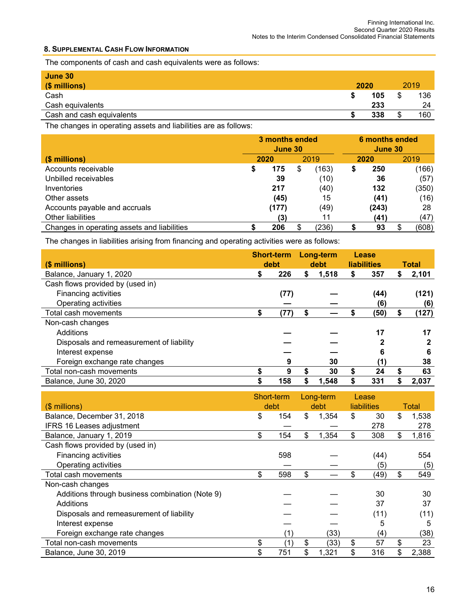#### **8. SUPPLEMENTAL CASH FLOW INFORMATION**

The components of cash and cash equivalents were as follows:

| June 30<br>$(S$ millions) | 2020 |         | 2019 |
|---------------------------|------|---------|------|
| Cash                      | 105  | S       | 136  |
| Cash equivalents          | 233  |         | 24   |
| Cash and cash equivalents | 338  | æ<br>۰D | 160  |

The changes in operating assets and liabilities are as follows:

|                                             | 3 months ended<br>June 30 |       |      |       |      | 6 months ended<br>June 30 |             |  |  |  |
|---------------------------------------------|---------------------------|-------|------|-------|------|---------------------------|-------------|--|--|--|
| (\$ millions)                               | 2020                      |       | 2019 |       | 2020 |                           | 2019        |  |  |  |
| Accounts receivable                         | \$                        | 175   | S    | (163) |      | 250                       | (166)       |  |  |  |
| Unbilled receivables                        |                           | 39    |      | (10)  |      | 36                        | (57)        |  |  |  |
| Inventories                                 |                           | 217   |      | (40)  |      | 132                       | (350)       |  |  |  |
| Other assets                                |                           | (45)  |      | 15    |      | (41)                      | (16)        |  |  |  |
| Accounts payable and accruals               |                           | (177) |      | (49)  |      | (243)                     | 28          |  |  |  |
| <b>Other liabilities</b>                    |                           | (3)   |      | 11    |      | (41)                      | (47)        |  |  |  |
| Changes in operating assets and liabilities |                           | 206   |      | (236) |      | 93                        | (608)<br>\$ |  |  |  |

The changes in liabilities arising from financing and operating activities were as follows:

|                                          | <b>Short-term</b> |      | Long-term |       | Lease |                    |              |
|------------------------------------------|-------------------|------|-----------|-------|-------|--------------------|--------------|
| (\$ millions)                            |                   | debt |           | debt  |       | <b>liabilities</b> | <b>Total</b> |
| Balance, January 1, 2020                 | S                 | 226  | \$        | 1,518 | S     | 357                | \$<br>2,101  |
| Cash flows provided by (used in)         |                   |      |           |       |       |                    |              |
| <b>Financing activities</b>              |                   | (77) |           |       |       | (44)               | (121)        |
| Operating activities                     |                   |      |           |       |       | (6)                | (6)          |
| Total cash movements                     |                   | (77) | \$        |       |       | (50)               | \$<br>(127)  |
| Non-cash changes                         |                   |      |           |       |       |                    |              |
| Additions                                |                   |      |           |       |       | 17                 | 17           |
| Disposals and remeasurement of liability |                   |      |           |       |       | 2                  | 2            |
| Interest expense                         |                   |      |           |       |       | 6                  | 6            |
| Foreign exchange rate changes            |                   | 9    |           | 30    |       | (1)                | 38           |
| Total non-cash movements                 |                   | 9    | S         | 30    |       | 24                 | \$<br>63     |
| Balance, June 30, 2020                   |                   | 158  | \$        | 1.548 |       | 331                | \$<br>2.037  |

| $($$ millions)                                  | Short-term<br>debt | Long-term<br>debt | Lease<br><b>liabilities</b> | Total       |
|-------------------------------------------------|--------------------|-------------------|-----------------------------|-------------|
| Balance, December 31, 2018                      | \$<br>154          | \$<br>1,354       | \$<br>30                    | \$<br>1,538 |
| <b>IFRS 16 Leases adjustment</b>                |                    |                   | 278                         | 278         |
| Balance, January 1, 2019                        | \$<br>154          | \$<br>1,354       | \$<br>308                   | \$<br>1,816 |
| Cash flows provided by (used in)                |                    |                   |                             |             |
| Financing activities                            | 598                |                   | (44)                        | 554         |
| Operating activities                            |                    |                   | (5)                         | (5)         |
| Total cash movements                            | \$<br>598          | \$                | \$<br>(49)                  | \$<br>549   |
| Non-cash changes                                |                    |                   |                             |             |
| Additions through business combination (Note 9) |                    |                   | 30                          | 30          |
| Additions                                       |                    |                   | 37                          | 37          |
| Disposals and remeasurement of liability        |                    |                   | (11)                        | (11)        |
| Interest expense                                |                    |                   | 5                           | 5           |
| Foreign exchange rate changes                   |                    | (33)              | (4)                         | (38)        |
| Total non-cash movements                        | \$<br>(1)          | \$<br>(33)        | \$<br>57                    | \$<br>23    |
| Balance, June 30, 2019                          | \$<br>751          | \$<br>1,321       | \$<br>316                   | \$<br>2,388 |